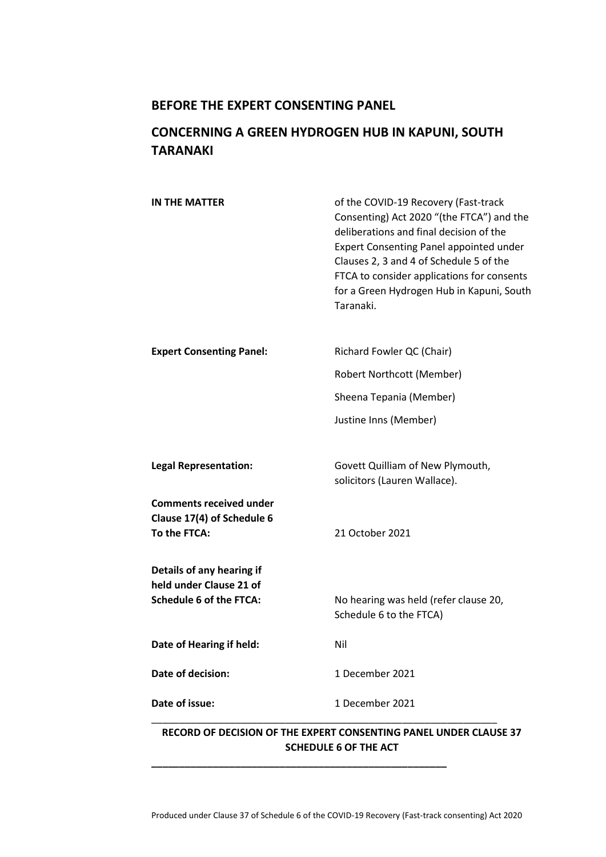## **BEFORE THE EXPERT CONSENTING PANEL**

# **CONCERNING A GREEN HYDROGEN HUB IN KAPUNI, SOUTH TARANAKI**

| IN THE MATTER                                                                          | of the COVID-19 Recovery (Fast-track<br>Consenting) Act 2020 "(the FTCA") and the<br>deliberations and final decision of the<br><b>Expert Consenting Panel appointed under</b><br>Clauses 2, 3 and 4 of Schedule 5 of the<br>FTCA to consider applications for consents<br>for a Green Hydrogen Hub in Kapuni, South<br>Taranaki. |  |
|----------------------------------------------------------------------------------------|-----------------------------------------------------------------------------------------------------------------------------------------------------------------------------------------------------------------------------------------------------------------------------------------------------------------------------------|--|
| <b>Expert Consenting Panel:</b>                                                        | Richard Fowler QC (Chair)                                                                                                                                                                                                                                                                                                         |  |
|                                                                                        | Robert Northcott (Member)                                                                                                                                                                                                                                                                                                         |  |
|                                                                                        | Sheena Tepania (Member)                                                                                                                                                                                                                                                                                                           |  |
|                                                                                        | Justine Inns (Member)                                                                                                                                                                                                                                                                                                             |  |
| <b>Legal Representation:</b>                                                           | Govett Quilliam of New Plymouth,<br>solicitors (Lauren Wallace).                                                                                                                                                                                                                                                                  |  |
| <b>Comments received under</b><br>Clause 17(4) of Schedule 6<br>To the FTCA:           | 21 October 2021                                                                                                                                                                                                                                                                                                                   |  |
| Details of any hearing if<br>held under Clause 21 of<br><b>Schedule 6 of the FTCA:</b> | No hearing was held (refer clause 20,<br>Schedule 6 to the FTCA)                                                                                                                                                                                                                                                                  |  |
| Date of Hearing if held:                                                               | Nil                                                                                                                                                                                                                                                                                                                               |  |
| Date of decision:                                                                      | 1 December 2021                                                                                                                                                                                                                                                                                                                   |  |
| Date of issue:                                                                         | 1 December 2021                                                                                                                                                                                                                                                                                                                   |  |
| RECORD OF DECISION OF THE EVRERT CONSENTING RANEL HNDER CLAHSE 27.                     |                                                                                                                                                                                                                                                                                                                                   |  |

### **RECORD OF DECISION OF THE EXPERT CONSENTING PANEL UNDER CLAUSE 37 SCHEDULE 6 OF THE ACT**

**\_\_\_\_\_\_\_\_\_\_\_\_\_\_\_\_\_\_\_\_\_\_\_\_\_\_\_\_\_\_\_\_\_\_\_\_\_\_\_\_\_\_\_\_\_\_\_\_\_\_\_\_\_**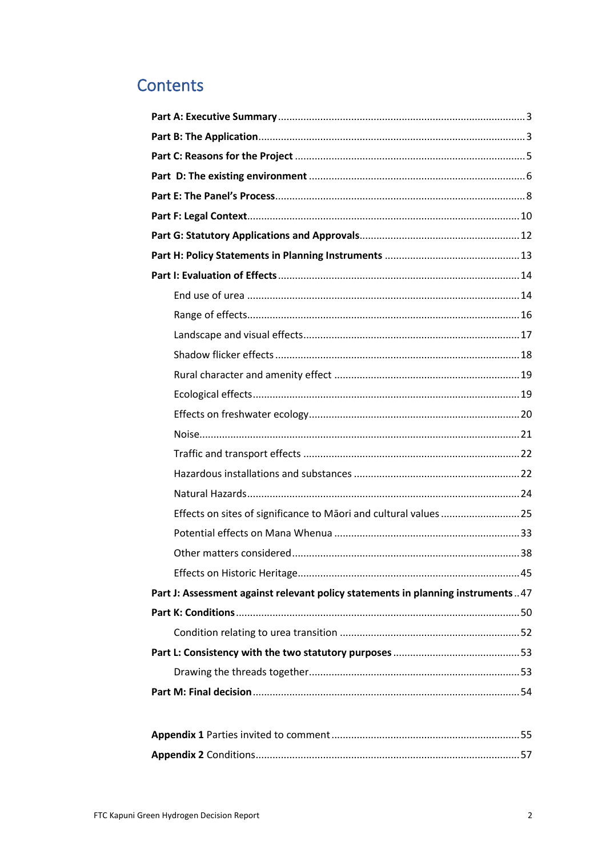# **Contents**

| Part J: Assessment against relevant policy statements in planning instruments47 |  |
|---------------------------------------------------------------------------------|--|
|                                                                                 |  |
|                                                                                 |  |
|                                                                                 |  |
|                                                                                 |  |
|                                                                                 |  |
|                                                                                 |  |
|                                                                                 |  |
|                                                                                 |  |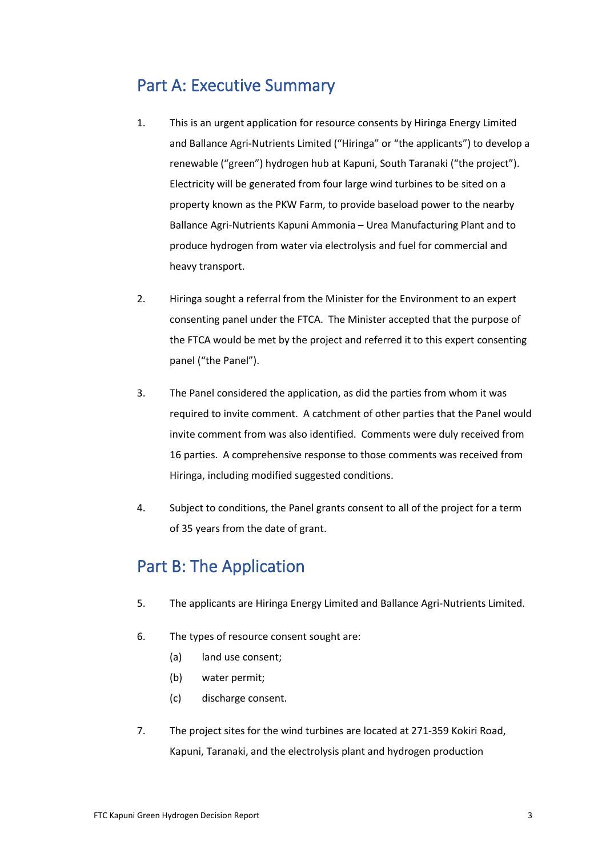# Part A: Executive Summary

- 1. This is an urgent application for resource consents by Hiringa Energy Limited and Ballance Agri-Nutrients Limited ("Hiringa" or "the applicants") to develop a renewable ("green") hydrogen hub at Kapuni, South Taranaki ("the project"). Electricity will be generated from four large wind turbines to be sited on a property known as the PKW Farm, to provide baseload power to the nearby Ballance Agri-Nutrients Kapuni Ammonia – Urea Manufacturing Plant and to produce hydrogen from water via electrolysis and fuel for commercial and heavy transport.
- 2. Hiringa sought a referral from the Minister for the Environment to an expert consenting panel under the FTCA. The Minister accepted that the purpose of the FTCA would be met by the project and referred it to this expert consenting panel ("the Panel").
- 3. The Panel considered the application, as did the parties from whom it was required to invite comment. A catchment of other parties that the Panel would invite comment from was also identified. Comments were duly received from 16 parties. A comprehensive response to those comments was received from Hiringa, including modified suggested conditions.
- 4. Subject to conditions, the Panel grants consent to all of the project for a term of 35 years from the date of grant.

# Part B: The Application

- 5. The applicants are Hiringa Energy Limited and Ballance Agri-Nutrients Limited.
- 6. The types of resource consent sought are:
	- (a) land use consent;
	- (b) water permit;
	- (c) discharge consent.
- 7. The project sites for the wind turbines are located at 271-359 Kokiri Road, Kapuni, Taranaki, and the electrolysis plant and hydrogen production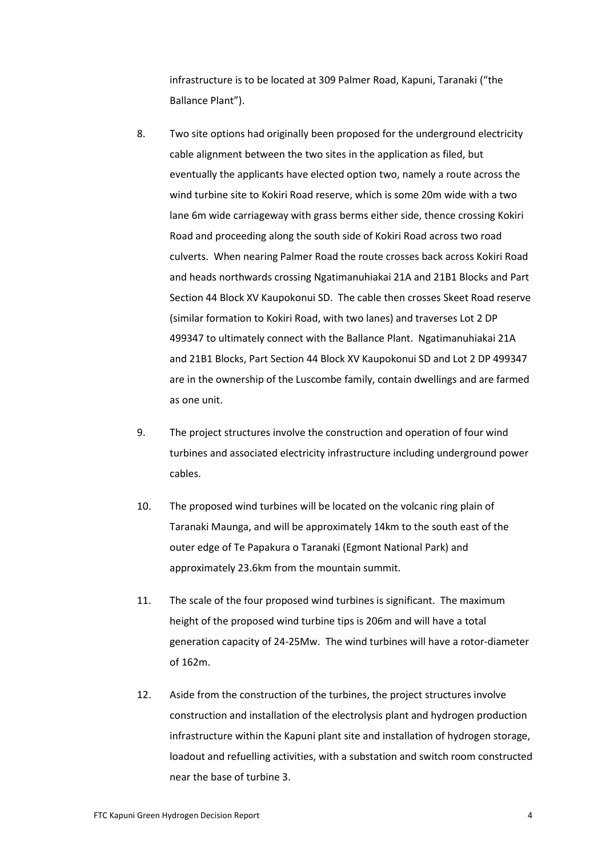infrastructure is to be located at 309 Palmer Road, Kapuni, Taranaki ("the Ballance Plant").

- 8. Two site options had originally been proposed for the underground electricity cable alignment between the two sites in the application as filed, but eventually the applicants have elected option two, namely a route across the wind turbine site to Kokiri Road reserve, which is some 20m wide with a two lane 6m wide carriageway with grass berms either side, thence crossing Kokiri Road and proceeding along the south side of Kokiri Road across two road culverts. When nearing Palmer Road the route crosses back across Kokiri Road and heads northwards crossing Ngatimanuhiakai 21A and 21B1 Blocks and Part Section 44 Block XV Kaupokonui SD. The cable then crosses Skeet Road reserve (similar formation to Kokiri Road, with two lanes) and traverses Lot 2 DP 499347 to ultimately connect with the Ballance Plant. Ngatimanuhiakai 21A and 21B1 Blocks, Part Section 44 Block XV Kaupokonui SD and Lot 2 DP 499347 are in the ownership of the Luscombe family, contain dwellings and are farmed as one unit.
- 9. The project structures involve the construction and operation of four wind turbines and associated electricity infrastructure including underground power cables.
- 10. The proposed wind turbines will be located on the volcanic ring plain of Taranaki Maunga, and will be approximately 14km to the south east of the outer edge of Te Papakura o Taranaki (Egmont National Park) and approximately 23.6km from the mountain summit.
- 11. The scale of the four proposed wind turbines is significant. The maximum height of the proposed wind turbine tips is 206m and will have a total generation capacity of 24-25Mw. The wind turbines will have a rotor-diameter of 162m.
- 12. Aside from the construction of the turbines, the project structures involve construction and installation of the electrolysis plant and hydrogen production infrastructure within the Kapuni plant site and installation of hydrogen storage, loadout and refuelling activities, with a substation and switch room constructed near the base of turbine 3.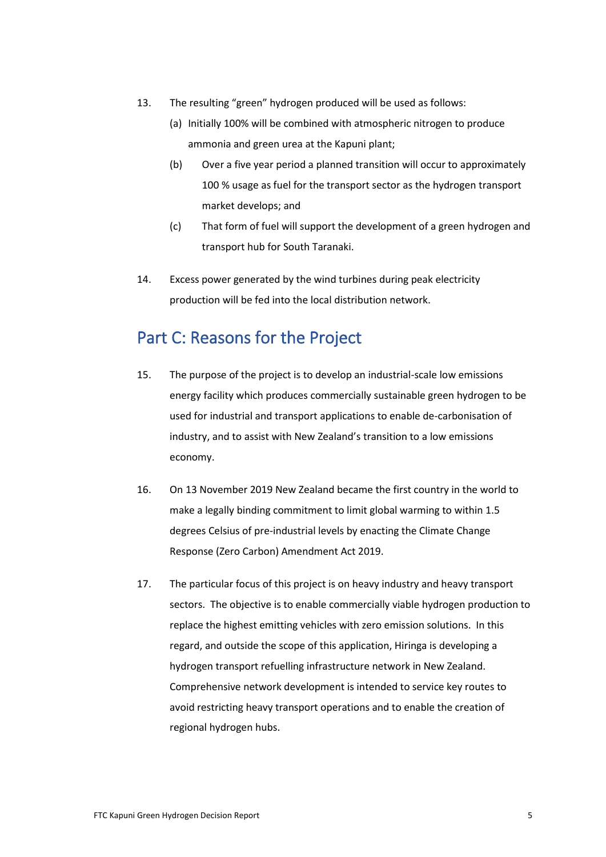- 13. The resulting "green" hydrogen produced will be used as follows:
	- (a) Initially 100% will be combined with atmospheric nitrogen to produce ammonia and green urea at the Kapuni plant;
	- (b) Over a five year period a planned transition will occur to approximately 100 % usage as fuel for the transport sector as the hydrogen transport market develops; and
	- (c) That form of fuel will support the development of a green hydrogen and transport hub for South Taranaki.
- 14. Excess power generated by the wind turbines during peak electricity production will be fed into the local distribution network.

# Part C: Reasons for the Project

- 15. The purpose of the project is to develop an industrial-scale low emissions energy facility which produces commercially sustainable green hydrogen to be used for industrial and transport applications to enable de-carbonisation of industry, and to assist with New Zealand's transition to a low emissions economy.
- 16. On 13 November 2019 New Zealand became the first country in the world to make a legally binding commitment to limit global warming to within 1.5 degrees Celsius of pre-industrial levels by enacting the Climate Change Response (Zero Carbon) Amendment Act 2019.
- 17. The particular focus of this project is on heavy industry and heavy transport sectors. The objective is to enable commercially viable hydrogen production to replace the highest emitting vehicles with zero emission solutions. In this regard, and outside the scope of this application, Hiringa is developing a hydrogen transport refuelling infrastructure network in New Zealand. Comprehensive network development is intended to service key routes to avoid restricting heavy transport operations and to enable the creation of regional hydrogen hubs.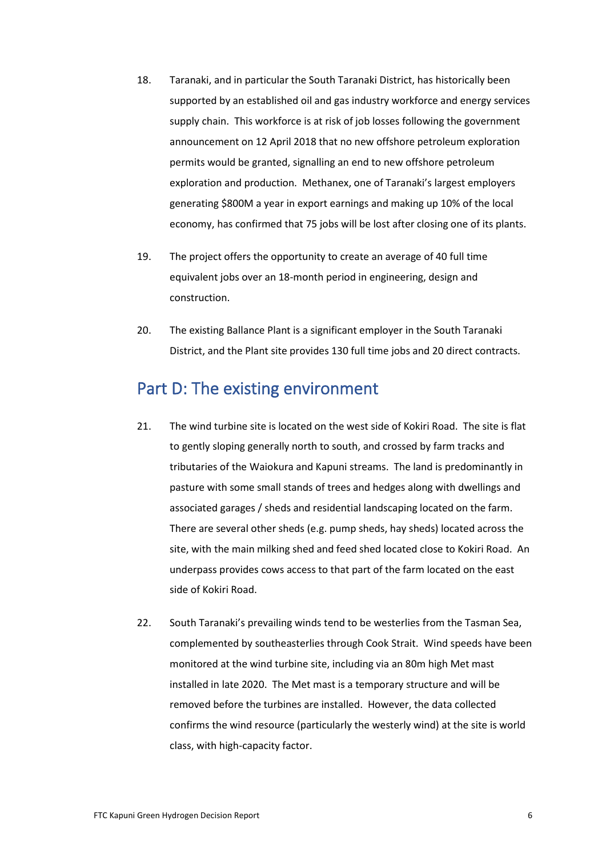- 18. Taranaki, and in particular the South Taranaki District, has historically been supported by an established oil and gas industry workforce and energy services supply chain. This workforce is at risk of job losses following the government announcement on 12 April 2018 that no new offshore petroleum exploration permits would be granted, signalling an end to new offshore petroleum exploration and production. Methanex, one of Taranaki's largest employers generating \$800M a year in export earnings and making up 10% of the local economy, has confirmed that 75 jobs will be lost after closing one of its plants.
- 19. The project offers the opportunity to create an average of 40 full time equivalent jobs over an 18-month period in engineering, design and construction.
- 20. The existing Ballance Plant is a significant employer in the South Taranaki District, and the Plant site provides 130 full time jobs and 20 direct contracts.

# Part D: The existing environment

- 21. The wind turbine site is located on the west side of Kokiri Road. The site is flat to gently sloping generally north to south, and crossed by farm tracks and tributaries of the Waiokura and Kapuni streams. The land is predominantly in pasture with some small stands of trees and hedges along with dwellings and associated garages / sheds and residential landscaping located on the farm. There are several other sheds (e.g. pump sheds, hay sheds) located across the site, with the main milking shed and feed shed located close to Kokiri Road. An underpass provides cows access to that part of the farm located on the east side of Kokiri Road.
- 22. South Taranaki's prevailing winds tend to be westerlies from the Tasman Sea, complemented by southeasterlies through Cook Strait. Wind speeds have been monitored at the wind turbine site, including via an 80m high Met mast installed in late 2020. The Met mast is a temporary structure and will be removed before the turbines are installed. However, the data collected confirms the wind resource (particularly the westerly wind) at the site is world class, with high-capacity factor.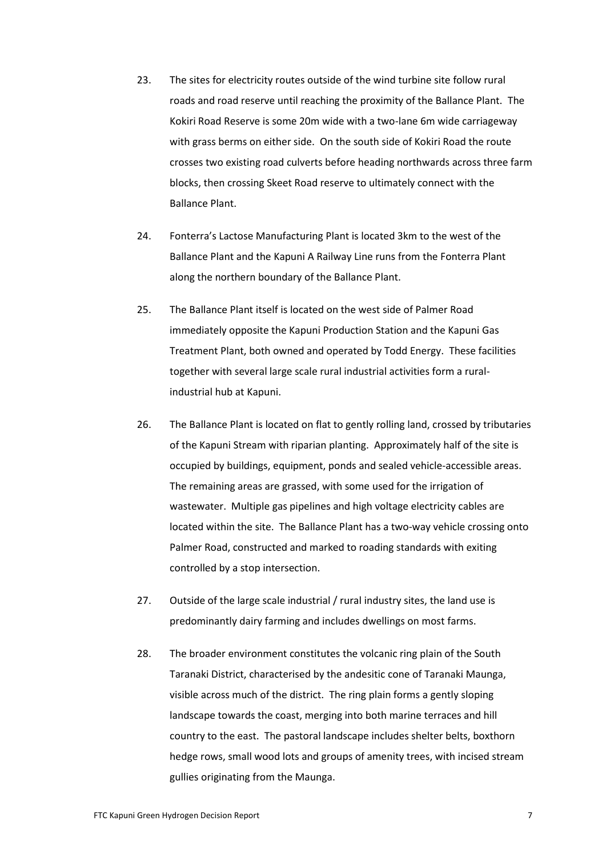- 23. The sites for electricity routes outside of the wind turbine site follow rural roads and road reserve until reaching the proximity of the Ballance Plant. The Kokiri Road Reserve is some 20m wide with a two-lane 6m wide carriageway with grass berms on either side. On the south side of Kokiri Road the route crosses two existing road culverts before heading northwards across three farm blocks, then crossing Skeet Road reserve to ultimately connect with the Ballance Plant.
- 24. Fonterra's Lactose Manufacturing Plant is located 3km to the west of the Ballance Plant and the Kapuni A Railway Line runs from the Fonterra Plant along the northern boundary of the Ballance Plant.
- 25. The Ballance Plant itself is located on the west side of Palmer Road immediately opposite the Kapuni Production Station and the Kapuni Gas Treatment Plant, both owned and operated by Todd Energy. These facilities together with several large scale rural industrial activities form a ruralindustrial hub at Kapuni.
- 26. The Ballance Plant is located on flat to gently rolling land, crossed by tributaries of the Kapuni Stream with riparian planting. Approximately half of the site is occupied by buildings, equipment, ponds and sealed vehicle-accessible areas. The remaining areas are grassed, with some used for the irrigation of wastewater. Multiple gas pipelines and high voltage electricity cables are located within the site. The Ballance Plant has a two-way vehicle crossing onto Palmer Road, constructed and marked to roading standards with exiting controlled by a stop intersection.
- 27. Outside of the large scale industrial / rural industry sites, the land use is predominantly dairy farming and includes dwellings on most farms.
- 28. The broader environment constitutes the volcanic ring plain of the South Taranaki District, characterised by the andesitic cone of Taranaki Maunga, visible across much of the district. The ring plain forms a gently sloping landscape towards the coast, merging into both marine terraces and hill country to the east. The pastoral landscape includes shelter belts, boxthorn hedge rows, small wood lots and groups of amenity trees, with incised stream gullies originating from the Maunga.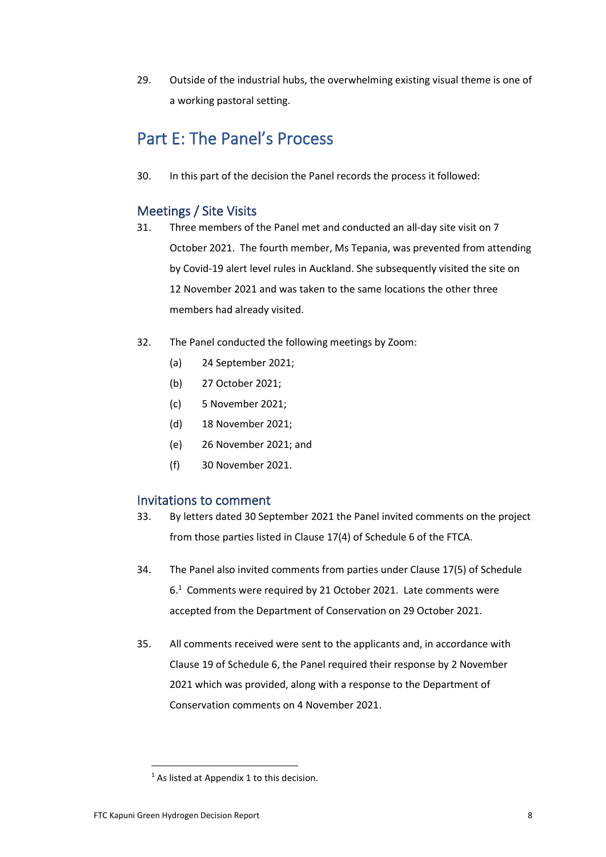29. Outside of the industrial hubs, the overwhelming existing visual theme is one of a working pastoral setting.

# Part E: The Panel's Process

30. In this part of the decision the Panel records the process it followed:

# Meetings / Site Visits

- 31. Three members of the Panel met and conducted an all-day site visit on 7 October 2021. The fourth member, Ms Tepania, was prevented from attending by Covid-19 alert level rules in Auckland. She subsequently visited the site on 12 November 2021 and was taken to the same locations the other three members had already visited.
- 32. The Panel conducted the following meetings by Zoom:
	- (a) 24 September 2021;
	- (b) 27 October 2021;
	- (c) 5 November 2021;
	- (d) 18 November 2021;
	- (e) 26 November 2021; and
	- (f) 30 November 2021.

# Invitations to comment

- 33. By letters dated 30 September 2021 the Panel invited comments on the project from those parties listed in Clause 17(4) of Schedule 6 of the FTCA.
- 34. The Panel also invited comments from parties under Clause 17(5) of Schedule 6.<sup>1</sup> Comments were required by 21 October 2021. Late comments were accepted from the Department of Conservation on 29 October 2021.
- 35. All comments received were sent to the applicants and, in accordance with Clause 19 of Schedule 6, the Panel required their response by 2 November 2021 which was provided, along with a response to the Department of Conservation comments on 4 November 2021.

 $1$  As listed at Appendix 1 to this decision.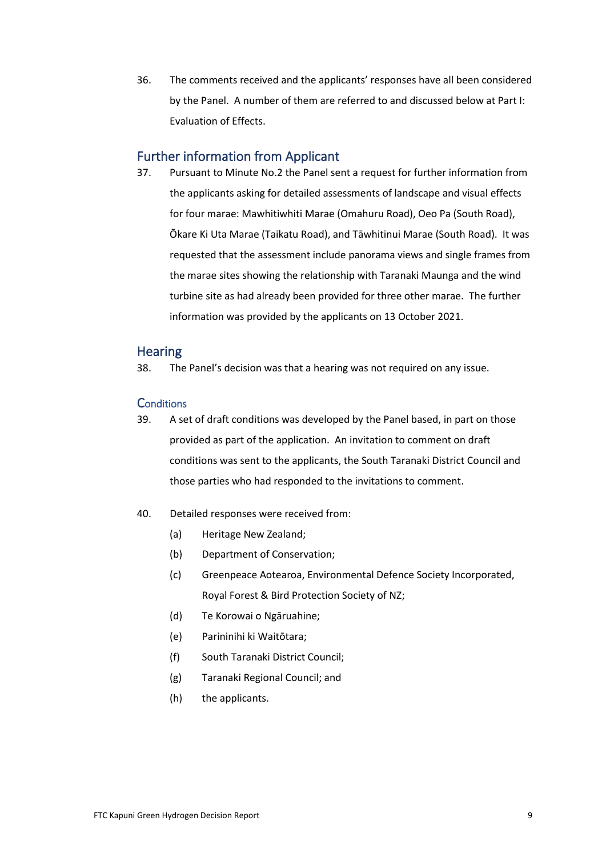36. The comments received and the applicants' responses have all been considered by the Panel. A number of them are referred to and discussed below at Part I: Evaluation of Effects.

## Further information from Applicant

37. Pursuant to Minute No.2 the Panel sent a request for further information from the applicants asking for detailed assessments of landscape and visual effects for four marae: Mawhitiwhiti Marae (Omahuru Road), Oeo Pa (South Road), Ōkare Ki Uta Marae (Taikatu Road), and Tāwhitinui Marae (South Road). It was requested that the assessment include panorama views and single frames from the marae sites showing the relationship with Taranaki Maunga and the wind turbine site as had already been provided for three other marae. The further information was provided by the applicants on 13 October 2021.

## **Hearing**

38. The Panel's decision was that a hearing was not required on any issue.

### **Conditions**

- 39. A set of draft conditions was developed by the Panel based, in part on those provided as part of the application. An invitation to comment on draft conditions was sent to the applicants, the South Taranaki District Council and those parties who had responded to the invitations to comment.
- 40. Detailed responses were received from:
	- (a) Heritage New Zealand;
	- (b) Department of Conservation;
	- (c) Greenpeace Aotearoa, Environmental Defence Society Incorporated, Royal Forest & Bird Protection Society of NZ;
	- (d) Te Korowai o Ngāruahine;
	- (e) Parininihi ki Waitōtara;
	- (f) South Taranaki District Council;
	- (g) Taranaki Regional Council; and
	- (h) the applicants.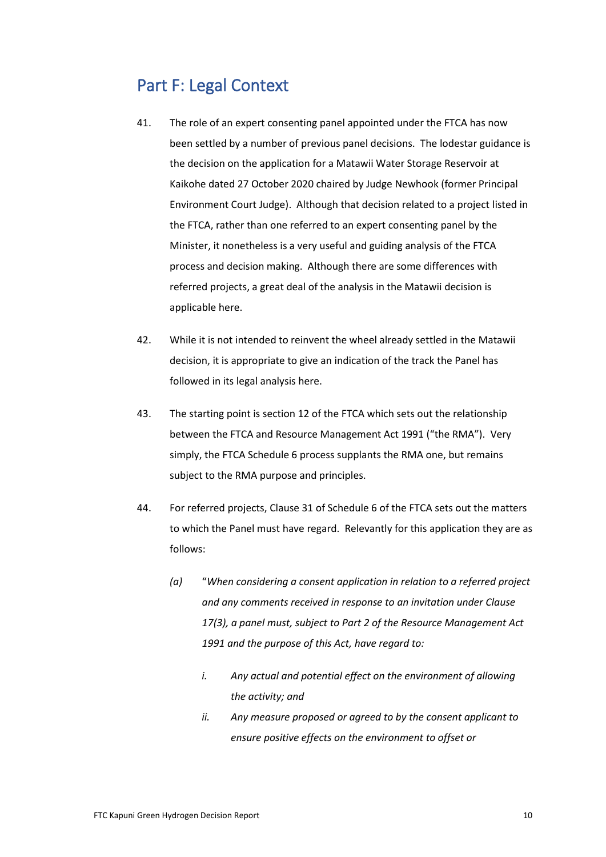# Part F: Legal Context

- 41. The role of an expert consenting panel appointed under the FTCA has now been settled by a number of previous panel decisions. The lodestar guidance is the decision on the application for a Matawii Water Storage Reservoir at Kaikohe dated 27 October 2020 chaired by Judge Newhook (former Principal Environment Court Judge). Although that decision related to a project listed in the FTCA, rather than one referred to an expert consenting panel by the Minister, it nonetheless is a very useful and guiding analysis of the FTCA process and decision making. Although there are some differences with referred projects, a great deal of the analysis in the Matawii decision is applicable here.
- 42. While it is not intended to reinvent the wheel already settled in the Matawii decision, it is appropriate to give an indication of the track the Panel has followed in its legal analysis here.
- 43. The starting point is section 12 of the FTCA which sets out the relationship between the FTCA and Resource Management Act 1991 ("the RMA"). Very simply, the FTCA Schedule 6 process supplants the RMA one, but remains subject to the RMA purpose and principles.
- 44. For referred projects, Clause 31 of Schedule 6 of the FTCA sets out the matters to which the Panel must have regard. Relevantly for this application they are as follows:
	- *(a)* "*When considering a consent application in relation to a referred project and any comments received in response to an invitation under Clause 17(3), a panel must, subject to Part 2 of the Resource Management Act 1991 and the purpose of this Act, have regard to:*
		- *i. Any actual and potential effect on the environment of allowing the activity; and*
		- *ii. Any measure proposed or agreed to by the consent applicant to ensure positive effects on the environment to offset or*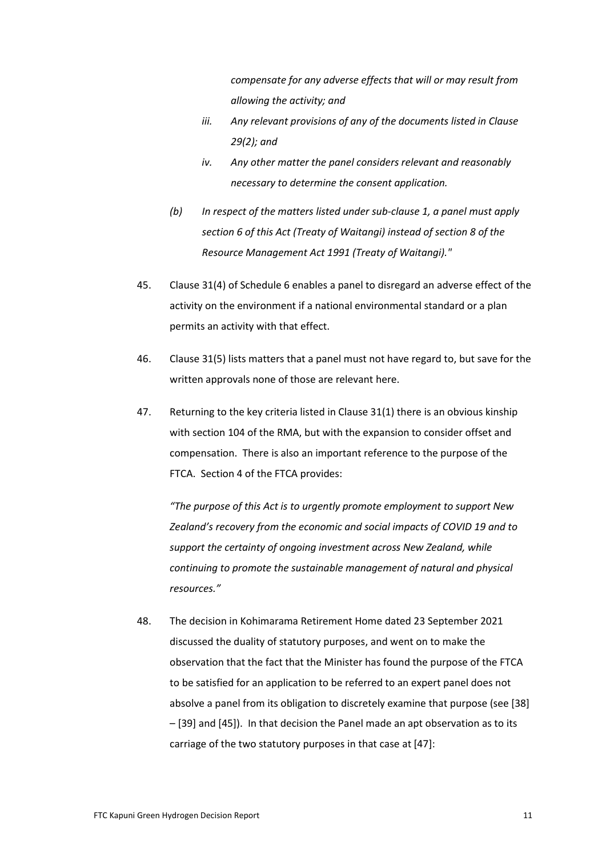*compensate for any adverse effects that will or may result from allowing the activity; and*

- *iii. Any relevant provisions of any of the documents listed in Clause 29(2); and*
- *iv. Any other matter the panel considers relevant and reasonably necessary to determine the consent application.*
- *(b) In respect of the matters listed under sub-clause 1, a panel must apply section 6 of this Act (Treaty of Waitangi) instead of section 8 of the Resource Management Act 1991 (Treaty of Waitangi)."*
- 45. Clause 31(4) of Schedule 6 enables a panel to disregard an adverse effect of the activity on the environment if a national environmental standard or a plan permits an activity with that effect.
- 46. Clause 31(5) lists matters that a panel must not have regard to, but save for the written approvals none of those are relevant here.
- 47. Returning to the key criteria listed in Clause 31(1) there is an obvious kinship with section 104 of the RMA, but with the expansion to consider offset and compensation. There is also an important reference to the purpose of the FTCA. Section 4 of the FTCA provides:

*"The purpose of this Act is to urgently promote employment to support New Zealand's recovery from the economic and social impacts of COVID 19 and to support the certainty of ongoing investment across New Zealand, while continuing to promote the sustainable management of natural and physical resources."*

48. The decision in Kohimarama Retirement Home dated 23 September 2021 discussed the duality of statutory purposes, and went on to make the observation that the fact that the Minister has found the purpose of the FTCA to be satisfied for an application to be referred to an expert panel does not absolve a panel from its obligation to discretely examine that purpose (see [38] – [39] and [45]). In that decision the Panel made an apt observation as to its carriage of the two statutory purposes in that case at [47]: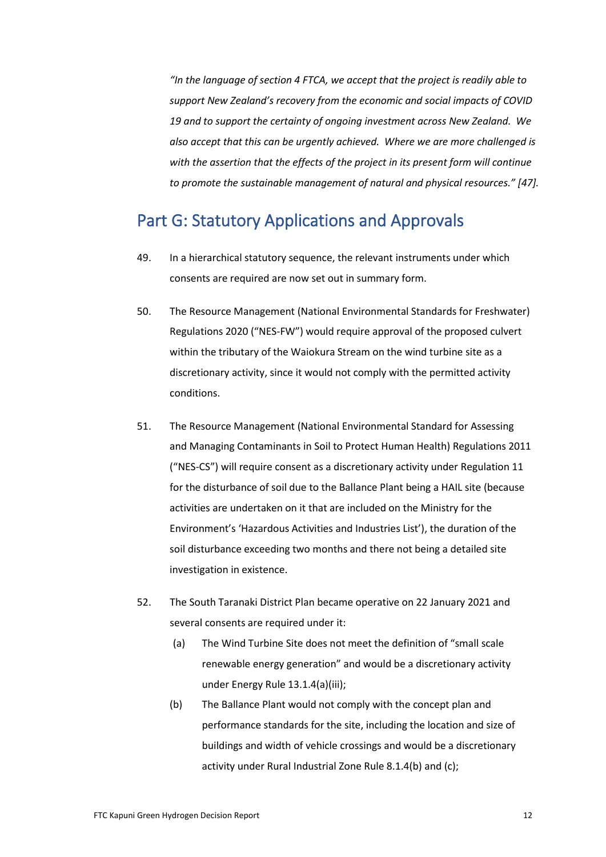*"In the language of section 4 FTCA, we accept that the project is readily able to support New Zealand's recovery from the economic and social impacts of COVID 19 and to support the certainty of ongoing investment across New Zealand. We also accept that this can be urgently achieved. Where we are more challenged is with the assertion that the effects of the project in its present form will continue to promote the sustainable management of natural and physical resources." [47].*

# Part G: Statutory Applications and Approvals

- 49. In a hierarchical statutory sequence, the relevant instruments under which consents are required are now set out in summary form.
- 50. The Resource Management (National Environmental Standards for Freshwater) Regulations 2020 ("NES-FW") would require approval of the proposed culvert within the tributary of the Waiokura Stream on the wind turbine site as a discretionary activity, since it would not comply with the permitted activity conditions.
- 51. The Resource Management (National Environmental Standard for Assessing and Managing Contaminants in Soil to Protect Human Health) Regulations 2011 ("NES-CS") will require consent as a discretionary activity under Regulation 11 for the disturbance of soil due to the Ballance Plant being a HAIL site (because activities are undertaken on it that are included on the Ministry for the Environment's 'Hazardous Activities and Industries List'), the duration of the soil disturbance exceeding two months and there not being a detailed site investigation in existence.
- 52. The South Taranaki District Plan became operative on 22 January 2021 and several consents are required under it:
	- (a) The Wind Turbine Site does not meet the definition of "small scale renewable energy generation" and would be a discretionary activity under Energy Rule 13.1.4(a)(iii);
	- (b) The Ballance Plant would not comply with the concept plan and performance standards for the site, including the location and size of buildings and width of vehicle crossings and would be a discretionary activity under Rural Industrial Zone Rule 8.1.4(b) and (c);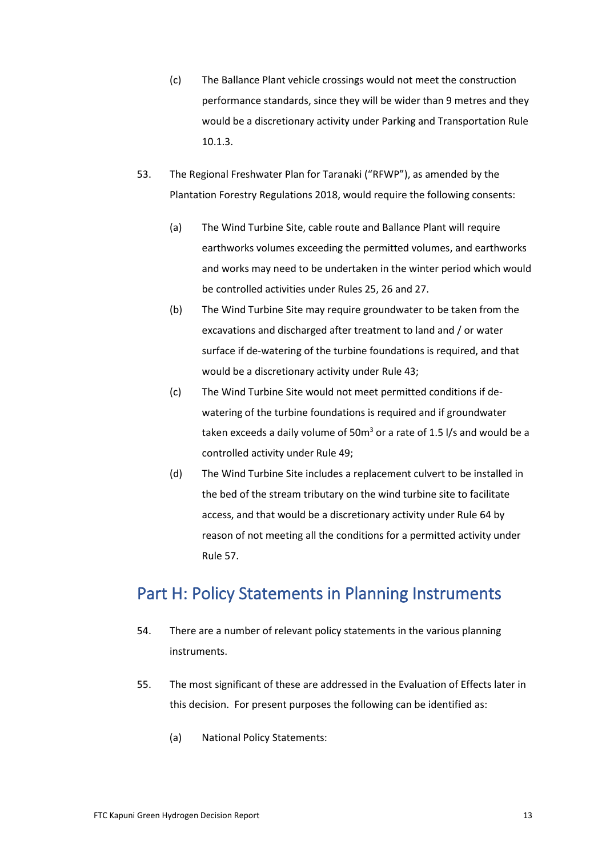- (c) The Ballance Plant vehicle crossings would not meet the construction performance standards, since they will be wider than 9 metres and they would be a discretionary activity under Parking and Transportation Rule 10.1.3.
- 53. The Regional Freshwater Plan for Taranaki ("RFWP"), as amended by the Plantation Forestry Regulations 2018, would require the following consents:
	- (a) The Wind Turbine Site, cable route and Ballance Plant will require earthworks volumes exceeding the permitted volumes, and earthworks and works may need to be undertaken in the winter period which would be controlled activities under Rules 25, 26 and 27.
	- (b) The Wind Turbine Site may require groundwater to be taken from the excavations and discharged after treatment to land and / or water surface if de-watering of the turbine foundations is required, and that would be a discretionary activity under Rule 43;
	- (c) The Wind Turbine Site would not meet permitted conditions if dewatering of the turbine foundations is required and if groundwater taken exceeds a daily volume of 50 $m<sup>3</sup>$  or a rate of 1.5 l/s and would be a controlled activity under Rule 49;
	- (d) The Wind Turbine Site includes a replacement culvert to be installed in the bed of the stream tributary on the wind turbine site to facilitate access, and that would be a discretionary activity under Rule 64 by reason of not meeting all the conditions for a permitted activity under Rule 57.

# Part H: Policy Statements in Planning Instruments

- 54. There are a number of relevant policy statements in the various planning instruments.
- 55. The most significant of these are addressed in the Evaluation of Effects later in this decision. For present purposes the following can be identified as:
	- (a) National Policy Statements: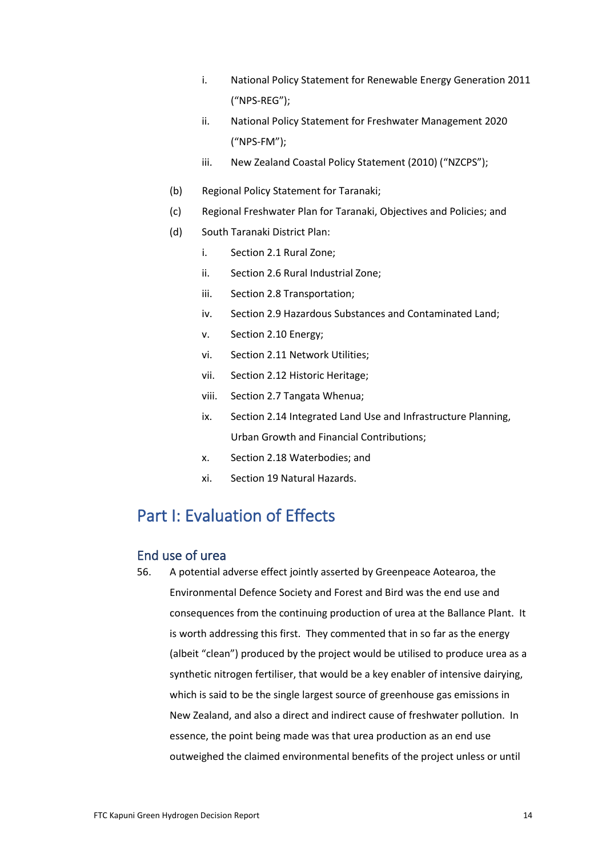- i. National Policy Statement for Renewable Energy Generation 2011 ("NPS-REG");
- ii. National Policy Statement for Freshwater Management 2020 ("NPS-FM");
- iii. New Zealand Coastal Policy Statement (2010) ("NZCPS");
- (b) Regional Policy Statement for Taranaki;
- (c) Regional Freshwater Plan for Taranaki, Objectives and Policies; and
- (d) South Taranaki District Plan:
	- i. Section 2.1 Rural Zone;
	- ii. Section 2.6 Rural Industrial Zone;
	- iii. Section 2.8 Transportation;
	- iv. Section 2.9 Hazardous Substances and Contaminated Land;
	- v. Section 2.10 Energy;
	- vi. Section 2.11 Network Utilities;
	- vii. Section 2.12 Historic Heritage;
	- viii. Section 2.7 Tangata Whenua;
	- ix. Section 2.14 Integrated Land Use and Infrastructure Planning, Urban Growth and Financial Contributions;
	- x. Section 2.18 Waterbodies; and
	- xi. Section 19 Natural Hazards.

# Part I: Evaluation of Effects

## End use of urea

56. A potential adverse effect jointly asserted by Greenpeace Aotearoa, the Environmental Defence Society and Forest and Bird was the end use and consequences from the continuing production of urea at the Ballance Plant. It is worth addressing this first. They commented that in so far as the energy (albeit "clean") produced by the project would be utilised to produce urea as a synthetic nitrogen fertiliser, that would be a key enabler of intensive dairying, which is said to be the single largest source of greenhouse gas emissions in New Zealand, and also a direct and indirect cause of freshwater pollution. In essence, the point being made was that urea production as an end use outweighed the claimed environmental benefits of the project unless or until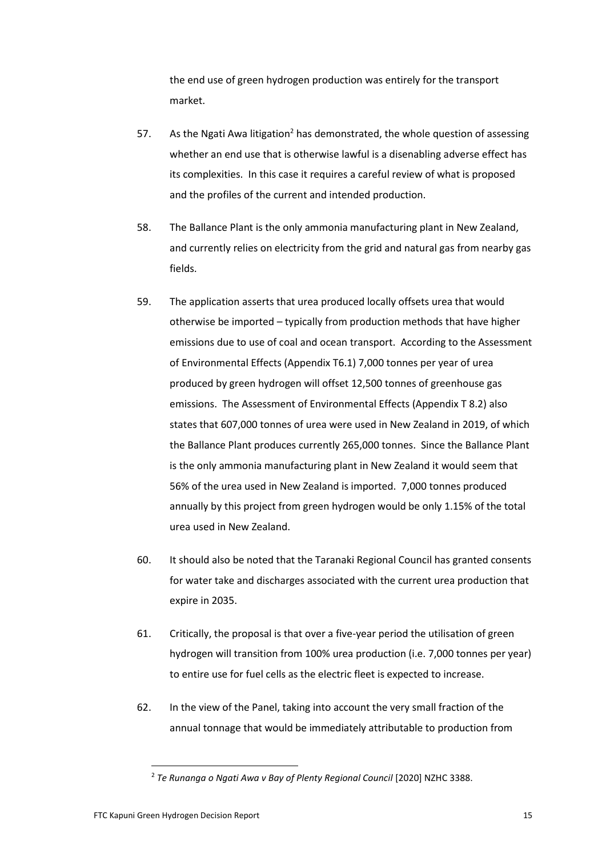the end use of green hydrogen production was entirely for the transport market.

- 57. As the Ngati Awa litigation<sup>2</sup> has demonstrated, the whole question of assessing whether an end use that is otherwise lawful is a disenabling adverse effect has its complexities. In this case it requires a careful review of what is proposed and the profiles of the current and intended production.
- 58. The Ballance Plant is the only ammonia manufacturing plant in New Zealand, and currently relies on electricity from the grid and natural gas from nearby gas fields.
- 59. The application asserts that urea produced locally offsets urea that would otherwise be imported – typically from production methods that have higher emissions due to use of coal and ocean transport. According to the Assessment of Environmental Effects (Appendix T6.1) 7,000 tonnes per year of urea produced by green hydrogen will offset 12,500 tonnes of greenhouse gas emissions. The Assessment of Environmental Effects (Appendix T 8.2) also states that 607,000 tonnes of urea were used in New Zealand in 2019, of which the Ballance Plant produces currently 265,000 tonnes. Since the Ballance Plant is the only ammonia manufacturing plant in New Zealand it would seem that 56% of the urea used in New Zealand is imported. 7,000 tonnes produced annually by this project from green hydrogen would be only 1.15% of the total urea used in New Zealand.
- 60. It should also be noted that the Taranaki Regional Council has granted consents for water take and discharges associated with the current urea production that expire in 2035.
- 61. Critically, the proposal is that over a five-year period the utilisation of green hydrogen will transition from 100% urea production (i.e. 7,000 tonnes per year) to entire use for fuel cells as the electric fleet is expected to increase.
- 62. In the view of the Panel, taking into account the very small fraction of the annual tonnage that would be immediately attributable to production from

<sup>2</sup> *Te Runanga o Ngati Awa v Bay of Plenty Regional Council* [2020] NZHC 3388.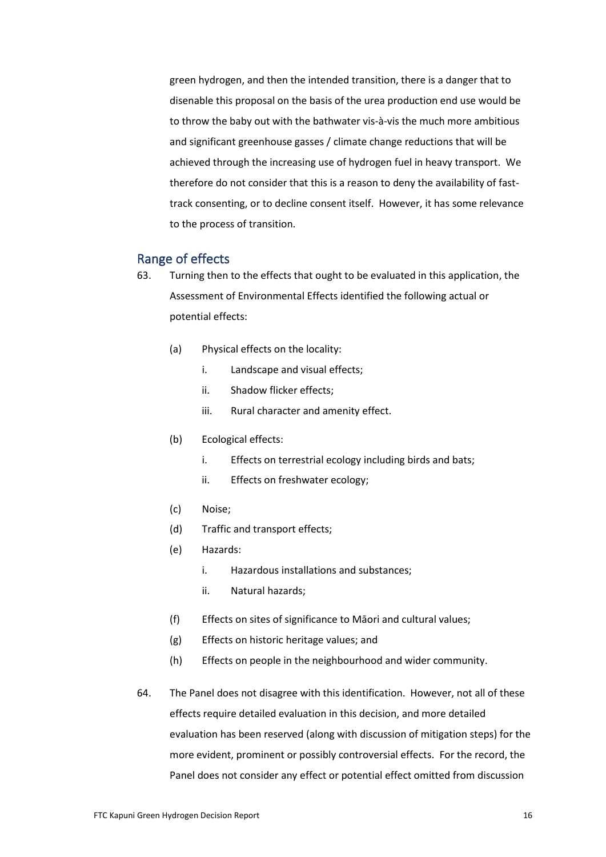green hydrogen, and then the intended transition, there is a danger that to disenable this proposal on the basis of the urea production end use would be to throw the baby out with the bathwater vis-à-vis the much more ambitious and significant greenhouse gasses / climate change reductions that will be achieved through the increasing use of hydrogen fuel in heavy transport. We therefore do not consider that this is a reason to deny the availability of fasttrack consenting, or to decline consent itself. However, it has some relevance to the process of transition.

## Range of effects

- 63. Turning then to the effects that ought to be evaluated in this application, the Assessment of Environmental Effects identified the following actual or potential effects:
	- (a) Physical effects on the locality:
		- i. Landscape and visual effects;
		- ii. Shadow flicker effects;
		- iii. Rural character and amenity effect.
	- (b) Ecological effects:
		- i. Effects on terrestrial ecology including birds and bats;
		- ii. Effects on freshwater ecology;
	- (c) Noise;
	- (d) Traffic and transport effects;
	- (e) Hazards:
		- i. Hazardous installations and substances;
		- ii. Natural hazards;
	- (f) Effects on sites of significance to Māori and cultural values;
	- (g) Effects on historic heritage values; and
	- (h) Effects on people in the neighbourhood and wider community.
- 64. The Panel does not disagree with this identification. However, not all of these effects require detailed evaluation in this decision, and more detailed evaluation has been reserved (along with discussion of mitigation steps) for the more evident, prominent or possibly controversial effects. For the record, the Panel does not consider any effect or potential effect omitted from discussion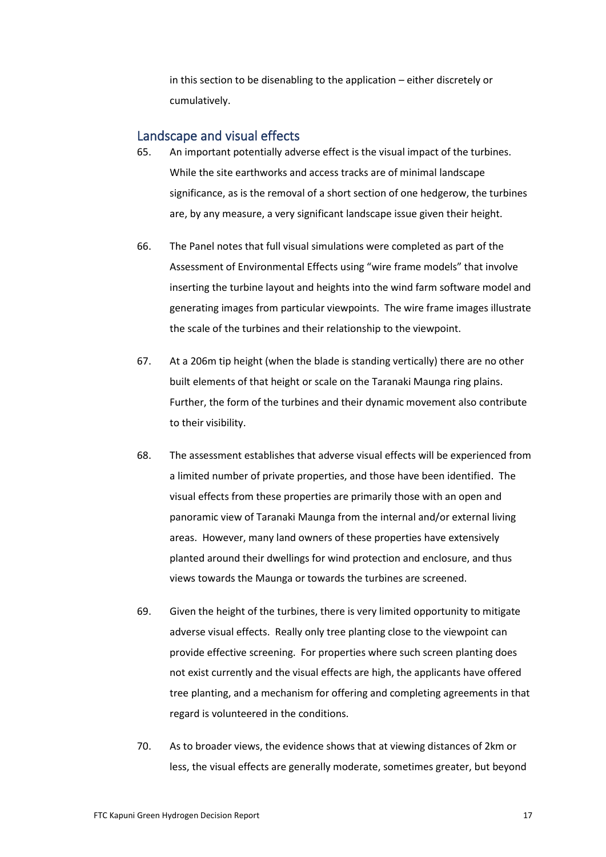in this section to be disenabling to the application – either discretely or cumulatively.

## Landscape and visual effects

- 65. An important potentially adverse effect is the visual impact of the turbines. While the site earthworks and access tracks are of minimal landscape significance, as is the removal of a short section of one hedgerow, the turbines are, by any measure, a very significant landscape issue given their height.
- 66. The Panel notes that full visual simulations were completed as part of the Assessment of Environmental Effects using "wire frame models" that involve inserting the turbine layout and heights into the wind farm software model and generating images from particular viewpoints. The wire frame images illustrate the scale of the turbines and their relationship to the viewpoint.
- 67. At a 206m tip height (when the blade is standing vertically) there are no other built elements of that height or scale on the Taranaki Maunga ring plains. Further, the form of the turbines and their dynamic movement also contribute to their visibility.
- 68. The assessment establishes that adverse visual effects will be experienced from a limited number of private properties, and those have been identified. The visual effects from these properties are primarily those with an open and panoramic view of Taranaki Maunga from the internal and/or external living areas. However, many land owners of these properties have extensively planted around their dwellings for wind protection and enclosure, and thus views towards the Maunga or towards the turbines are screened.
- 69. Given the height of the turbines, there is very limited opportunity to mitigate adverse visual effects. Really only tree planting close to the viewpoint can provide effective screening. For properties where such screen planting does not exist currently and the visual effects are high, the applicants have offered tree planting, and a mechanism for offering and completing agreements in that regard is volunteered in the conditions.
- 70. As to broader views, the evidence shows that at viewing distances of 2km or less, the visual effects are generally moderate, sometimes greater, but beyond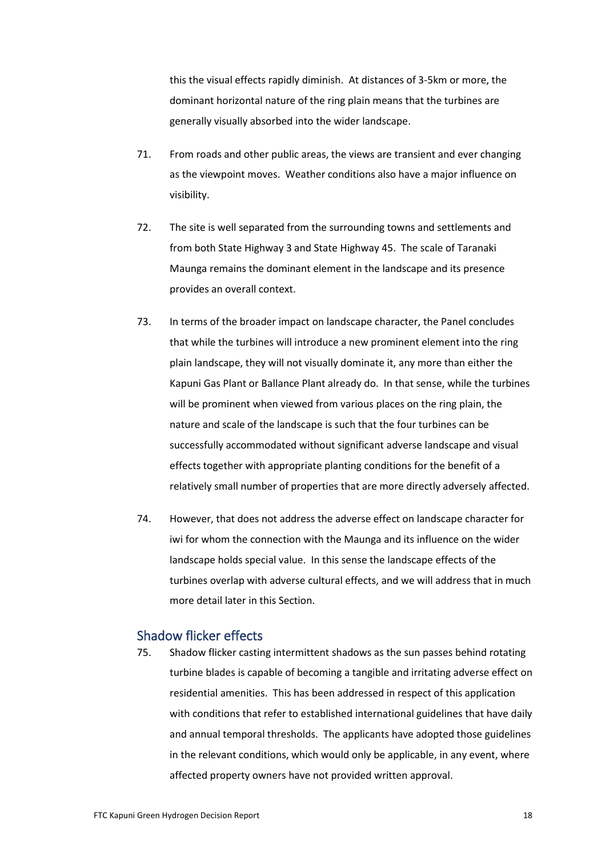this the visual effects rapidly diminish. At distances of 3-5km or more, the dominant horizontal nature of the ring plain means that the turbines are generally visually absorbed into the wider landscape.

- 71. From roads and other public areas, the views are transient and ever changing as the viewpoint moves. Weather conditions also have a major influence on visibility.
- 72. The site is well separated from the surrounding towns and settlements and from both State Highway 3 and State Highway 45. The scale of Taranaki Maunga remains the dominant element in the landscape and its presence provides an overall context.
- 73. In terms of the broader impact on landscape character, the Panel concludes that while the turbines will introduce a new prominent element into the ring plain landscape, they will not visually dominate it, any more than either the Kapuni Gas Plant or Ballance Plant already do. In that sense, while the turbines will be prominent when viewed from various places on the ring plain, the nature and scale of the landscape is such that the four turbines can be successfully accommodated without significant adverse landscape and visual effects together with appropriate planting conditions for the benefit of a relatively small number of properties that are more directly adversely affected.
- 74. However, that does not address the adverse effect on landscape character for iwi for whom the connection with the Maunga and its influence on the wider landscape holds special value. In this sense the landscape effects of the turbines overlap with adverse cultural effects, and we will address that in much more detail later in this Section.

## Shadow flicker effects

75. Shadow flicker casting intermittent shadows as the sun passes behind rotating turbine blades is capable of becoming a tangible and irritating adverse effect on residential amenities. This has been addressed in respect of this application with conditions that refer to established international guidelines that have daily and annual temporal thresholds. The applicants have adopted those guidelines in the relevant conditions, which would only be applicable, in any event, where affected property owners have not provided written approval.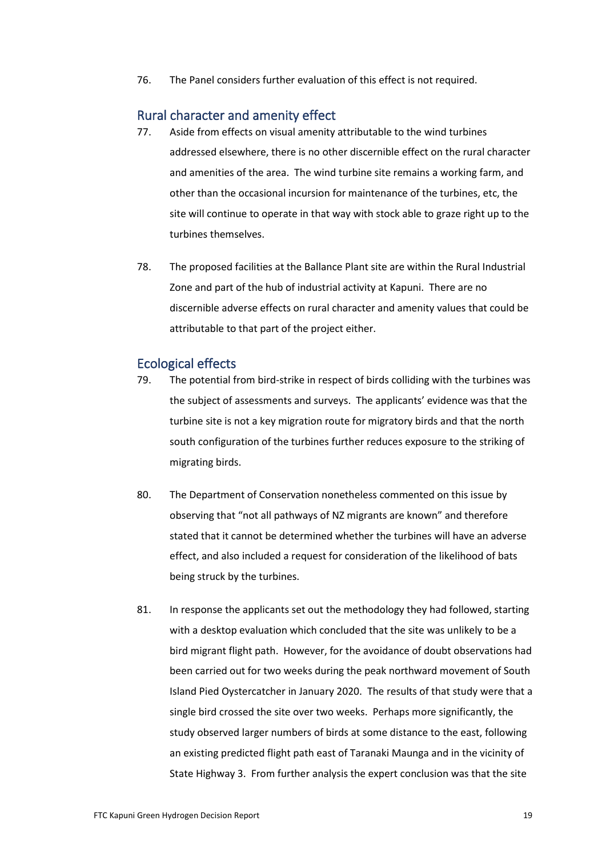76. The Panel considers further evaluation of this effect is not required.

### Rural character and amenity effect

- 77. Aside from effects on visual amenity attributable to the wind turbines addressed elsewhere, there is no other discernible effect on the rural character and amenities of the area. The wind turbine site remains a working farm, and other than the occasional incursion for maintenance of the turbines, etc, the site will continue to operate in that way with stock able to graze right up to the turbines themselves.
- 78. The proposed facilities at the Ballance Plant site are within the Rural Industrial Zone and part of the hub of industrial activity at Kapuni. There are no discernible adverse effects on rural character and amenity values that could be attributable to that part of the project either.

## Ecological effects

- 79. The potential from bird-strike in respect of birds colliding with the turbines was the subject of assessments and surveys. The applicants' evidence was that the turbine site is not a key migration route for migratory birds and that the north south configuration of the turbines further reduces exposure to the striking of migrating birds.
- 80. The Department of Conservation nonetheless commented on this issue by observing that "not all pathways of NZ migrants are known" and therefore stated that it cannot be determined whether the turbines will have an adverse effect, and also included a request for consideration of the likelihood of bats being struck by the turbines.
- 81. In response the applicants set out the methodology they had followed, starting with a desktop evaluation which concluded that the site was unlikely to be a bird migrant flight path. However, for the avoidance of doubt observations had been carried out for two weeks during the peak northward movement of South Island Pied Oystercatcher in January 2020. The results of that study were that a single bird crossed the site over two weeks. Perhaps more significantly, the study observed larger numbers of birds at some distance to the east, following an existing predicted flight path east of Taranaki Maunga and in the vicinity of State Highway 3. From further analysis the expert conclusion was that the site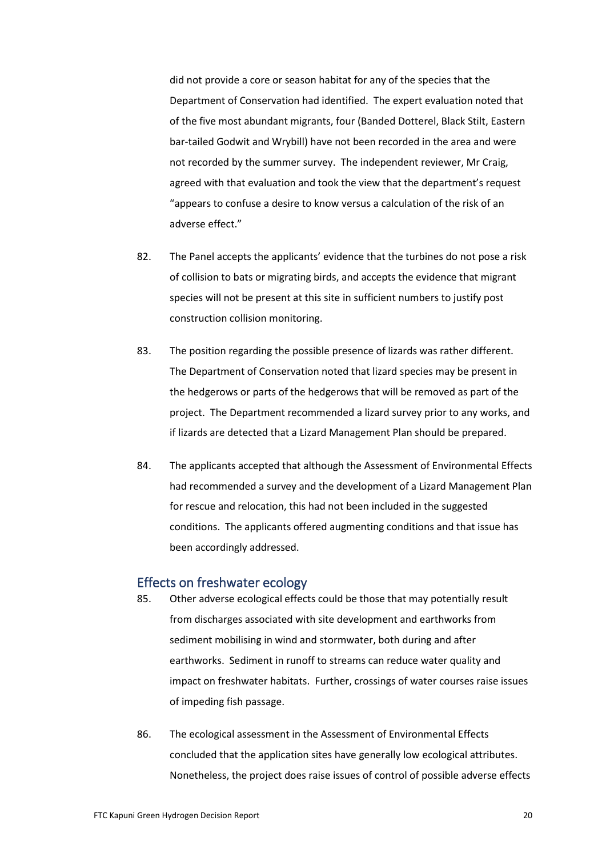did not provide a core or season habitat for any of the species that the Department of Conservation had identified. The expert evaluation noted that of the five most abundant migrants, four (Banded Dotterel, Black Stilt, Eastern bar-tailed Godwit and Wrybill) have not been recorded in the area and were not recorded by the summer survey. The independent reviewer, Mr Craig, agreed with that evaluation and took the view that the department's request "appears to confuse a desire to know versus a calculation of the risk of an adverse effect."

- 82. The Panel accepts the applicants' evidence that the turbines do not pose a risk of collision to bats or migrating birds, and accepts the evidence that migrant species will not be present at this site in sufficient numbers to justify post construction collision monitoring.
- 83. The position regarding the possible presence of lizards was rather different. The Department of Conservation noted that lizard species may be present in the hedgerows or parts of the hedgerows that will be removed as part of the project. The Department recommended a lizard survey prior to any works, and if lizards are detected that a Lizard Management Plan should be prepared.
- 84. The applicants accepted that although the Assessment of Environmental Effects had recommended a survey and the development of a Lizard Management Plan for rescue and relocation, this had not been included in the suggested conditions. The applicants offered augmenting conditions and that issue has been accordingly addressed.

### Effects on freshwater ecology

- 85. Other adverse ecological effects could be those that may potentially result from discharges associated with site development and earthworks from sediment mobilising in wind and stormwater, both during and after earthworks. Sediment in runoff to streams can reduce water quality and impact on freshwater habitats. Further, crossings of water courses raise issues of impeding fish passage.
- 86. The ecological assessment in the Assessment of Environmental Effects concluded that the application sites have generally low ecological attributes. Nonetheless, the project does raise issues of control of possible adverse effects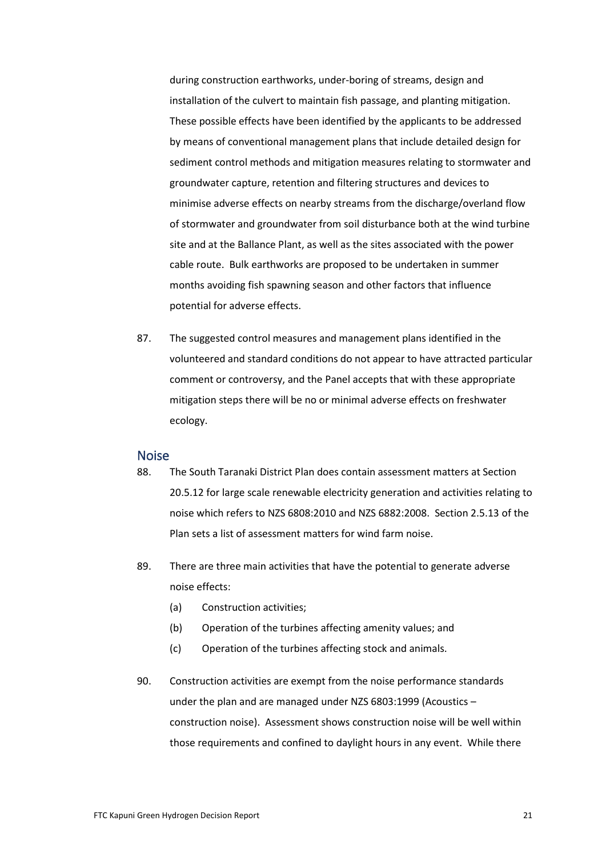during construction earthworks, under-boring of streams, design and installation of the culvert to maintain fish passage, and planting mitigation. These possible effects have been identified by the applicants to be addressed by means of conventional management plans that include detailed design for sediment control methods and mitigation measures relating to stormwater and groundwater capture, retention and filtering structures and devices to minimise adverse effects on nearby streams from the discharge/overland flow of stormwater and groundwater from soil disturbance both at the wind turbine site and at the Ballance Plant, as well as the sites associated with the power cable route. Bulk earthworks are proposed to be undertaken in summer months avoiding fish spawning season and other factors that influence potential for adverse effects.

87. The suggested control measures and management plans identified in the volunteered and standard conditions do not appear to have attracted particular comment or controversy, and the Panel accepts that with these appropriate mitigation steps there will be no or minimal adverse effects on freshwater ecology.

### Noise

- 88. The South Taranaki District Plan does contain assessment matters at Section 20.5.12 for large scale renewable electricity generation and activities relating to noise which refers to NZS 6808:2010 and NZS 6882:2008. Section 2.5.13 of the Plan sets a list of assessment matters for wind farm noise.
- 89. There are three main activities that have the potential to generate adverse noise effects:
	- (a) Construction activities;
	- (b) Operation of the turbines affecting amenity values; and
	- (c) Operation of the turbines affecting stock and animals.
- 90. Construction activities are exempt from the noise performance standards under the plan and are managed under NZS 6803:1999 (Acoustics – construction noise). Assessment shows construction noise will be well within those requirements and confined to daylight hours in any event. While there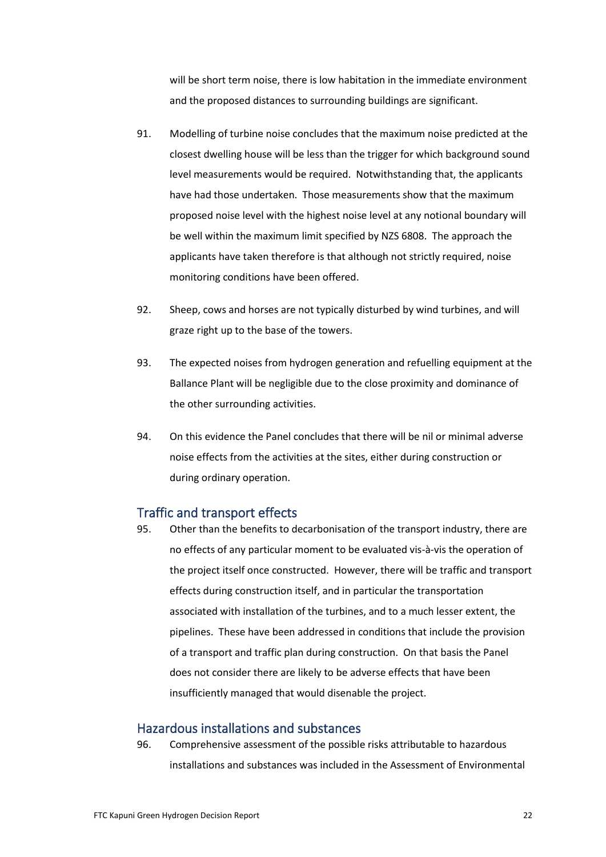will be short term noise, there is low habitation in the immediate environment and the proposed distances to surrounding buildings are significant.

- 91. Modelling of turbine noise concludes that the maximum noise predicted at the closest dwelling house will be less than the trigger for which background sound level measurements would be required. Notwithstanding that, the applicants have had those undertaken. Those measurements show that the maximum proposed noise level with the highest noise level at any notional boundary will be well within the maximum limit specified by NZS 6808. The approach the applicants have taken therefore is that although not strictly required, noise monitoring conditions have been offered.
- 92. Sheep, cows and horses are not typically disturbed by wind turbines, and will graze right up to the base of the towers.
- 93. The expected noises from hydrogen generation and refuelling equipment at the Ballance Plant will be negligible due to the close proximity and dominance of the other surrounding activities.
- 94. On this evidence the Panel concludes that there will be nil or minimal adverse noise effects from the activities at the sites, either during construction or during ordinary operation.

## Traffic and transport effects

95. Other than the benefits to decarbonisation of the transport industry, there are no effects of any particular moment to be evaluated vis-à-vis the operation of the project itself once constructed. However, there will be traffic and transport effects during construction itself, and in particular the transportation associated with installation of the turbines, and to a much lesser extent, the pipelines. These have been addressed in conditions that include the provision of a transport and traffic plan during construction. On that basis the Panel does not consider there are likely to be adverse effects that have been insufficiently managed that would disenable the project.

# Hazardous installations and substances

96. Comprehensive assessment of the possible risks attributable to hazardous installations and substances was included in the Assessment of Environmental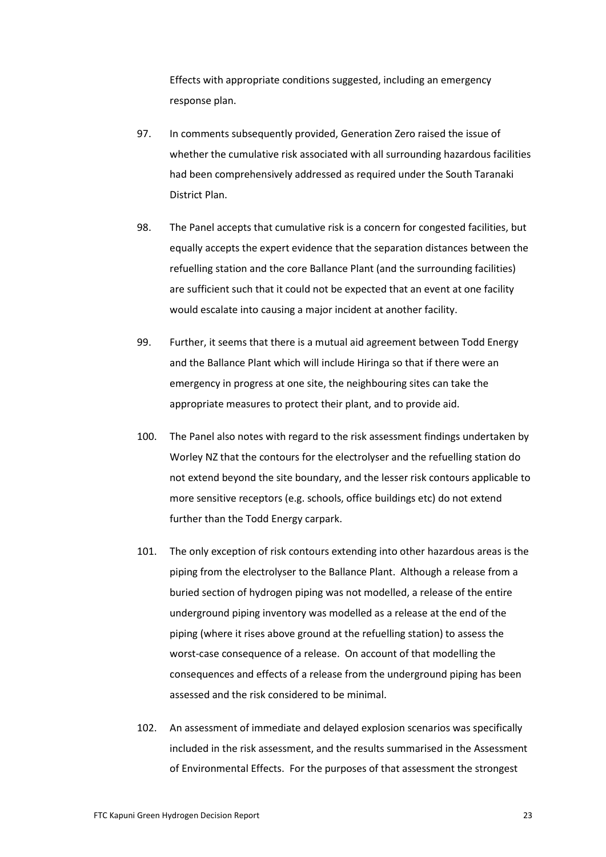Effects with appropriate conditions suggested, including an emergency response plan.

- 97. In comments subsequently provided, Generation Zero raised the issue of whether the cumulative risk associated with all surrounding hazardous facilities had been comprehensively addressed as required under the South Taranaki District Plan.
- 98. The Panel accepts that cumulative risk is a concern for congested facilities, but equally accepts the expert evidence that the separation distances between the refuelling station and the core Ballance Plant (and the surrounding facilities) are sufficient such that it could not be expected that an event at one facility would escalate into causing a major incident at another facility.
- 99. Further, it seems that there is a mutual aid agreement between Todd Energy and the Ballance Plant which will include Hiringa so that if there were an emergency in progress at one site, the neighbouring sites can take the appropriate measures to protect their plant, and to provide aid.
- 100. The Panel also notes with regard to the risk assessment findings undertaken by Worley NZ that the contours for the electrolyser and the refuelling station do not extend beyond the site boundary, and the lesser risk contours applicable to more sensitive receptors (e.g. schools, office buildings etc) do not extend further than the Todd Energy carpark.
- 101. The only exception of risk contours extending into other hazardous areas is the piping from the electrolyser to the Ballance Plant. Although a release from a buried section of hydrogen piping was not modelled, a release of the entire underground piping inventory was modelled as a release at the end of the piping (where it rises above ground at the refuelling station) to assess the worst-case consequence of a release. On account of that modelling the consequences and effects of a release from the underground piping has been assessed and the risk considered to be minimal.
- 102. An assessment of immediate and delayed explosion scenarios was specifically included in the risk assessment, and the results summarised in the Assessment of Environmental Effects. For the purposes of that assessment the strongest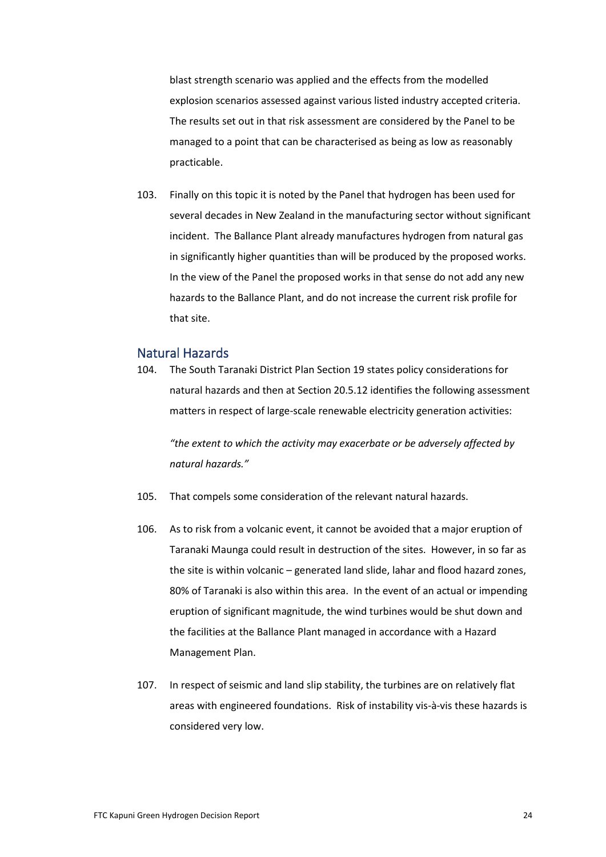blast strength scenario was applied and the effects from the modelled explosion scenarios assessed against various listed industry accepted criteria. The results set out in that risk assessment are considered by the Panel to be managed to a point that can be characterised as being as low as reasonably practicable.

103. Finally on this topic it is noted by the Panel that hydrogen has been used for several decades in New Zealand in the manufacturing sector without significant incident. The Ballance Plant already manufactures hydrogen from natural gas in significantly higher quantities than will be produced by the proposed works. In the view of the Panel the proposed works in that sense do not add any new hazards to the Ballance Plant, and do not increase the current risk profile for that site.

# Natural Hazards

104. The South Taranaki District Plan Section 19 states policy considerations for natural hazards and then at Section 20.5.12 identifies the following assessment matters in respect of large-scale renewable electricity generation activities:

*"the extent to which the activity may exacerbate or be adversely affected by natural hazards."*

- 105. That compels some consideration of the relevant natural hazards.
- 106. As to risk from a volcanic event, it cannot be avoided that a major eruption of Taranaki Maunga could result in destruction of the sites. However, in so far as the site is within volcanic – generated land slide, lahar and flood hazard zones, 80% of Taranaki is also within this area. In the event of an actual or impending eruption of significant magnitude, the wind turbines would be shut down and the facilities at the Ballance Plant managed in accordance with a Hazard Management Plan.
- 107. In respect of seismic and land slip stability, the turbines are on relatively flat areas with engineered foundations. Risk of instability vis-à-vis these hazards is considered very low.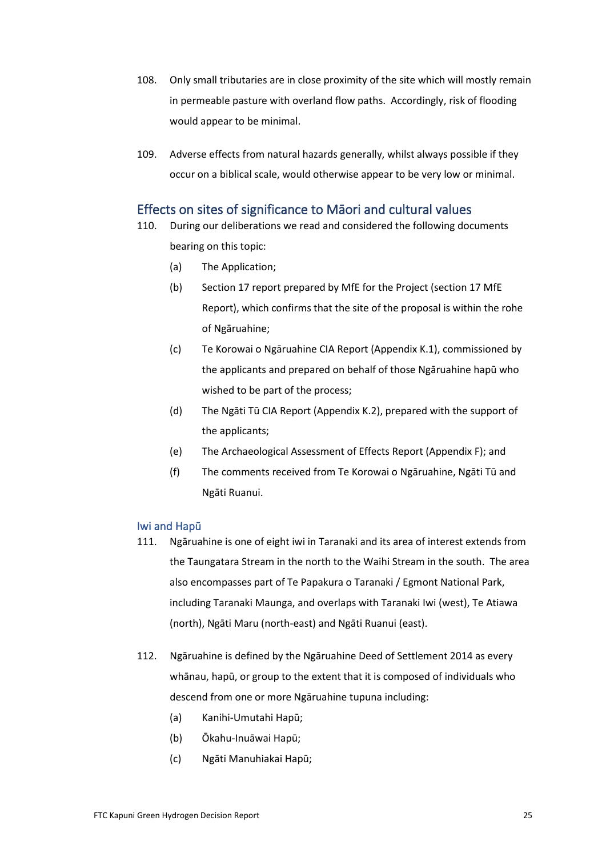- 108. Only small tributaries are in close proximity of the site which will mostly remain in permeable pasture with overland flow paths. Accordingly, risk of flooding would appear to be minimal.
- 109. Adverse effects from natural hazards generally, whilst always possible if they occur on a biblical scale, would otherwise appear to be very low or minimal.

# Effects on sites of significance to Māori and cultural values

- 110. During our deliberations we read and considered the following documents bearing on this topic:
	- (a) The Application;
	- (b) Section 17 report prepared by MfE for the Project (section 17 MfE Report), which confirms that the site of the proposal is within the rohe of Ngāruahine;
	- (c) Te Korowai o Ngāruahine CIA Report (Appendix K.1), commissioned by the applicants and prepared on behalf of those Ngāruahine hapū who wished to be part of the process;
	- (d) The Ngāti Tū CIA Report (Appendix K.2), prepared with the support of the applicants;
	- (e) The Archaeological Assessment of Effects Report (Appendix F); and
	- (f) The comments received from Te Korowai o Ngāruahine, Ngāti Tū and Ngāti Ruanui.

#### Iwi and Hapū

- 111. Ngāruahine is one of eight iwi in Taranaki and its area of interest extends from the Taungatara Stream in the north to the Waihi Stream in the south. The area also encompasses part of Te Papakura o Taranaki / Egmont National Park, including Taranaki Maunga, and overlaps with Taranaki Iwi (west), Te Atiawa (north), Ngāti Maru (north-east) and Ngāti Ruanui (east).
- 112. Ngāruahine is defined by the Ngāruahine Deed of Settlement 2014 as every whānau, hapū, or group to the extent that it is composed of individuals who descend from one or more Ngāruahine tupuna including:
	- (a) Kanihi-Umutahi Hapū;
	- (b) Ōkahu-Inuāwai Hapū;
	- (c) Ngāti Manuhiakai Hapū;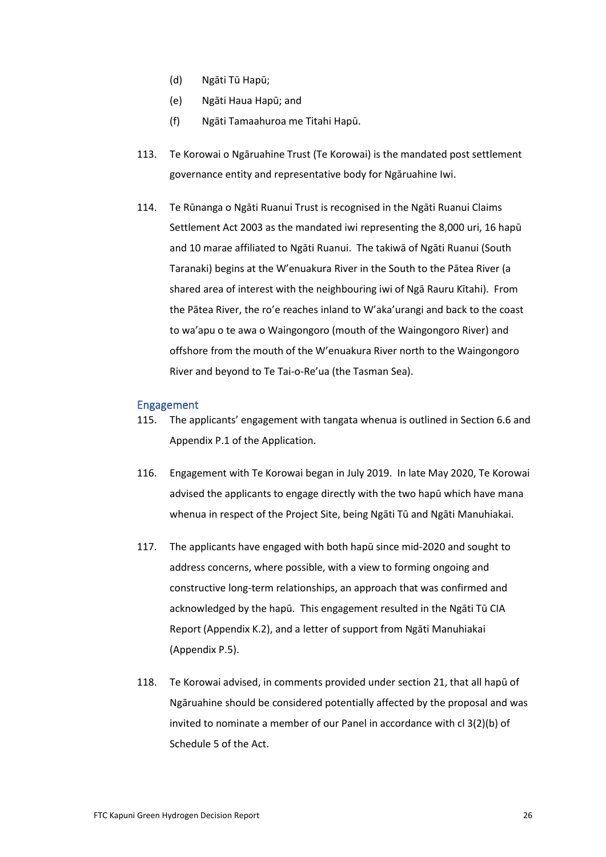- (d) Ngāti Tū Hapū;
- (e) Ngāti Haua Hapū; and
- (f) Ngāti Tamaahuroa me Titahi Hapū.
- 113. Te Korowai o Ngāruahine Trust (Te Korowai) is the mandated post settlement governance entity and representative body for Ngāruahine Iwi.
- 114. Te Rūnanga o Ngāti Ruanui Trust is recognised in the Ngāti Ruanui Claims Settlement Act 2003 as the mandated iwi representing the 8,000 uri, 16 hapū and 10 marae affiliated to Ngāti Ruanui. The takiwā of Ngāti Ruanui (South Taranaki) begins at the W'enuakura River in the South to the Pātea River (a shared area of interest with the neighbouring iwi of Ngā Rauru Kītahi). From the Pātea River, the ro'e reaches inland to W'aka'urangi and back to the coast to wa'apu o te awa o Waingongoro (mouth of the Waingongoro River) and offshore from the mouth of the W'enuakura River north to the Waingongoro River and beyond to Te Tai-o-Re'ua (the Tasman Sea).

#### Engagement

- 115. The applicants' engagement with tangata whenua is outlined in Section 6.6 and Appendix P.1 of the Application.
- 116. Engagement with Te Korowai began in July 2019. In late May 2020, Te Korowai advised the applicants to engage directly with the two hapū which have mana whenua in respect of the Project Site, being Ngāti Tū and Ngāti Manuhiakai.
- 117. The applicants have engaged with both hapū since mid-2020 and sought to address concerns, where possible, with a view to forming ongoing and constructive long-term relationships, an approach that was confirmed and acknowledged by the hapū. This engagement resulted in the Ngāti Tū CIA Report (Appendix K.2), and a letter of support from Ngāti Manuhiakai (Appendix P.5).
- 118. Te Korowai advised, in comments provided under section 21, that all hapū of Ngāruahine should be considered potentially affected by the proposal and was invited to nominate a member of our Panel in accordance with cl 3(2)(b) of Schedule 5 of the Act.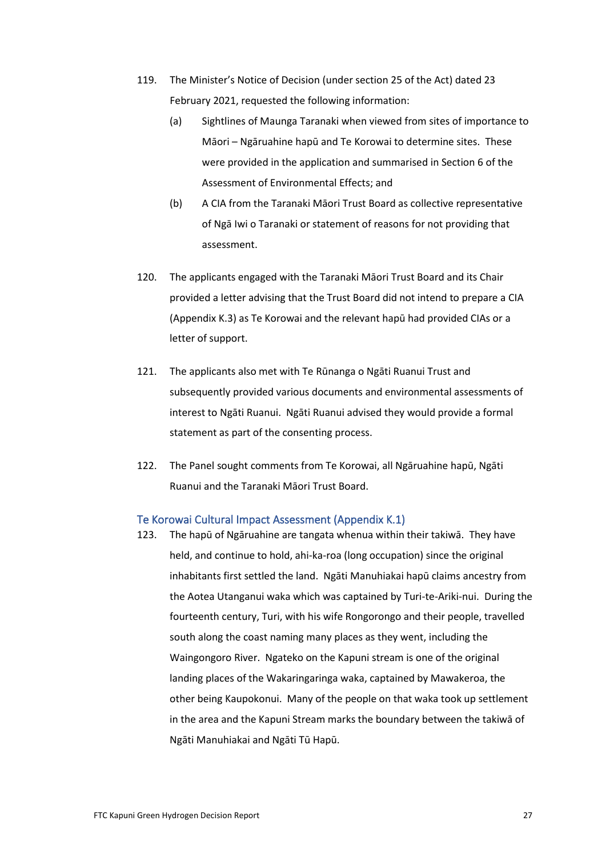- 119. The Minister's Notice of Decision (under section 25 of the Act) dated 23 February 2021, requested the following information:
	- (a) Sightlines of Maunga Taranaki when viewed from sites of importance to Māori – Ngāruahine hapū and Te Korowai to determine sites. These were provided in the application and summarised in Section 6 of the Assessment of Environmental Effects; and
	- (b) A CIA from the Taranaki Māori Trust Board as collective representative of Ngā Iwi o Taranaki or statement of reasons for not providing that assessment.
- 120. The applicants engaged with the Taranaki Māori Trust Board and its Chair provided a letter advising that the Trust Board did not intend to prepare a CIA (Appendix K.3) as Te Korowai and the relevant hapū had provided CIAs or a letter of support.
- 121. The applicants also met with Te Rūnanga o Ngāti Ruanui Trust and subsequently provided various documents and environmental assessments of interest to Ngāti Ruanui. Ngāti Ruanui advised they would provide a formal statement as part of the consenting process.
- 122. The Panel sought comments from Te Korowai, all Ngāruahine hapū, Ngāti Ruanui and the Taranaki Māori Trust Board.

### Te Korowai Cultural Impact Assessment (Appendix K.1)

123. The hapū of Ngāruahine are tangata whenua within their takiwā. They have held, and continue to hold, ahi-ka-roa (long occupation) since the original inhabitants first settled the land. Ngāti Manuhiakai hapū claims ancestry from the Aotea Utanganui waka which was captained by Turi-te-Ariki-nui. During the fourteenth century, Turi, with his wife Rongorongo and their people, travelled south along the coast naming many places as they went, including the Waingongoro River. Ngateko on the Kapuni stream is one of the original landing places of the Wakaringaringa waka, captained by Mawakeroa, the other being Kaupokonui. Many of the people on that waka took up settlement in the area and the Kapuni Stream marks the boundary between the takiwā of Ngāti Manuhiakai and Ngāti Tū Hapū.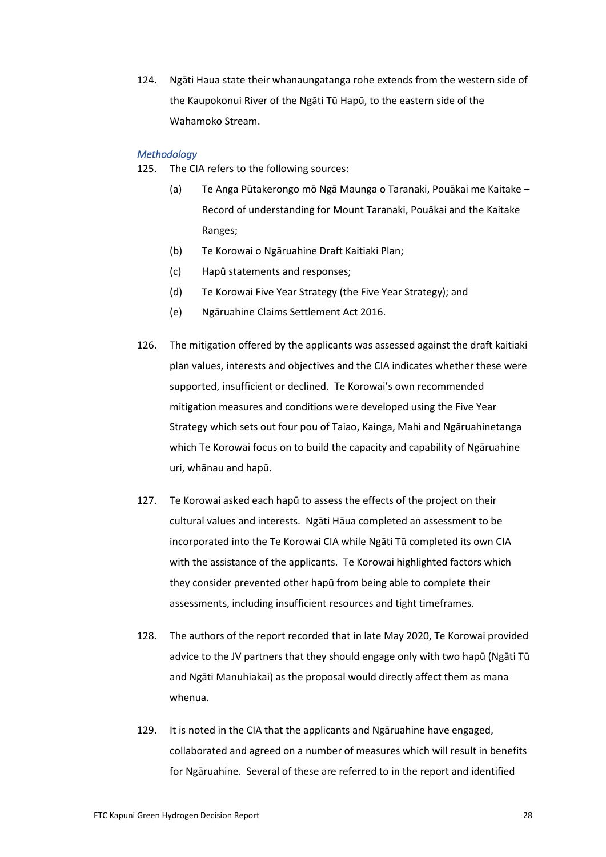124. Ngāti Haua state their whanaungatanga rohe extends from the western side of the Kaupokonui River of the Ngāti Tū Hapū, to the eastern side of the Wahamoko Stream.

### *Methodology*

- 125. The CIA refers to the following sources:
	- (a) Te Anga Pūtakerongo mō Ngā Maunga o Taranaki, Pouākai me Kaitake Record of understanding for Mount Taranaki, Pouākai and the Kaitake Ranges;
	- (b) Te Korowai o Ngāruahine Draft Kaitiaki Plan;
	- (c) Hapū statements and responses;
	- (d) Te Korowai Five Year Strategy (the Five Year Strategy); and
	- (e) Ngāruahine Claims Settlement Act 2016.
- 126. The mitigation offered by the applicants was assessed against the draft kaitiaki plan values, interests and objectives and the CIA indicates whether these were supported, insufficient or declined. Te Korowai's own recommended mitigation measures and conditions were developed using the Five Year Strategy which sets out four pou of Taiao, Kainga, Mahi and Ngāruahinetanga which Te Korowai focus on to build the capacity and capability of Ngāruahine uri, whānau and hapū.
- 127. Te Korowai asked each hapū to assess the effects of the project on their cultural values and interests. Ngāti Hāua completed an assessment to be incorporated into the Te Korowai CIA while Ngāti Tū completed its own CIA with the assistance of the applicants. Te Korowai highlighted factors which they consider prevented other hapū from being able to complete their assessments, including insufficient resources and tight timeframes.
- 128. The authors of the report recorded that in late May 2020, Te Korowai provided advice to the JV partners that they should engage only with two hapū (Ngāti Tū and Ngāti Manuhiakai) as the proposal would directly affect them as mana whenua.
- 129. It is noted in the CIA that the applicants and Ngāruahine have engaged, collaborated and agreed on a number of measures which will result in benefits for Ngāruahine. Several of these are referred to in the report and identified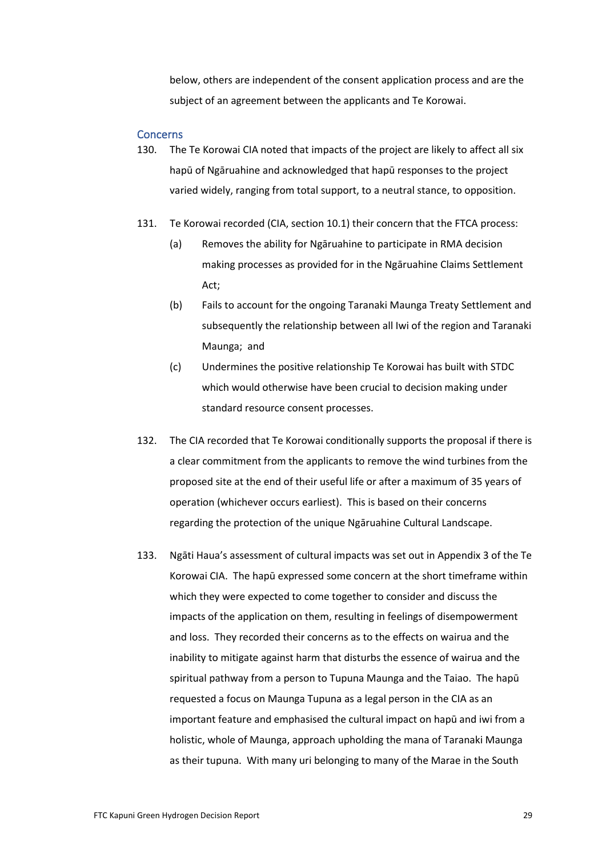below, others are independent of the consent application process and are the subject of an agreement between the applicants and Te Korowai.

#### **Concerns**

- 130. The Te Korowai CIA noted that impacts of the project are likely to affect all six hapū of Ngāruahine and acknowledged that hapū responses to the project varied widely, ranging from total support, to a neutral stance, to opposition.
- 131. Te Korowai recorded (CIA, section 10.1) their concern that the FTCA process:
	- (a) Removes the ability for Ngāruahine to participate in RMA decision making processes as provided for in the Ngāruahine Claims Settlement Act;
	- (b) Fails to account for the ongoing Taranaki Maunga Treaty Settlement and subsequently the relationship between all Iwi of the region and Taranaki Maunga; and
	- (c) Undermines the positive relationship Te Korowai has built with STDC which would otherwise have been crucial to decision making under standard resource consent processes.
- 132. The CIA recorded that Te Korowai conditionally supports the proposal if there is a clear commitment from the applicants to remove the wind turbines from the proposed site at the end of their useful life or after a maximum of 35 years of operation (whichever occurs earliest). This is based on their concerns regarding the protection of the unique Ngāruahine Cultural Landscape.
- 133. Ngāti Haua's assessment of cultural impacts was set out in Appendix 3 of the Te Korowai CIA. The hapū expressed some concern at the short timeframe within which they were expected to come together to consider and discuss the impacts of the application on them, resulting in feelings of disempowerment and loss. They recorded their concerns as to the effects on wairua and the inability to mitigate against harm that disturbs the essence of wairua and the spiritual pathway from a person to Tupuna Maunga and the Taiao. The hapū requested a focus on Maunga Tupuna as a legal person in the CIA as an important feature and emphasised the cultural impact on hapū and iwi from a holistic, whole of Maunga, approach upholding the mana of Taranaki Maunga as their tupuna. With many uri belonging to many of the Marae in the South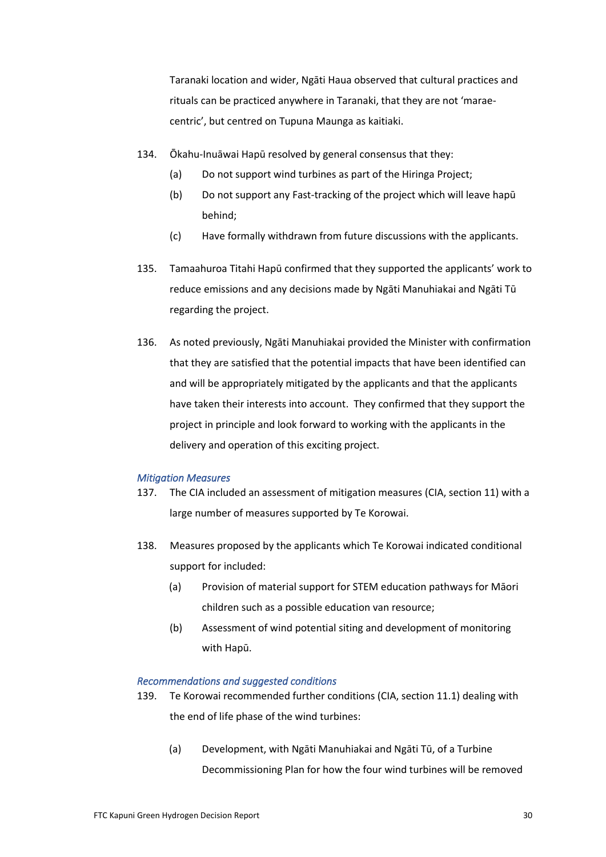Taranaki location and wider, Ngāti Haua observed that cultural practices and rituals can be practiced anywhere in Taranaki, that they are not 'maraecentric', but centred on Tupuna Maunga as kaitiaki.

- 134. Ōkahu-Inuāwai Hapū resolved by general consensus that they:
	- (a) Do not support wind turbines as part of the Hiringa Project;
	- (b) Do not support any Fast-tracking of the project which will leave hapū behind;
	- (c) Have formally withdrawn from future discussions with the applicants.
- 135. Tamaahuroa Titahi Hapū confirmed that they supported the applicants' work to reduce emissions and any decisions made by Ngāti Manuhiakai and Ngāti Tū regarding the project.
- 136. As noted previously, Ngāti Manuhiakai provided the Minister with confirmation that they are satisfied that the potential impacts that have been identified can and will be appropriately mitigated by the applicants and that the applicants have taken their interests into account. They confirmed that they support the project in principle and look forward to working with the applicants in the delivery and operation of this exciting project.

#### *Mitigation Measures*

- 137. The CIA included an assessment of mitigation measures (CIA, section 11) with a large number of measures supported by Te Korowai.
- 138. Measures proposed by the applicants which Te Korowai indicated conditional support for included:
	- (a) Provision of material support for STEM education pathways for Māori children such as a possible education van resource;
	- (b) Assessment of wind potential siting and development of monitoring with Hapū.

#### *Recommendations and suggested conditions*

- 139. Te Korowai recommended further conditions (CIA, section 11.1) dealing with the end of life phase of the wind turbines:
	- (a) Development, with Ngāti Manuhiakai and Ngāti Tū, of a Turbine Decommissioning Plan for how the four wind turbines will be removed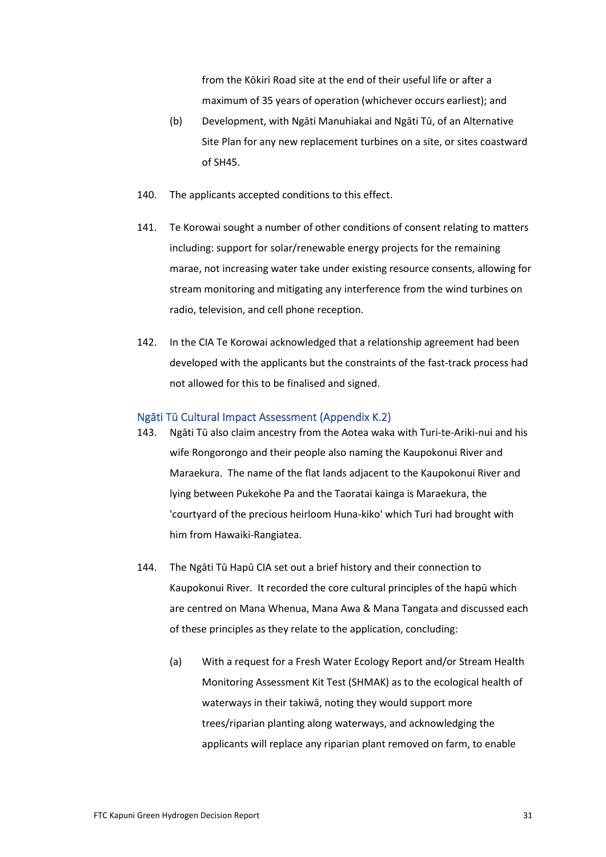from the Kōkiri Road site at the end of their useful life or after a maximum of 35 years of operation (whichever occurs earliest); and

- (b) Development, with Ngāti Manuhiakai and Ngāti Tū, of an Alternative Site Plan for any new replacement turbines on a site, or sites coastward of SH45.
- 140. The applicants accepted conditions to this effect.
- 141. Te Korowai sought a number of other conditions of consent relating to matters including: support for solar/renewable energy projects for the remaining marae, not increasing water take under existing resource consents, allowing for stream monitoring and mitigating any interference from the wind turbines on radio, television, and cell phone reception.
- 142. In the CIA Te Korowai acknowledged that a relationship agreement had been developed with the applicants but the constraints of the fast-track process had not allowed for this to be finalised and signed.

### Ngāti Tū Cultural Impact Assessment (Appendix K.2)

- 143. Ngāti Tū also claim ancestry from the Aotea waka with Turi-te-Ariki-nui and his wife Rongorongo and their people also naming the Kaupokonui River and Maraekura. The name of the flat lands adjacent to the Kaupokonui River and lying between Pukekohe Pa and the Taoratai kainga is Maraekura, the 'courtyard of the precious heirloom Huna-kiko' which Turi had brought with him from Hawaiki-Rangiatea.
- 144. The Ngāti Tū Hapū CIA set out a brief history and their connection to Kaupokonui River. It recorded the core cultural principles of the hapū which are centred on Mana Whenua, Mana Awa & Mana Tangata and discussed each of these principles as they relate to the application, concluding:
	- (a) With a request for a Fresh Water Ecology Report and/or Stream Health Monitoring Assessment Kit Test (SHMAK) as to the ecological health of waterways in their takiwā, noting they would support more trees/riparian planting along waterways, and acknowledging the applicants will replace any riparian plant removed on farm, to enable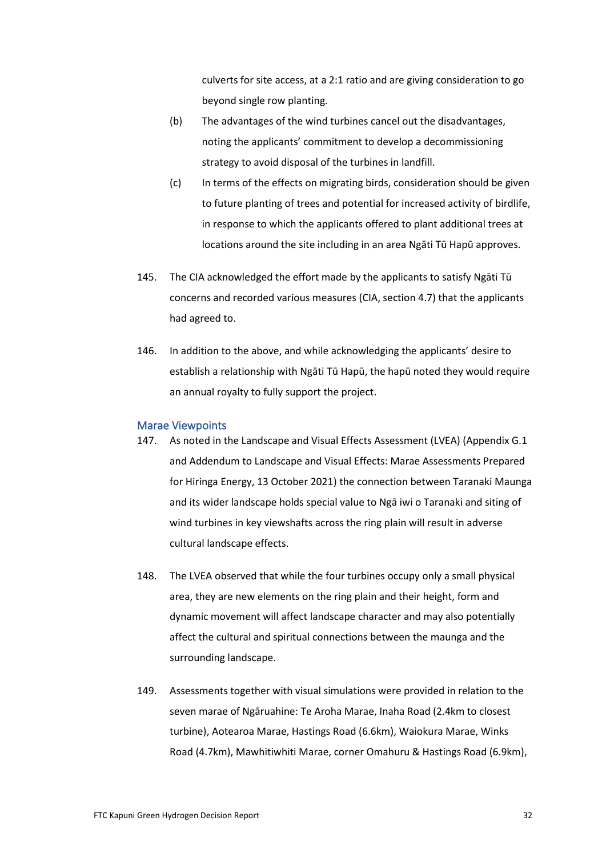culverts for site access, at a 2:1 ratio and are giving consideration to go beyond single row planting.

- (b) The advantages of the wind turbines cancel out the disadvantages, noting the applicants' commitment to develop a decommissioning strategy to avoid disposal of the turbines in landfill.
- (c) In terms of the effects on migrating birds, consideration should be given to future planting of trees and potential for increased activity of birdlife, in response to which the applicants offered to plant additional trees at locations around the site including in an area Ngāti Tū Hapū approves.
- 145. The CIA acknowledged the effort made by the applicants to satisfy Ngāti Tū concerns and recorded various measures (CIA, section 4.7) that the applicants had agreed to.
- 146. In addition to the above, and while acknowledging the applicants' desire to establish a relationship with Ngāti Tū Hapū, the hapū noted they would require an annual royalty to fully support the project.

#### Marae Viewpoints

- 147. As noted in the Landscape and Visual Effects Assessment (LVEA) (Appendix G.1 and Addendum to Landscape and Visual Effects: Marae Assessments Prepared for Hiringa Energy, 13 October 2021) the connection between Taranaki Maunga and its wider landscape holds special value to Ngā iwi o Taranaki and siting of wind turbines in key viewshafts across the ring plain will result in adverse cultural landscape effects.
- 148. The LVEA observed that while the four turbines occupy only a small physical area, they are new elements on the ring plain and their height, form and dynamic movement will affect landscape character and may also potentially affect the cultural and spiritual connections between the maunga and the surrounding landscape.
- 149. Assessments together with visual simulations were provided in relation to the seven marae of Ngāruahine: Te Aroha Marae, Inaha Road (2.4km to closest turbine), Aotearoa Marae, Hastings Road (6.6km), Waiokura Marae, Winks Road (4.7km), Mawhitiwhiti Marae, corner Omahuru & Hastings Road (6.9km),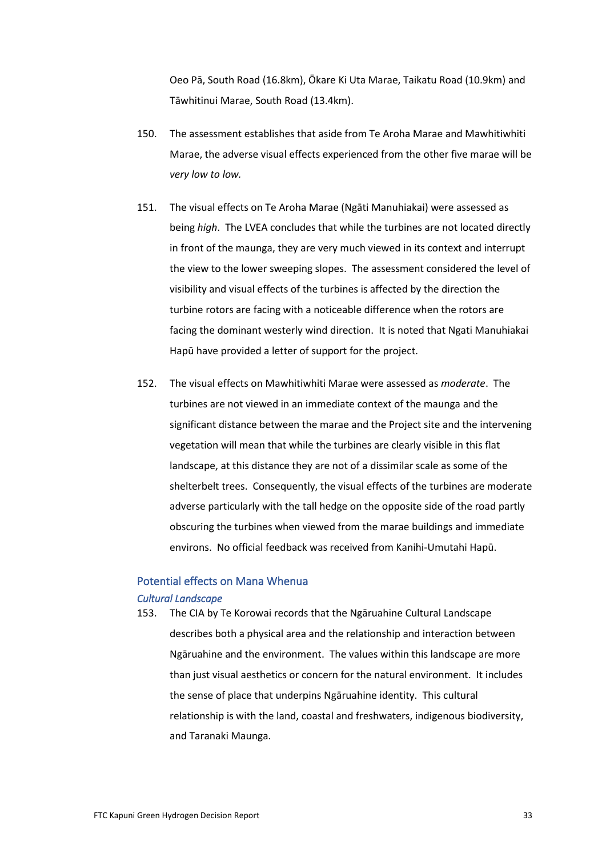Oeo Pā, South Road (16.8km), Ōkare Ki Uta Marae, Taikatu Road (10.9km) and Tāwhitinui Marae, South Road (13.4km).

- 150. The assessment establishes that aside from Te Aroha Marae and Mawhitiwhiti Marae, the adverse visual effects experienced from the other five marae will be *very low to low.*
- 151. The visual effects on Te Aroha Marae (Ngāti Manuhiakai) were assessed as being *high*. The LVEA concludes that while the turbines are not located directly in front of the maunga, they are very much viewed in its context and interrupt the view to the lower sweeping slopes. The assessment considered the level of visibility and visual effects of the turbines is affected by the direction the turbine rotors are facing with a noticeable difference when the rotors are facing the dominant westerly wind direction. It is noted that Ngati Manuhiakai Hapū have provided a letter of support for the project.
- 152. The visual effects on Mawhitiwhiti Marae were assessed as *moderate*. The turbines are not viewed in an immediate context of the maunga and the significant distance between the marae and the Project site and the intervening vegetation will mean that while the turbines are clearly visible in this flat landscape, at this distance they are not of a dissimilar scale as some of the shelterbelt trees. Consequently, the visual effects of the turbines are moderate adverse particularly with the tall hedge on the opposite side of the road partly obscuring the turbines when viewed from the marae buildings and immediate environs. No official feedback was received from Kanihi-Umutahi Hapū.

# Potential effects on Mana Whenua

### *Cultural Landscape*

153. The CIA by Te Korowai records that the Ngāruahine Cultural Landscape describes both a physical area and the relationship and interaction between Ngāruahine and the environment. The values within this landscape are more than just visual aesthetics or concern for the natural environment. It includes the sense of place that underpins Ngāruahine identity. This cultural relationship is with the land, coastal and freshwaters, indigenous biodiversity, and Taranaki Maunga.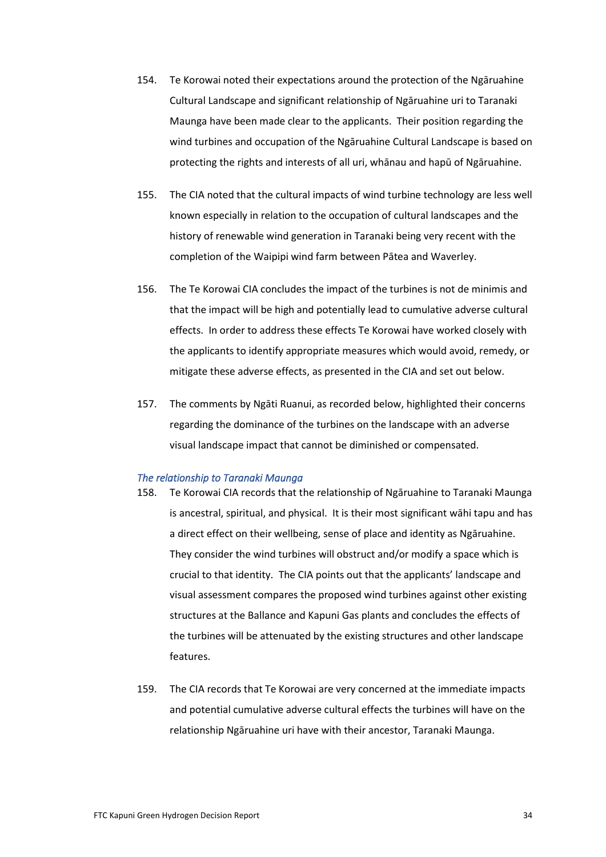- 154. Te Korowai noted their expectations around the protection of the Ngāruahine Cultural Landscape and significant relationship of Ngāruahine uri to Taranaki Maunga have been made clear to the applicants. Their position regarding the wind turbines and occupation of the Ngāruahine Cultural Landscape is based on protecting the rights and interests of all uri, whānau and hapū of Ngāruahine.
- 155. The CIA noted that the cultural impacts of wind turbine technology are less well known especially in relation to the occupation of cultural landscapes and the history of renewable wind generation in Taranaki being very recent with the completion of the Waipipi wind farm between Pātea and Waverley.
- 156. The Te Korowai CIA concludes the impact of the turbines is not de minimis and that the impact will be high and potentially lead to cumulative adverse cultural effects. In order to address these effects Te Korowai have worked closely with the applicants to identify appropriate measures which would avoid, remedy, or mitigate these adverse effects, as presented in the CIA and set out below.
- 157. The comments by Ngāti Ruanui, as recorded below, highlighted their concerns regarding the dominance of the turbines on the landscape with an adverse visual landscape impact that cannot be diminished or compensated.

#### *The relationship to Taranaki Maunga*

- 158. Te Korowai CIA records that the relationship of Ngāruahine to Taranaki Maunga is ancestral, spiritual, and physical. It is their most significant wāhi tapu and has a direct effect on their wellbeing, sense of place and identity as Ngāruahine. They consider the wind turbines will obstruct and/or modify a space which is crucial to that identity. The CIA points out that the applicants' landscape and visual assessment compares the proposed wind turbines against other existing structures at the Ballance and Kapuni Gas plants and concludes the effects of the turbines will be attenuated by the existing structures and other landscape features.
- 159. The CIA records that Te Korowai are very concerned at the immediate impacts and potential cumulative adverse cultural effects the turbines will have on the relationship Ngāruahine uri have with their ancestor, Taranaki Maunga.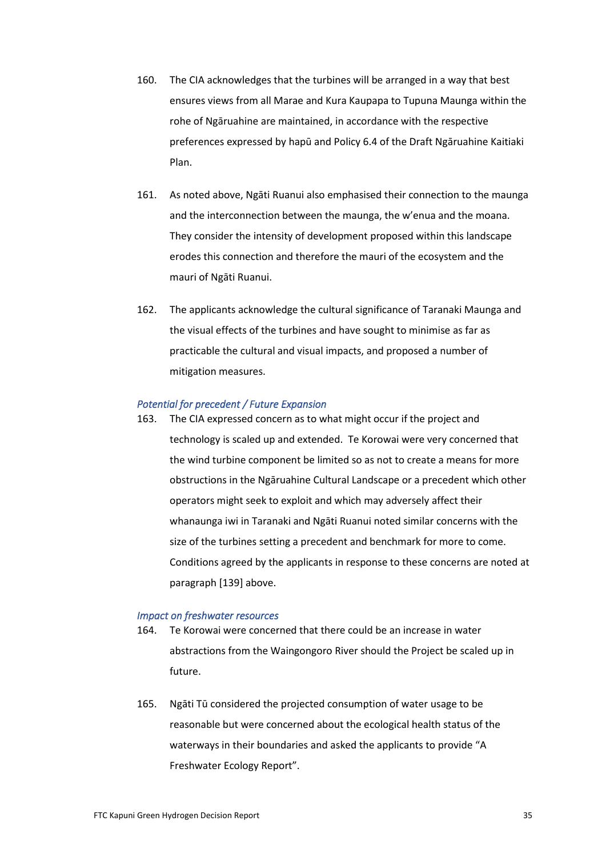- 160. The CIA acknowledges that the turbines will be arranged in a way that best ensures views from all Marae and Kura Kaupapa to Tupuna Maunga within the rohe of Ngāruahine are maintained, in accordance with the respective preferences expressed by hapū and Policy 6.4 of the Draft Ngāruahine Kaitiaki Plan.
- 161. As noted above, Ngāti Ruanui also emphasised their connection to the maunga and the interconnection between the maunga, the w'enua and the moana. They consider the intensity of development proposed within this landscape erodes this connection and therefore the mauri of the ecosystem and the mauri of Ngāti Ruanui.
- 162. The applicants acknowledge the cultural significance of Taranaki Maunga and the visual effects of the turbines and have sought to minimise as far as practicable the cultural and visual impacts, and proposed a number of mitigation measures.

### *Potential for precedent / Future Expansion*

163. The CIA expressed concern as to what might occur if the project and technology is scaled up and extended. Te Korowai were very concerned that the wind turbine component be limited so as not to create a means for more obstructions in the Ngāruahine Cultural Landscape or a precedent which other operators might seek to exploit and which may adversely affect their whanaunga iwi in Taranaki and Ngāti Ruanui noted similar concerns with the size of the turbines setting a precedent and benchmark for more to come. Conditions agreed by the applicants in response to these concerns are noted at paragraph [139] above.

#### *Impact on freshwater resources*

- 164. Te Korowai were concerned that there could be an increase in water abstractions from the Waingongoro River should the Project be scaled up in future.
- 165. Ngāti Tū considered the projected consumption of water usage to be reasonable but were concerned about the ecological health status of the waterways in their boundaries and asked the applicants to provide "A Freshwater Ecology Report".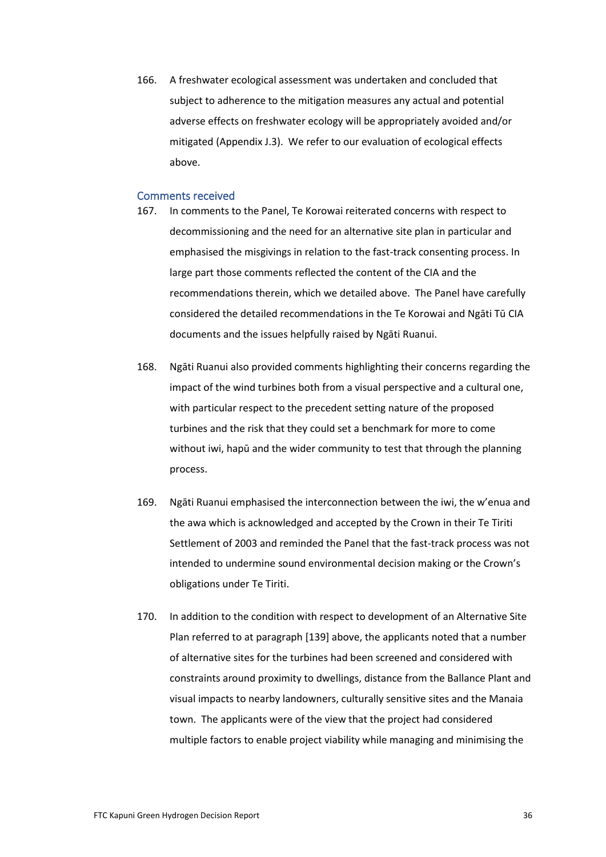166. A freshwater ecological assessment was undertaken and concluded that subject to adherence to the mitigation measures any actual and potential adverse effects on freshwater ecology will be appropriately avoided and/or mitigated (Appendix J.3). We refer to our evaluation of ecological effects above.

### Comments received

- 167. In comments to the Panel, Te Korowai reiterated concerns with respect to decommissioning and the need for an alternative site plan in particular and emphasised the misgivings in relation to the fast-track consenting process. In large part those comments reflected the content of the CIA and the recommendations therein, which we detailed above. The Panel have carefully considered the detailed recommendations in the Te Korowai and Ngāti Tū CIA documents and the issues helpfully raised by Ngāti Ruanui.
- 168. Ngāti Ruanui also provided comments highlighting their concerns regarding the impact of the wind turbines both from a visual perspective and a cultural one, with particular respect to the precedent setting nature of the proposed turbines and the risk that they could set a benchmark for more to come without iwi, hapū and the wider community to test that through the planning process.
- 169. Ngāti Ruanui emphasised the interconnection between the iwi, the w'enua and the awa which is acknowledged and accepted by the Crown in their Te Tiriti Settlement of 2003 and reminded the Panel that the fast-track process was not intended to undermine sound environmental decision making or the Crown's obligations under Te Tiriti.
- 170. In addition to the condition with respect to development of an Alternative Site Plan referred to at paragraph [139] above, the applicants noted that a number of alternative sites for the turbines had been screened and considered with constraints around proximity to dwellings, distance from the Ballance Plant and visual impacts to nearby landowners, culturally sensitive sites and the Manaia town. The applicants were of the view that the project had considered multiple factors to enable project viability while managing and minimising the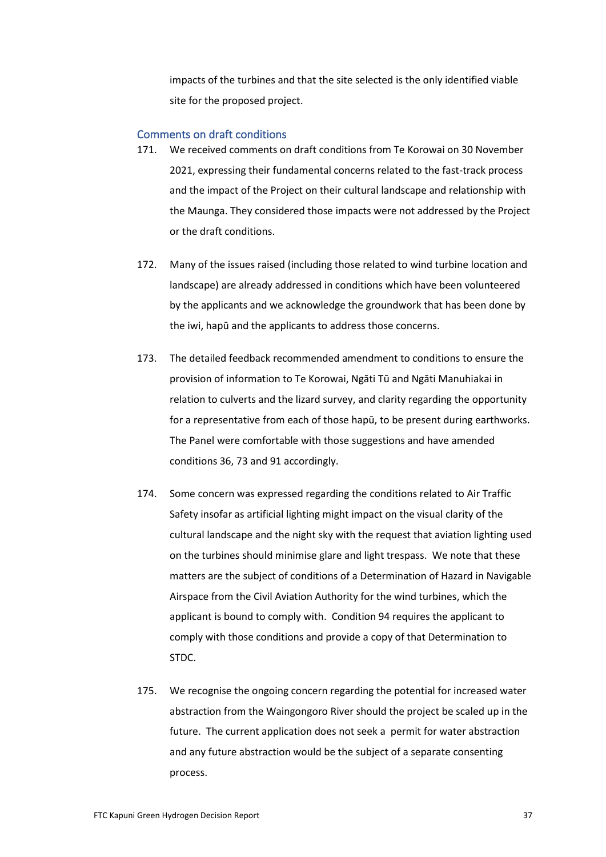impacts of the turbines and that the site selected is the only identified viable site for the proposed project.

#### Comments on draft conditions

- 171. We received comments on draft conditions from Te Korowai on 30 November 2021, expressing their fundamental concerns related to the fast-track process and the impact of the Project on their cultural landscape and relationship with the Maunga. They considered those impacts were not addressed by the Project or the draft conditions.
- 172. Many of the issues raised (including those related to wind turbine location and landscape) are already addressed in conditions which have been volunteered by the applicants and we acknowledge the groundwork that has been done by the iwi, hapū and the applicants to address those concerns.
- 173. The detailed feedback recommended amendment to conditions to ensure the provision of information to Te Korowai, Ngāti Tū and Ngāti Manuhiakai in relation to culverts and the lizard survey, and clarity regarding the opportunity for a representative from each of those hapū, to be present during earthworks. The Panel were comfortable with those suggestions and have amended conditions 36, 73 and 91 accordingly.
- 174. Some concern was expressed regarding the conditions related to Air Traffic Safety insofar as artificial lighting might impact on the visual clarity of the cultural landscape and the night sky with the request that aviation lighting used on the turbines should minimise glare and light trespass. We note that these matters are the subject of conditions of a Determination of Hazard in Navigable Airspace from the Civil Aviation Authority for the wind turbines, which the applicant is bound to comply with. Condition 94 requires the applicant to comply with those conditions and provide a copy of that Determination to STDC.
- 175. We recognise the ongoing concern regarding the potential for increased water abstraction from the Waingongoro River should the project be scaled up in the future. The current application does not seek a permit for water abstraction and any future abstraction would be the subject of a separate consenting process.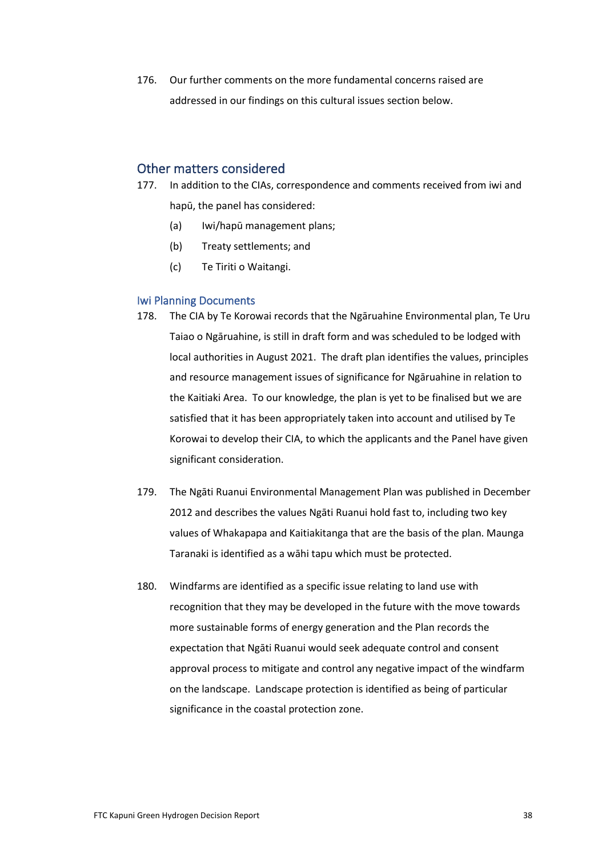176. Our further comments on the more fundamental concerns raised are addressed in our findings on this cultural issues section below.

## Other matters considered

- 177. In addition to the CIAs, correspondence and comments received from iwi and hapū, the panel has considered:
	- (a) Iwi/hapū management plans;
	- (b) Treaty settlements; and
	- (c) Te Tiriti o Waitangi.

#### Iwi Planning Documents

- 178. The CIA by Te Korowai records that the Ngāruahine Environmental plan, Te Uru Taiao o Ngāruahine, is still in draft form and was scheduled to be lodged with local authorities in August 2021. The draft plan identifies the values, principles and resource management issues of significance for Ngāruahine in relation to the Kaitiaki Area. To our knowledge, the plan is yet to be finalised but we are satisfied that it has been appropriately taken into account and utilised by Te Korowai to develop their CIA, to which the applicants and the Panel have given significant consideration.
- 179. The Ngāti Ruanui Environmental Management Plan was published in December 2012 and describes the values Ngāti Ruanui hold fast to, including two key values of Whakapapa and Kaitiakitanga that are the basis of the plan. Maunga Taranaki is identified as a wāhi tapu which must be protected.
- 180. Windfarms are identified as a specific issue relating to land use with recognition that they may be developed in the future with the move towards more sustainable forms of energy generation and the Plan records the expectation that Ngāti Ruanui would seek adequate control and consent approval process to mitigate and control any negative impact of the windfarm on the landscape. Landscape protection is identified as being of particular significance in the coastal protection zone.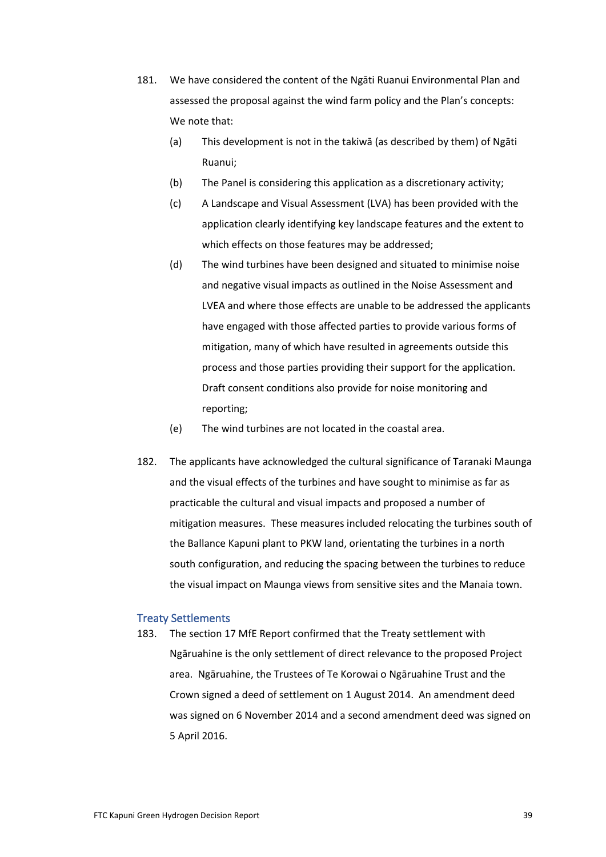- 181. We have considered the content of the Ngāti Ruanui Environmental Plan and assessed the proposal against the wind farm policy and the Plan's concepts: We note that:
	- (a) This development is not in the takiwā (as described by them) of Ngāti Ruanui;
	- (b) The Panel is considering this application as a discretionary activity;
	- (c) A Landscape and Visual Assessment (LVA) has been provided with the application clearly identifying key landscape features and the extent to which effects on those features may be addressed;
	- (d) The wind turbines have been designed and situated to minimise noise and negative visual impacts as outlined in the Noise Assessment and LVEA and where those effects are unable to be addressed the applicants have engaged with those affected parties to provide various forms of mitigation, many of which have resulted in agreements outside this process and those parties providing their support for the application. Draft consent conditions also provide for noise monitoring and reporting;
	- (e) The wind turbines are not located in the coastal area.
- 182. The applicants have acknowledged the cultural significance of Taranaki Maunga and the visual effects of the turbines and have sought to minimise as far as practicable the cultural and visual impacts and proposed a number of mitigation measures. These measures included relocating the turbines south of the Ballance Kapuni plant to PKW land, orientating the turbines in a north south configuration, and reducing the spacing between the turbines to reduce the visual impact on Maunga views from sensitive sites and the Manaia town.

#### Treaty Settlements

183. The section 17 MfE Report confirmed that the Treaty settlement with Ngāruahine is the only settlement of direct relevance to the proposed Project area. Ngāruahine, the Trustees of Te Korowai o Ngāruahine Trust and the Crown signed a deed of settlement on 1 August 2014. An amendment deed was signed on 6 November 2014 and a second amendment deed was signed on 5 April 2016.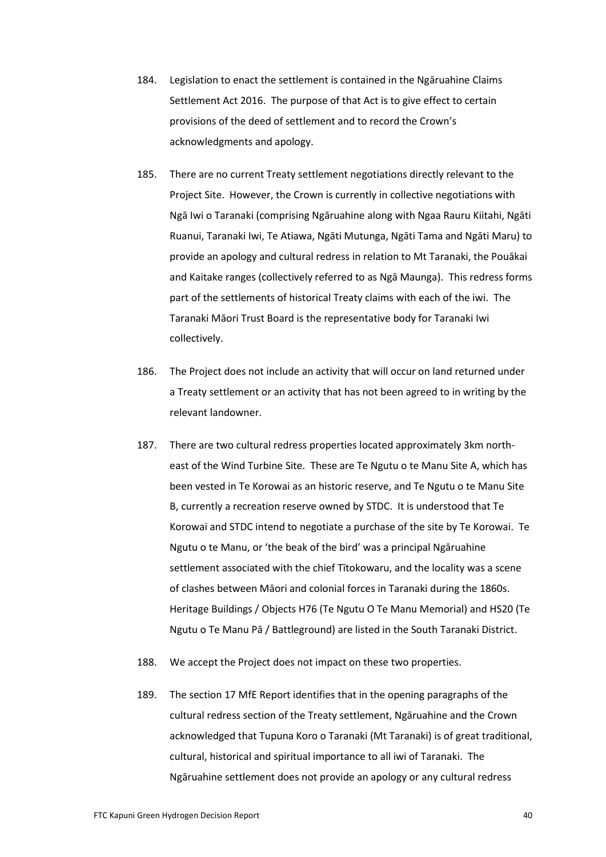- 184. Legislation to enact the settlement is contained in the Ngāruahine Claims Settlement Act 2016. The purpose of that Act is to give effect to certain provisions of the deed of settlement and to record the Crown's acknowledgments and apology.
- 185. There are no current Treaty settlement negotiations directly relevant to the Project Site. However, the Crown is currently in collective negotiations with Ngā Iwi o Taranaki (comprising Ngāruahine along with Ngaa Rauru Kiitahi, Ngāti Ruanui, Taranaki Iwi, Te Atiawa, Ngāti Mutunga, Ngāti Tama and Ngāti Maru) to provide an apology and cultural redress in relation to Mt Taranaki, the Pouākai and Kaitake ranges (collectively referred to as Ngā Maunga). This redress forms part of the settlements of historical Treaty claims with each of the iwi. The Taranaki Māori Trust Board is the representative body for Taranaki Iwi collectively.
- 186. The Project does not include an activity that will occur on land returned under a Treaty settlement or an activity that has not been agreed to in writing by the relevant landowner.
- 187. There are two cultural redress properties located approximately 3km northeast of the Wind Turbine Site. These are Te Ngutu o te Manu Site A, which has been vested in Te Korowai as an historic reserve, and Te Ngutu o te Manu Site B, currently a recreation reserve owned by STDC. It is understood that Te Korowai and STDC intend to negotiate a purchase of the site by Te Korowai. Te Ngutu o te Manu, or 'the beak of the bird' was a principal Ngāruahine settlement associated with the chief Tītokowaru, and the locality was a scene of clashes between Māori and colonial forces in Taranaki during the 1860s. Heritage Buildings / Objects H76 (Te Ngutu O Te Manu Memorial) and HS20 (Te Ngutu o Te Manu Pā / Battleground) are listed in the South Taranaki District.
- 188. We accept the Project does not impact on these two properties.
- 189. The section 17 MfE Report identifies that in the opening paragraphs of the cultural redress section of the Treaty settlement, Ngāruahine and the Crown acknowledged that Tupuna Koro o Taranaki (Mt Taranaki) is of great traditional, cultural, historical and spiritual importance to all iwi of Taranaki. The Ngāruahine settlement does not provide an apology or any cultural redress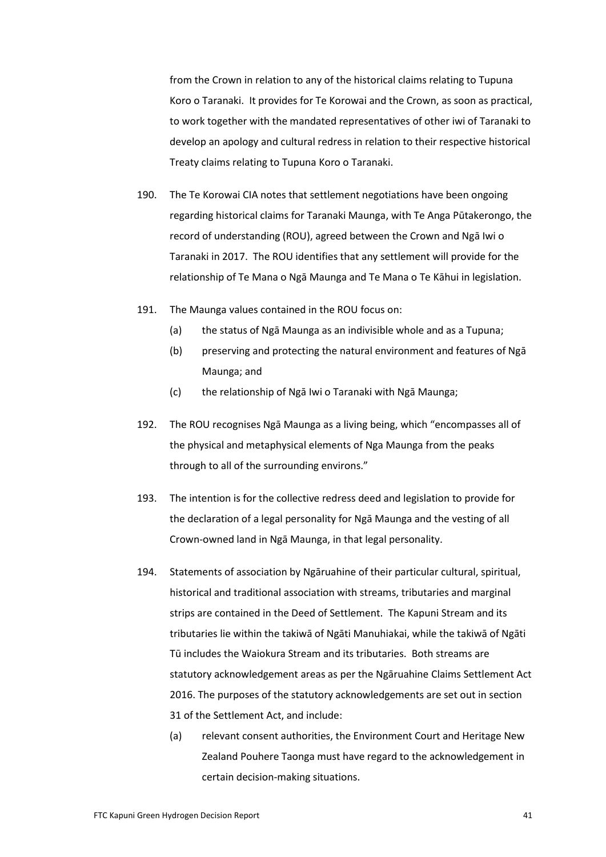from the Crown in relation to any of the historical claims relating to Tupuna Koro o Taranaki. It provides for Te Korowai and the Crown, as soon as practical, to work together with the mandated representatives of other iwi of Taranaki to develop an apology and cultural redress in relation to their respective historical Treaty claims relating to Tupuna Koro o Taranaki.

- 190. The Te Korowai CIA notes that settlement negotiations have been ongoing regarding historical claims for Taranaki Maunga, with Te Anga Pūtakerongo, the record of understanding (ROU), agreed between the Crown and Ngā Iwi o Taranaki in 2017. The ROU identifies that any settlement will provide for the relationship of Te Mana o Ngā Maunga and Te Mana o Te Kāhui in legislation.
- 191. The Maunga values contained in the ROU focus on:
	- (a) the status of Ngā Maunga as an indivisible whole and as a Tupuna;
	- (b) preserving and protecting the natural environment and features of Ngā Maunga; and
	- (c) the relationship of Ngā Iwi o Taranaki with Ngā Maunga;
- 192. The ROU recognises Ngā Maunga as a living being, which "encompasses all of the physical and metaphysical elements of Nga Maunga from the peaks through to all of the surrounding environs."
- 193. The intention is for the collective redress deed and legislation to provide for the declaration of a legal personality for Ngā Maunga and the vesting of all Crown-owned land in Ngā Maunga, in that legal personality.
- 194. Statements of association by Ngāruahine of their particular cultural, spiritual, historical and traditional association with streams, tributaries and marginal strips are contained in the Deed of Settlement. The Kapuni Stream and its tributaries lie within the takiwā of Ngāti Manuhiakai, while the takiwā of Ngāti Tū includes the Waiokura Stream and its tributaries. Both streams are statutory acknowledgement areas as per the Ngāruahine Claims Settlement Act 2016. The purposes of the statutory acknowledgements are set out in section 31 of the Settlement Act, and include:
	- (a) relevant consent authorities, the Environment Court and Heritage New Zealand Pouhere Taonga must have regard to the acknowledgement in certain decision-making situations.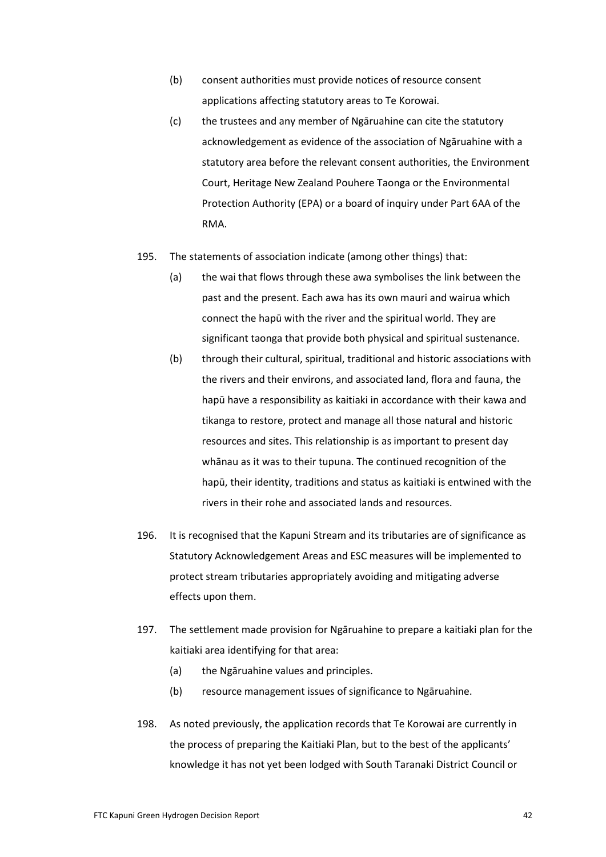- (b) consent authorities must provide notices of resource consent applications affecting statutory areas to Te Korowai.
- (c) the trustees and any member of Ngāruahine can cite the statutory acknowledgement as evidence of the association of Ngāruahine with a statutory area before the relevant consent authorities, the Environment Court, Heritage New Zealand Pouhere Taonga or the Environmental Protection Authority (EPA) or a board of inquiry under Part 6AA of the RMA.
- 195. The statements of association indicate (among other things) that:
	- (a) the wai that flows through these awa symbolises the link between the past and the present. Each awa has its own mauri and wairua which connect the hapū with the river and the spiritual world. They are significant taonga that provide both physical and spiritual sustenance.
	- (b) through their cultural, spiritual, traditional and historic associations with the rivers and their environs, and associated land, flora and fauna, the hapū have a responsibility as kaitiaki in accordance with their kawa and tikanga to restore, protect and manage all those natural and historic resources and sites. This relationship is as important to present day whānau as it was to their tupuna. The continued recognition of the hapū, their identity, traditions and status as kaitiaki is entwined with the rivers in their rohe and associated lands and resources.
- 196. It is recognised that the Kapuni Stream and its tributaries are of significance as Statutory Acknowledgement Areas and ESC measures will be implemented to protect stream tributaries appropriately avoiding and mitigating adverse effects upon them.
- 197. The settlement made provision for Ngāruahine to prepare a kaitiaki plan for the kaitiaki area identifying for that area:
	- (a) the Ngāruahine values and principles.
	- (b) resource management issues of significance to Ngāruahine.
- 198. As noted previously, the application records that Te Korowai are currently in the process of preparing the Kaitiaki Plan, but to the best of the applicants' knowledge it has not yet been lodged with South Taranaki District Council or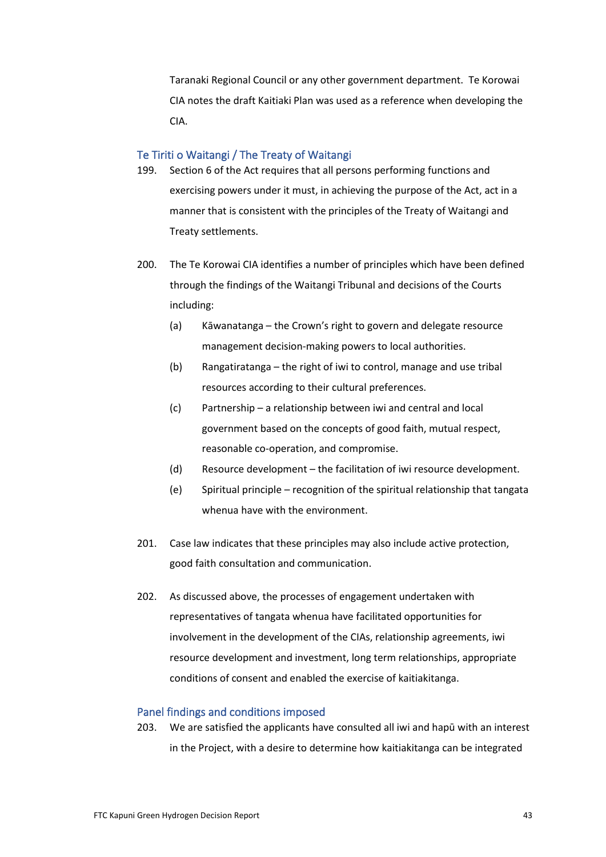Taranaki Regional Council or any other government department. Te Korowai CIA notes the draft Kaitiaki Plan was used as a reference when developing the CIA.

#### Te Tiriti o Waitangi / The Treaty of Waitangi

- 199. Section 6 of the Act requires that all persons performing functions and exercising powers under it must, in achieving the purpose of the Act, act in a manner that is consistent with the principles of the Treaty of Waitangi and Treaty settlements.
- 200. The Te Korowai CIA identifies a number of principles which have been defined through the findings of the Waitangi Tribunal and decisions of the Courts including:
	- (a) Kāwanatanga the Crown's right to govern and delegate resource management decision-making powers to local authorities.
	- (b) Rangatiratanga the right of iwi to control, manage and use tribal resources according to their cultural preferences.
	- (c) Partnership a relationship between iwi and central and local government based on the concepts of good faith, mutual respect, reasonable co-operation, and compromise.
	- (d) Resource development the facilitation of iwi resource development.
	- (e) Spiritual principle recognition of the spiritual relationship that tangata whenua have with the environment.
- 201. Case law indicates that these principles may also include active protection, good faith consultation and communication.
- 202. As discussed above, the processes of engagement undertaken with representatives of tangata whenua have facilitated opportunities for involvement in the development of the CIAs, relationship agreements, iwi resource development and investment, long term relationships, appropriate conditions of consent and enabled the exercise of kaitiakitanga.

#### Panel findings and conditions imposed

203. We are satisfied the applicants have consulted all iwi and hapū with an interest in the Project, with a desire to determine how kaitiakitanga can be integrated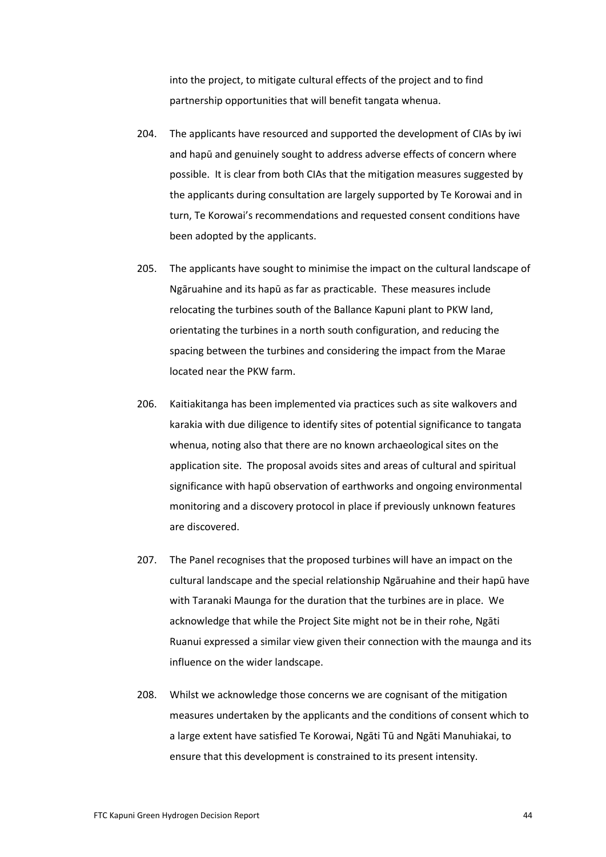into the project, to mitigate cultural effects of the project and to find partnership opportunities that will benefit tangata whenua.

- 204. The applicants have resourced and supported the development of CIAs by iwi and hapū and genuinely sought to address adverse effects of concern where possible. It is clear from both CIAs that the mitigation measures suggested by the applicants during consultation are largely supported by Te Korowai and in turn, Te Korowai's recommendations and requested consent conditions have been adopted by the applicants.
- 205. The applicants have sought to minimise the impact on the cultural landscape of Ngāruahine and its hapū as far as practicable. These measures include relocating the turbines south of the Ballance Kapuni plant to PKW land, orientating the turbines in a north south configuration, and reducing the spacing between the turbines and considering the impact from the Marae located near the PKW farm.
- 206. Kaitiakitanga has been implemented via practices such as site walkovers and karakia with due diligence to identify sites of potential significance to tangata whenua, noting also that there are no known archaeological sites on the application site. The proposal avoids sites and areas of cultural and spiritual significance with hapū observation of earthworks and ongoing environmental monitoring and a discovery protocol in place if previously unknown features are discovered.
- 207. The Panel recognises that the proposed turbines will have an impact on the cultural landscape and the special relationship Ngāruahine and their hapū have with Taranaki Maunga for the duration that the turbines are in place. We acknowledge that while the Project Site might not be in their rohe, Ngāti Ruanui expressed a similar view given their connection with the maunga and its influence on the wider landscape.
- 208. Whilst we acknowledge those concerns we are cognisant of the mitigation measures undertaken by the applicants and the conditions of consent which to a large extent have satisfied Te Korowai, Ngāti Tū and Ngāti Manuhiakai, to ensure that this development is constrained to its present intensity.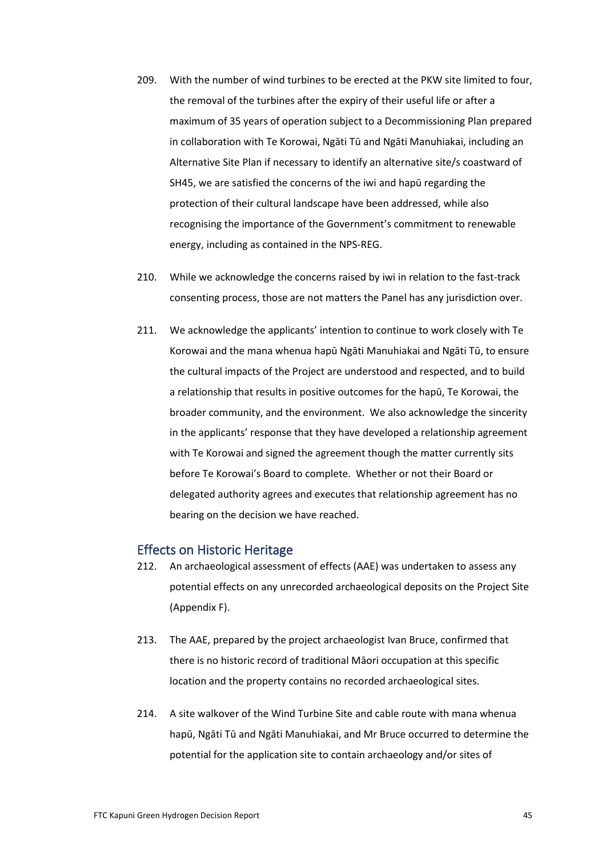- 209. With the number of wind turbines to be erected at the PKW site limited to four, the removal of the turbines after the expiry of their useful life or after a maximum of 35 years of operation subject to a Decommissioning Plan prepared in collaboration with Te Korowai, Ngāti Tū and Ngāti Manuhiakai, including an Alternative Site Plan if necessary to identify an alternative site/s coastward of SH45, we are satisfied the concerns of the iwi and hapū regarding the protection of their cultural landscape have been addressed, while also recognising the importance of the Government's commitment to renewable energy, including as contained in the NPS-REG.
- 210. While we acknowledge the concerns raised by iwi in relation to the fast-track consenting process, those are not matters the Panel has any jurisdiction over.
- 211. We acknowledge the applicants' intention to continue to work closely with Te Korowai and the mana whenua hapū Ngāti Manuhiakai and Ngāti Tū, to ensure the cultural impacts of the Project are understood and respected, and to build a relationship that results in positive outcomes for the hapū, Te Korowai, the broader community, and the environment. We also acknowledge the sincerity in the applicants' response that they have developed a relationship agreement with Te Korowai and signed the agreement though the matter currently sits before Te Korowai's Board to complete. Whether or not their Board or delegated authority agrees and executes that relationship agreement has no bearing on the decision we have reached.

## Effects on Historic Heritage

- 212. An archaeological assessment of effects (AAE) was undertaken to assess any potential effects on any unrecorded archaeological deposits on the Project Site (Appendix F).
- 213. The AAE, prepared by the project archaeologist Ivan Bruce, confirmed that there is no historic record of traditional Māori occupation at this specific location and the property contains no recorded archaeological sites.
- 214. A site walkover of the Wind Turbine Site and cable route with mana whenua hapū, Ngāti Tū and Ngāti Manuhiakai, and Mr Bruce occurred to determine the potential for the application site to contain archaeology and/or sites of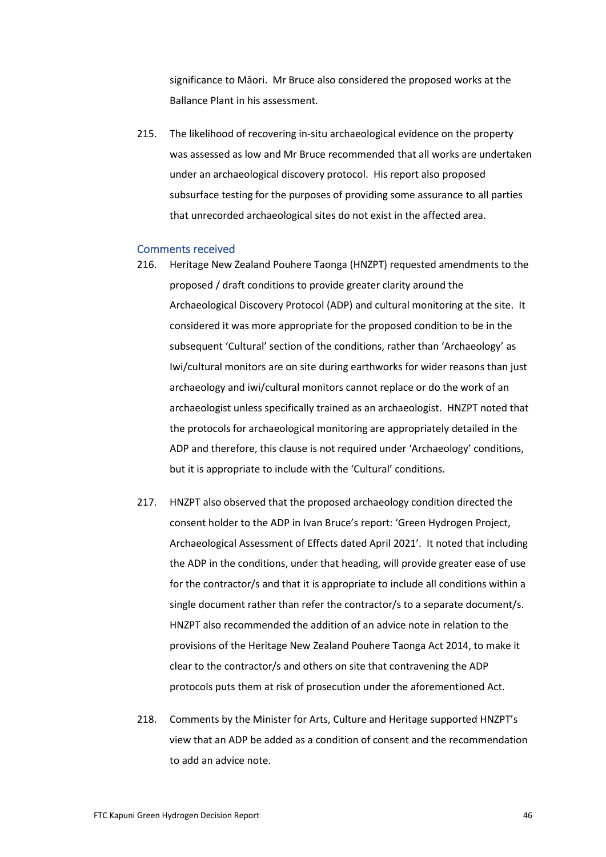significance to Māori. Mr Bruce also considered the proposed works at the Ballance Plant in his assessment.

215. The likelihood of recovering in-situ archaeological evidence on the property was assessed as low and Mr Bruce recommended that all works are undertaken under an archaeological discovery protocol. His report also proposed subsurface testing for the purposes of providing some assurance to all parties that unrecorded archaeological sites do not exist in the affected area.

#### Comments received

- 216. Heritage New Zealand Pouhere Taonga (HNZPT) requested amendments to the proposed / draft conditions to provide greater clarity around the Archaeological Discovery Protocol (ADP) and cultural monitoring at the site. It considered it was more appropriate for the proposed condition to be in the subsequent 'Cultural' section of the conditions, rather than 'Archaeology' as Iwi/cultural monitors are on site during earthworks for wider reasons than just archaeology and iwi/cultural monitors cannot replace or do the work of an archaeologist unless specifically trained as an archaeologist. HNZPT noted that the protocols for archaeological monitoring are appropriately detailed in the ADP and therefore, this clause is not required under 'Archaeology' conditions, but it is appropriate to include with the 'Cultural' conditions.
- 217. HNZPT also observed that the proposed archaeology condition directed the consent holder to the ADP in Ivan Bruce's report: 'Green Hydrogen Project, Archaeological Assessment of Effects dated April 2021'. It noted that including the ADP in the conditions, under that heading, will provide greater ease of use for the contractor/s and that it is appropriate to include all conditions within a single document rather than refer the contractor/s to a separate document/s. HNZPT also recommended the addition of an advice note in relation to the provisions of the Heritage New Zealand Pouhere Taonga Act 2014, to make it clear to the contractor/s and others on site that contravening the ADP protocols puts them at risk of prosecution under the aforementioned Act.
- 218. Comments by the Minister for Arts, Culture and Heritage supported HNZPT's view that an ADP be added as a condition of consent and the recommendation to add an advice note.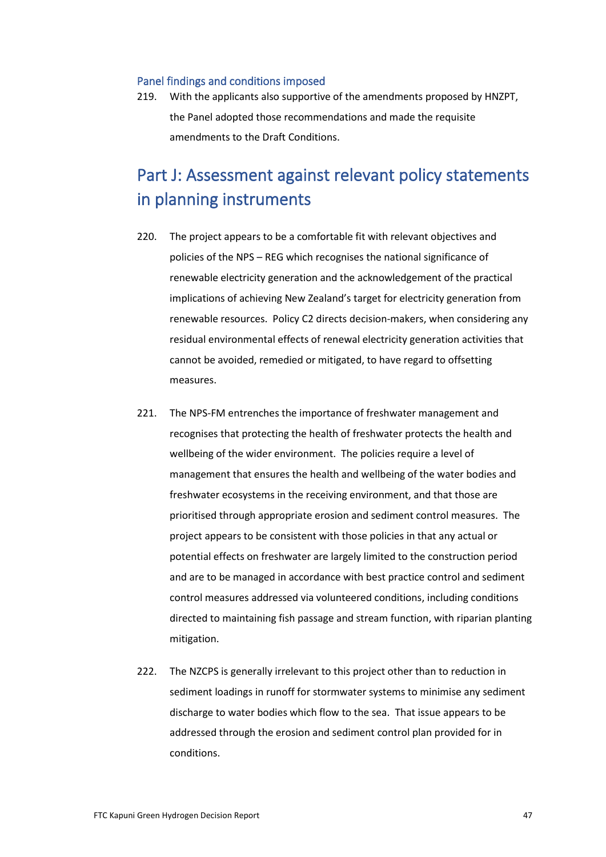#### Panel findings and conditions imposed

219. With the applicants also supportive of the amendments proposed by HNZPT, the Panel adopted those recommendations and made the requisite amendments to the Draft Conditions.

# Part J: Assessment against relevant policy statements in planning instruments

- 220. The project appears to be a comfortable fit with relevant objectives and policies of the NPS – REG which recognises the national significance of renewable electricity generation and the acknowledgement of the practical implications of achieving New Zealand's target for electricity generation from renewable resources. Policy C2 directs decision-makers, when considering any residual environmental effects of renewal electricity generation activities that cannot be avoided, remedied or mitigated, to have regard to offsetting measures.
- 221. The NPS-FM entrenches the importance of freshwater management and recognises that protecting the health of freshwater protects the health and wellbeing of the wider environment. The policies require a level of management that ensures the health and wellbeing of the water bodies and freshwater ecosystems in the receiving environment, and that those are prioritised through appropriate erosion and sediment control measures. The project appears to be consistent with those policies in that any actual or potential effects on freshwater are largely limited to the construction period and are to be managed in accordance with best practice control and sediment control measures addressed via volunteered conditions, including conditions directed to maintaining fish passage and stream function, with riparian planting mitigation.
- 222. The NZCPS is generally irrelevant to this project other than to reduction in sediment loadings in runoff for stormwater systems to minimise any sediment discharge to water bodies which flow to the sea. That issue appears to be addressed through the erosion and sediment control plan provided for in conditions.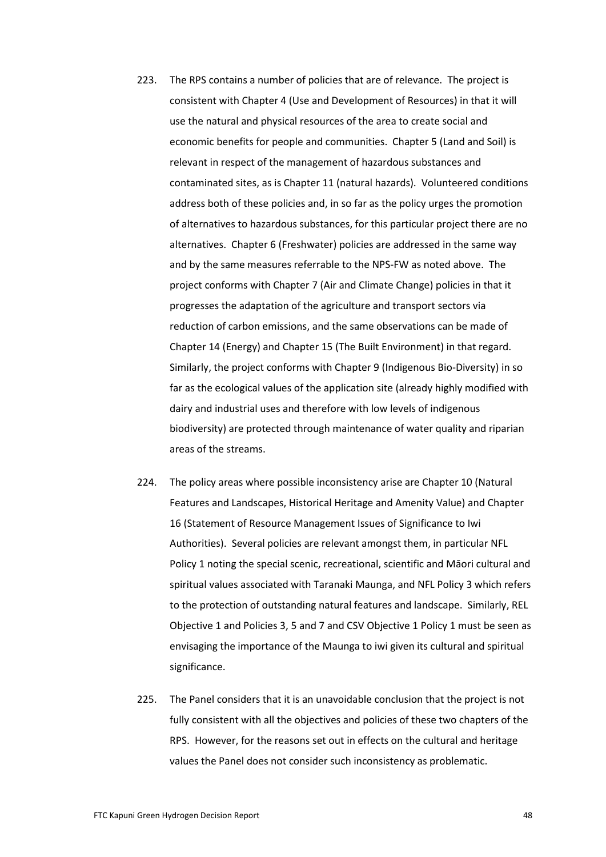- 223. The RPS contains a number of policies that are of relevance. The project is consistent with Chapter 4 (Use and Development of Resources) in that it will use the natural and physical resources of the area to create social and economic benefits for people and communities. Chapter 5 (Land and Soil) is relevant in respect of the management of hazardous substances and contaminated sites, as is Chapter 11 (natural hazards). Volunteered conditions address both of these policies and, in so far as the policy urges the promotion of alternatives to hazardous substances, for this particular project there are no alternatives. Chapter 6 (Freshwater) policies are addressed in the same way and by the same measures referrable to the NPS-FW as noted above. The project conforms with Chapter 7 (Air and Climate Change) policies in that it progresses the adaptation of the agriculture and transport sectors via reduction of carbon emissions, and the same observations can be made of Chapter 14 (Energy) and Chapter 15 (The Built Environment) in that regard. Similarly, the project conforms with Chapter 9 (Indigenous Bio-Diversity) in so far as the ecological values of the application site (already highly modified with dairy and industrial uses and therefore with low levels of indigenous biodiversity) are protected through maintenance of water quality and riparian areas of the streams.
- 224. The policy areas where possible inconsistency arise are Chapter 10 (Natural Features and Landscapes, Historical Heritage and Amenity Value) and Chapter 16 (Statement of Resource Management Issues of Significance to Iwi Authorities). Several policies are relevant amongst them, in particular NFL Policy 1 noting the special scenic, recreational, scientific and Māori cultural and spiritual values associated with Taranaki Maunga, and NFL Policy 3 which refers to the protection of outstanding natural features and landscape. Similarly, REL Objective 1 and Policies 3, 5 and 7 and CSV Objective 1 Policy 1 must be seen as envisaging the importance of the Maunga to iwi given its cultural and spiritual significance.
- 225. The Panel considers that it is an unavoidable conclusion that the project is not fully consistent with all the objectives and policies of these two chapters of the RPS. However, for the reasons set out in effects on the cultural and heritage values the Panel does not consider such inconsistency as problematic.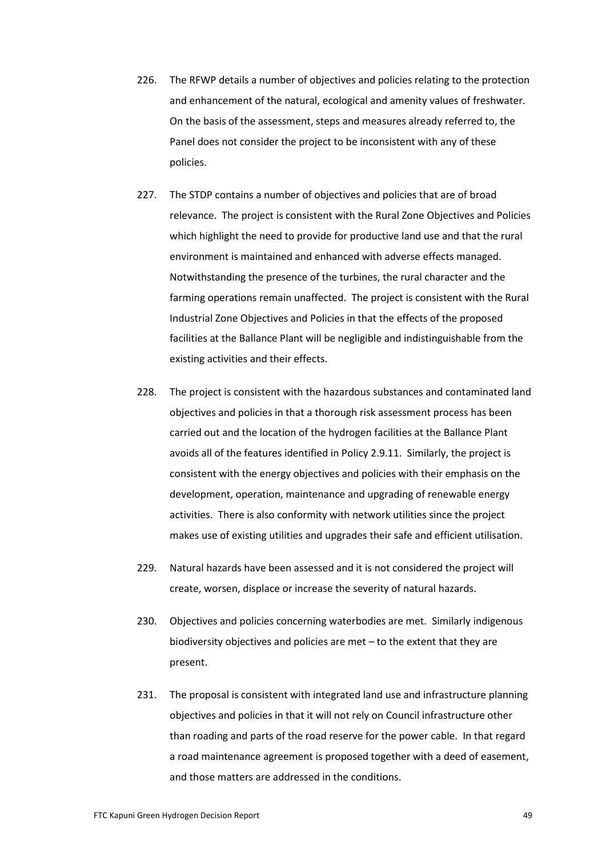- 226. The RFWP details a number of objectives and policies relating to the protection and enhancement of the natural, ecological and amenity values of freshwater. On the basis of the assessment, steps and measures already referred to, the Panel does not consider the project to be inconsistent with any of these policies.
- 227. The STDP contains a number of objectives and policies that are of broad relevance. The project is consistent with the Rural Zone Objectives and Policies which highlight the need to provide for productive land use and that the rural environment is maintained and enhanced with adverse effects managed. Notwithstanding the presence of the turbines, the rural character and the farming operations remain unaffected. The project is consistent with the Rural Industrial Zone Objectives and Policies in that the effects of the proposed facilities at the Ballance Plant will be negligible and indistinguishable from the existing activities and their effects.
- 228. The project is consistent with the hazardous substances and contaminated land objectives and policies in that a thorough risk assessment process has been carried out and the location of the hydrogen facilities at the Ballance Plant avoids all of the features identified in Policy 2.9.11. Similarly, the project is consistent with the energy objectives and policies with their emphasis on the development, operation, maintenance and upgrading of renewable energy activities. There is also conformity with network utilities since the project makes use of existing utilities and upgrades their safe and efficient utilisation.
- 229. Natural hazards have been assessed and it is not considered the project will create, worsen, displace or increase the severity of natural hazards.
- 230. Objectives and policies concerning waterbodies are met. Similarly indigenous biodiversity objectives and policies are met – to the extent that they are present.
- 231. The proposal is consistent with integrated land use and infrastructure planning objectives and policies in that it will not rely on Council infrastructure other than roading and parts of the road reserve for the power cable. In that regard a road maintenance agreement is proposed together with a deed of easement, and those matters are addressed in the conditions.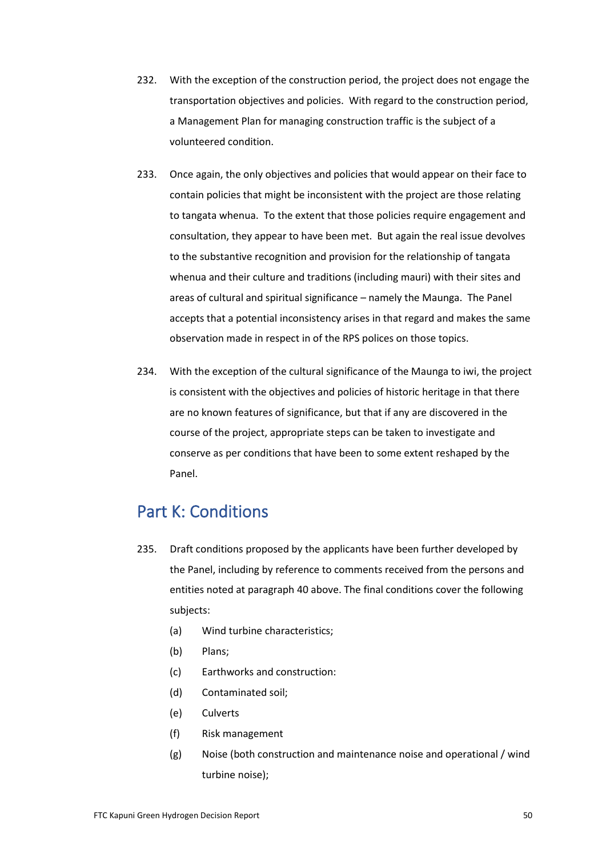- 232. With the exception of the construction period, the project does not engage the transportation objectives and policies. With regard to the construction period, a Management Plan for managing construction traffic is the subject of a volunteered condition.
- 233. Once again, the only objectives and policies that would appear on their face to contain policies that might be inconsistent with the project are those relating to tangata whenua. To the extent that those policies require engagement and consultation, they appear to have been met. But again the real issue devolves to the substantive recognition and provision for the relationship of tangata whenua and their culture and traditions (including mauri) with their sites and areas of cultural and spiritual significance – namely the Maunga. The Panel accepts that a potential inconsistency arises in that regard and makes the same observation made in respect in of the RPS polices on those topics.
- 234. With the exception of the cultural significance of the Maunga to iwi, the project is consistent with the objectives and policies of historic heritage in that there are no known features of significance, but that if any are discovered in the course of the project, appropriate steps can be taken to investigate and conserve as per conditions that have been to some extent reshaped by the Panel.

## Part K: Conditions

- 235. Draft conditions proposed by the applicants have been further developed by the Panel, including by reference to comments received from the persons and entities noted at paragraph 40 above. The final conditions cover the following subjects:
	- (a) Wind turbine characteristics;
	- (b) Plans;
	- (c) Earthworks and construction:
	- (d) Contaminated soil;
	- (e) Culverts
	- (f) Risk management
	- (g) Noise (both construction and maintenance noise and operational / wind turbine noise);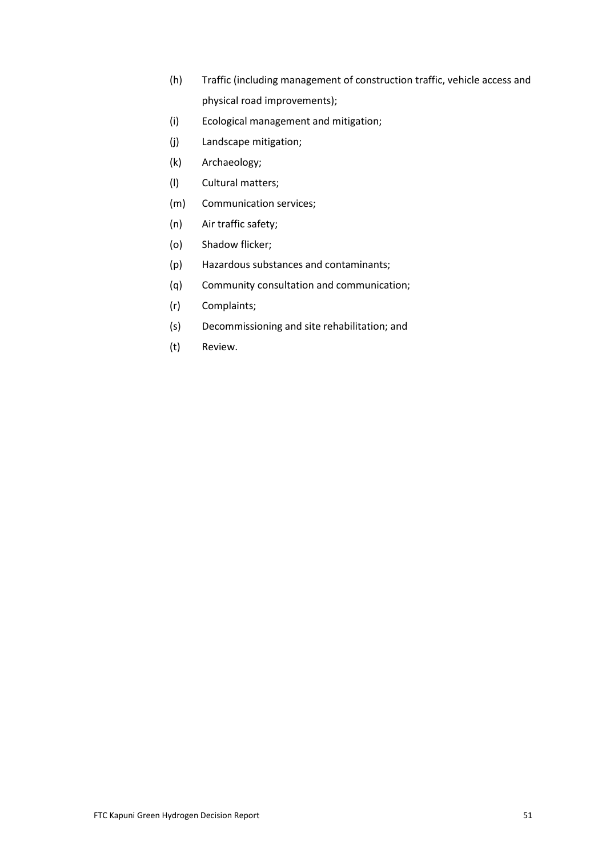- (h) Traffic (including management of construction traffic, vehicle access and physical road improvements);
- (i) Ecological management and mitigation;
- (j) Landscape mitigation;
- (k) Archaeology;
- (l) Cultural matters;
- (m) Communication services;
- (n) Air traffic safety;
- (o) Shadow flicker;
- (p) Hazardous substances and contaminants;
- (q) Community consultation and communication;
- (r) Complaints;
- (s) Decommissioning and site rehabilitation; and
- (t) Review.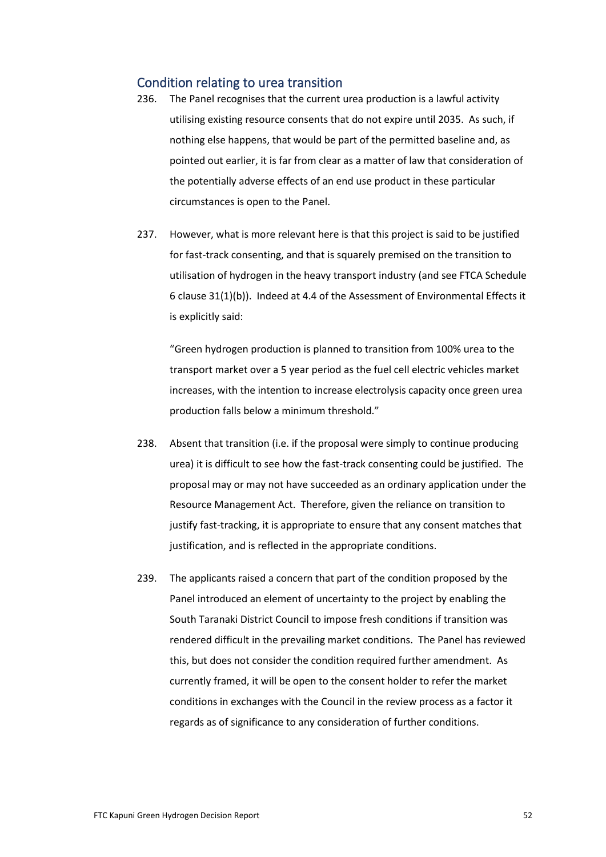## Condition relating to urea transition

- 236. The Panel recognises that the current urea production is a lawful activity utilising existing resource consents that do not expire until 2035. As such, if nothing else happens, that would be part of the permitted baseline and, as pointed out earlier, it is far from clear as a matter of law that consideration of the potentially adverse effects of an end use product in these particular circumstances is open to the Panel.
- 237. However, what is more relevant here is that this project is said to be justified for fast-track consenting, and that is squarely premised on the transition to utilisation of hydrogen in the heavy transport industry (and see FTCA Schedule 6 clause 31(1)(b)). Indeed at 4.4 of the Assessment of Environmental Effects it is explicitly said:

"Green hydrogen production is planned to transition from 100% urea to the transport market over a 5 year period as the fuel cell electric vehicles market increases, with the intention to increase electrolysis capacity once green urea production falls below a minimum threshold."

- 238. Absent that transition (i.e. if the proposal were simply to continue producing urea) it is difficult to see how the fast-track consenting could be justified. The proposal may or may not have succeeded as an ordinary application under the Resource Management Act. Therefore, given the reliance on transition to justify fast-tracking, it is appropriate to ensure that any consent matches that justification, and is reflected in the appropriate conditions.
- 239. The applicants raised a concern that part of the condition proposed by the Panel introduced an element of uncertainty to the project by enabling the South Taranaki District Council to impose fresh conditions if transition was rendered difficult in the prevailing market conditions. The Panel has reviewed this, but does not consider the condition required further amendment. As currently framed, it will be open to the consent holder to refer the market conditions in exchanges with the Council in the review process as a factor it regards as of significance to any consideration of further conditions.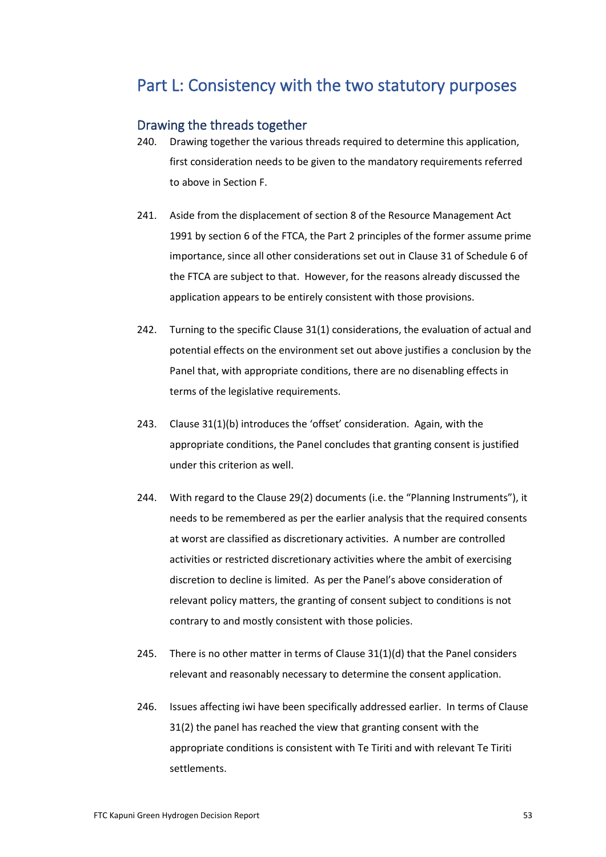## Part L: Consistency with the two statutory purposes

## Drawing the threads together

- 240. Drawing together the various threads required to determine this application, first consideration needs to be given to the mandatory requirements referred to above in Section F.
- 241. Aside from the displacement of section 8 of the Resource Management Act 1991 by section 6 of the FTCA, the Part 2 principles of the former assume prime importance, since all other considerations set out in Clause 31 of Schedule 6 of the FTCA are subject to that. However, for the reasons already discussed the application appears to be entirely consistent with those provisions.
- 242. Turning to the specific Clause 31(1) considerations, the evaluation of actual and potential effects on the environment set out above justifies a conclusion by the Panel that, with appropriate conditions, there are no disenabling effects in terms of the legislative requirements.
- 243. Clause 31(1)(b) introduces the 'offset' consideration. Again, with the appropriate conditions, the Panel concludes that granting consent is justified under this criterion as well.
- 244. With regard to the Clause 29(2) documents (i.e. the "Planning Instruments"), it needs to be remembered as per the earlier analysis that the required consents at worst are classified as discretionary activities. A number are controlled activities or restricted discretionary activities where the ambit of exercising discretion to decline is limited. As per the Panel's above consideration of relevant policy matters, the granting of consent subject to conditions is not contrary to and mostly consistent with those policies.
- 245. There is no other matter in terms of Clause 31(1)(d) that the Panel considers relevant and reasonably necessary to determine the consent application.
- 246. Issues affecting iwi have been specifically addressed earlier. In terms of Clause 31(2) the panel has reached the view that granting consent with the appropriate conditions is consistent with Te Tiriti and with relevant Te Tiriti settlements.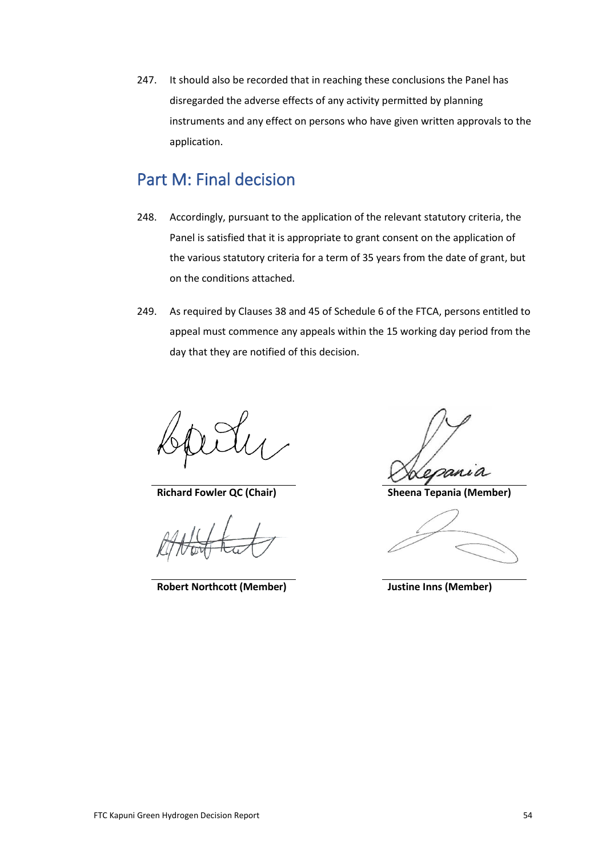247. It should also be recorded that in reaching these conclusions the Panel has disregarded the adverse effects of any activity permitted by planning instruments and any effect on persons who have given written approvals to the application.

## Part M: Final decision

- 248. Accordingly, pursuant to the application of the relevant statutory criteria, the Panel is satisfied that it is appropriate to grant consent on the application of the various statutory criteria for a term of 35 years from the date of grant, but on the conditions attached.
- 249. As required by Clauses 38 and 45 of Schedule 6 of the FTCA, persons entitled to appeal must commence any appeals within the 15 working day period from the day that they are notified of this decision.

**Richard Fowler QC (Chair) Sheena Tepania (Member)**

**Robert Northcott (Member) Justine Inns (Member)**

van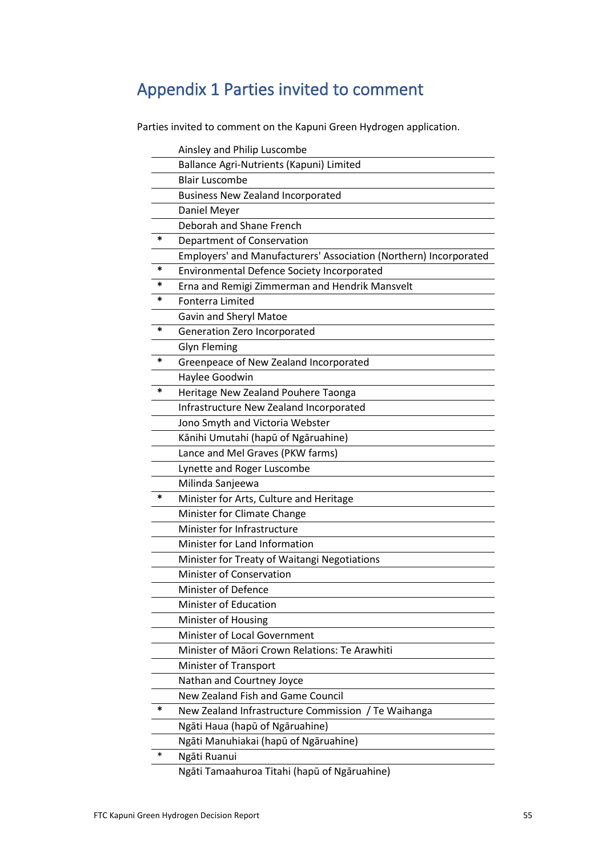# Appendix 1 Parties invited to comment

Parties invited to comment on the Kapuni Green Hydrogen application.

|   | Ainsley and Philip Luscombe                                       |
|---|-------------------------------------------------------------------|
|   | Ballance Agri-Nutrients (Kapuni) Limited                          |
|   | <b>Blair Luscombe</b>                                             |
|   | <b>Business New Zealand Incorporated</b>                          |
|   | Daniel Meyer                                                      |
|   | Deborah and Shane French                                          |
| * | Department of Conservation                                        |
|   | Employers' and Manufacturers' Association (Northern) Incorporated |
| * | Environmental Defence Society Incorporated                        |
| * | Erna and Remigi Zimmerman and Hendrik Mansvelt                    |
| * | <b>Fonterra Limited</b>                                           |
|   | Gavin and Sheryl Matoe                                            |
| * | Generation Zero Incorporated                                      |
|   | <b>Glyn Fleming</b>                                               |
| * | Greenpeace of New Zealand Incorporated                            |
|   | Haylee Goodwin                                                    |
| * | Heritage New Zealand Pouhere Taonga                               |
|   | Infrastructure New Zealand Incorporated                           |
|   | Jono Smyth and Victoria Webster                                   |
|   | Kānihi Umutahi (hapū of Ngāruahine)                               |
|   | Lance and Mel Graves (PKW farms)                                  |
|   | Lynette and Roger Luscombe                                        |
|   | Milinda Sanjeewa                                                  |
| * | Minister for Arts, Culture and Heritage                           |
|   | Minister for Climate Change                                       |
|   | Minister for Infrastructure                                       |
|   | Minister for Land Information                                     |
|   | Minister for Treaty of Waitangi Negotiations                      |
|   | Minister of Conservation                                          |
|   | <b>Minister of Defence</b>                                        |
|   | Minister of Education                                             |
|   | Minister of Housing                                               |
|   | Minister of Local Government                                      |
|   | Minister of Māori Crown Relations: Te Arawhiti                    |
|   | Minister of Transport                                             |
|   | Nathan and Courtney Joyce                                         |
|   | New Zealand Fish and Game Council                                 |
| * | New Zealand Infrastructure Commission / Te Waihanga               |
|   | Ngāti Haua (hapū of Ngāruahine)                                   |
|   | Ngāti Manuhiakai (hapū of Ngāruahine)                             |
| ∗ | Ngāti Ruanui                                                      |
|   | Ngāti Tamaahuroa Titahi (hapū of Ngāruahine)                      |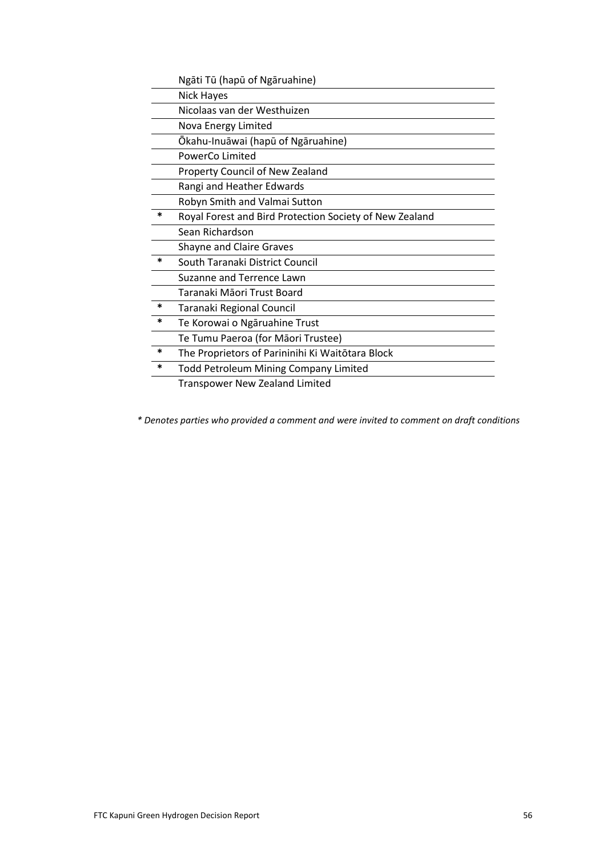|        | Ngāti Tū (hapū of Ngāruahine)                           |
|--------|---------------------------------------------------------|
|        | <b>Nick Hayes</b>                                       |
|        | Nicolaas van der Westhuizen                             |
|        | Nova Energy Limited                                     |
|        | Ōkahu-Inuāwai (hapū of Ngāruahine)                      |
|        | PowerCo Limited                                         |
|        | Property Council of New Zealand                         |
|        | Rangi and Heather Edwards                               |
|        | Robyn Smith and Valmai Sutton                           |
| *      | Royal Forest and Bird Protection Society of New Zealand |
|        | Sean Richardson                                         |
|        | <b>Shayne and Claire Graves</b>                         |
| $\ast$ | South Taranaki District Council                         |
|        | Suzanne and Terrence Lawn                               |
|        | Taranaki Māori Trust Board                              |
| *      | Taranaki Regional Council                               |
| *      | Te Korowai o Ngāruahine Trust                           |
|        | Te Tumu Paeroa (for Māori Trustee)                      |
| *      | The Proprietors of Parininihi Ki Waitōtara Block        |
| *      | <b>Todd Petroleum Mining Company Limited</b>            |
|        | <b>Transpower New Zealand Limited</b>                   |

*\* Denotes parties who provided a comment and were invited to comment on draft conditions*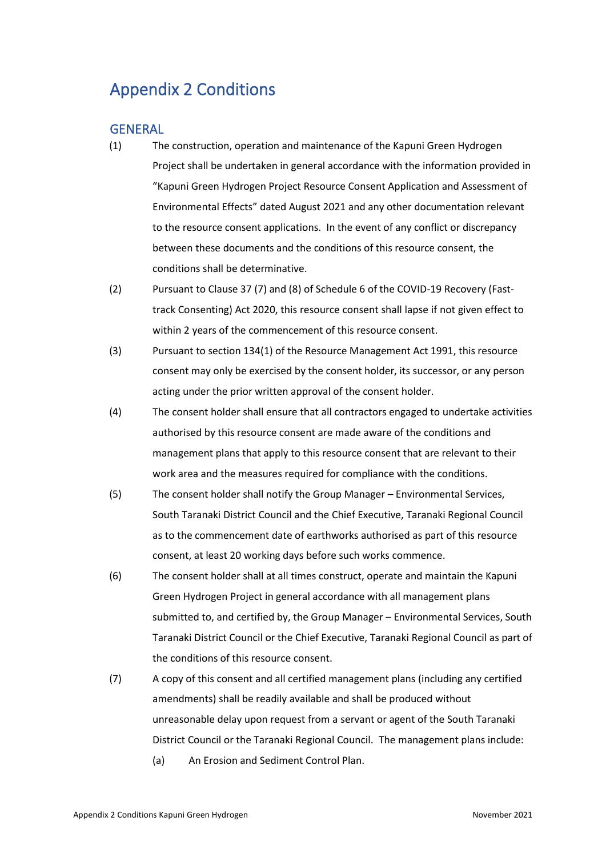# Appendix 2 Conditions

## **GENERAL**

- (1) The construction, operation and maintenance of the Kapuni Green Hydrogen Project shall be undertaken in general accordance with the information provided in "Kapuni Green Hydrogen Project Resource Consent Application and Assessment of Environmental Effects" dated August 2021 and any other documentation relevant to the resource consent applications. In the event of any conflict or discrepancy between these documents and the conditions of this resource consent, the conditions shall be determinative.
- (2) Pursuant to Clause 37 (7) and (8) of Schedule 6 of the COVID-19 Recovery (Fasttrack Consenting) Act 2020, this resource consent shall lapse if not given effect to within 2 years of the commencement of this resource consent.
- (3) Pursuant to section 134(1) of the Resource Management Act 1991, this resource consent may only be exercised by the consent holder, its successor, or any person acting under the prior written approval of the consent holder.
- (4) The consent holder shall ensure that all contractors engaged to undertake activities authorised by this resource consent are made aware of the conditions and management plans that apply to this resource consent that are relevant to their work area and the measures required for compliance with the conditions.
- (5) The consent holder shall notify the Group Manager Environmental Services, South Taranaki District Council and the Chief Executive, Taranaki Regional Council as to the commencement date of earthworks authorised as part of this resource consent, at least 20 working days before such works commence.
- (6) The consent holder shall at all times construct, operate and maintain the Kapuni Green Hydrogen Project in general accordance with all management plans submitted to, and certified by, the Group Manager – Environmental Services, South Taranaki District Council or the Chief Executive, Taranaki Regional Council as part of the conditions of this resource consent.
- (7) A copy of this consent and all certified management plans (including any certified amendments) shall be readily available and shall be produced without unreasonable delay upon request from a servant or agent of the South Taranaki District Council or the Taranaki Regional Council. The management plans include: (a) An Erosion and Sediment Control Plan.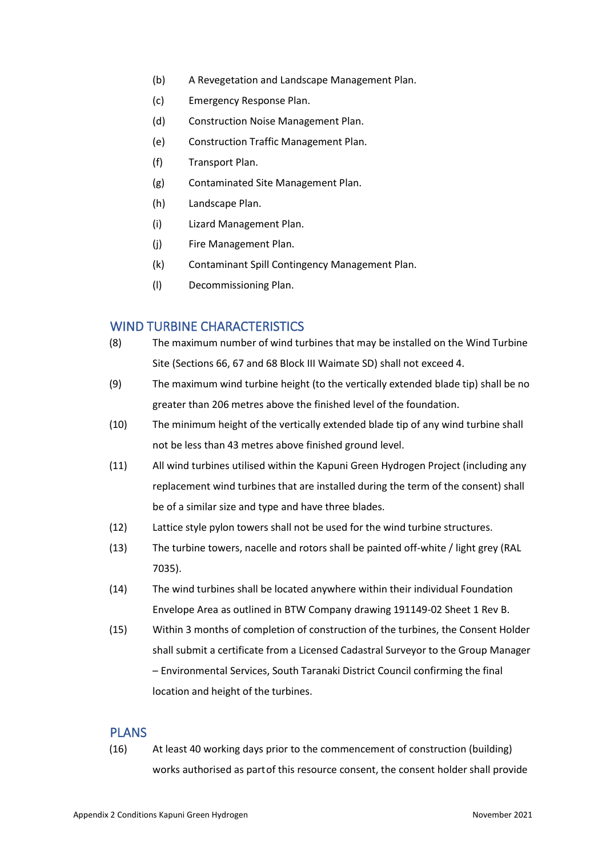- (b) A Revegetation and Landscape Management Plan.
- (c) Emergency Response Plan.
- (d) Construction Noise Management Plan.
- (e) Construction Traffic Management Plan.
- (f) Transport Plan.
- (g) Contaminated Site Management Plan.
- (h) Landscape Plan.
- (i) Lizard Management Plan.
- (j) Fire Management Plan.
- (k) Contaminant Spill Contingency Management Plan.
- (l) Decommissioning Plan.

## WIND TURBINE CHARACTERISTICS

- (8) The maximum number of wind turbines that may be installed on the Wind Turbine Site (Sections 66, 67 and 68 Block III Waimate SD) shall not exceed 4.
- (9) The maximum wind turbine height (to the vertically extended blade tip) shall be no greater than 206 metres above the finished level of the foundation.
- (10) The minimum height of the vertically extended blade tip of any wind turbine shall not be less than 43 metres above finished ground level.
- (11) All wind turbines utilised within the Kapuni Green Hydrogen Project (including any replacement wind turbines that are installed during the term of the consent) shall be of a similar size and type and have three blades.
- (12) Lattice style pylon towers shall not be used for the wind turbine structures.
- (13) The turbine towers, nacelle and rotors shall be painted off-white / light grey (RAL 7035).
- (14) The wind turbines shall be located anywhere within their individual Foundation Envelope Area as outlined in BTW Company drawing 191149-02 Sheet 1 Rev B.
- (15) Within 3 months of completion of construction of the turbines, the Consent Holder shall submit a certificate from a Licensed Cadastral Surveyor to the Group Manager – Environmental Services, South Taranaki District Council confirming the final location and height of the turbines.

## PLANS

(16) At least 40 working days prior to the commencement of construction (building) works authorised as part of this resource consent, the consent holder shall provide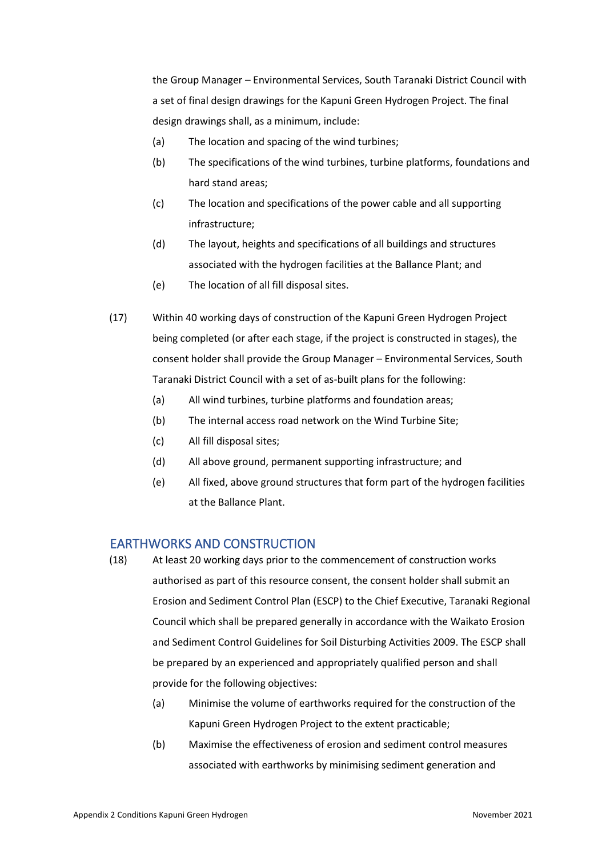the Group Manager – Environmental Services, South Taranaki District Council with a set of final design drawings for the Kapuni Green Hydrogen Project. The final design drawings shall, as a minimum, include:

- (a) The location and spacing of the wind turbines;
- (b) The specifications of the wind turbines, turbine platforms, foundations and hard stand areas;
- (c) The location and specifications of the power cable and all supporting infrastructure;
- (d) The layout, heights and specifications of all buildings and structures associated with the hydrogen facilities at the Ballance Plant; and
- (e) The location of all fill disposal sites.
- (17) Within 40 working days of construction of the Kapuni Green Hydrogen Project being completed (or after each stage, if the project is constructed in stages), the consent holder shall provide the Group Manager – Environmental Services, South Taranaki District Council with a set of as-built plans for the following:
	- (a) All wind turbines, turbine platforms and foundation areas;
	- (b) The internal access road network on the Wind Turbine Site;
	- (c) All fill disposal sites;
	- (d) All above ground, permanent supporting infrastructure; and
	- (e) All fixed, above ground structures that form part of the hydrogen facilities at the Ballance Plant.

### EARTHWORKS AND CONSTRUCTION

- (18) At least 20 working days prior to the commencement of construction works authorised as part of this resource consent, the consent holder shall submit an Erosion and Sediment Control Plan (ESCP) to the Chief Executive, Taranaki Regional Council which shall be prepared generally in accordance with the Waikato Erosion and Sediment Control Guidelines for Soil Disturbing Activities 2009. The ESCP shall be prepared by an experienced and appropriately qualified person and shall provide for the following objectives:
	- (a) Minimise the volume of earthworks required for the construction of the Kapuni Green Hydrogen Project to the extent practicable;
	- (b) Maximise the effectiveness of erosion and sediment control measures associated with earthworks by minimising sediment generation and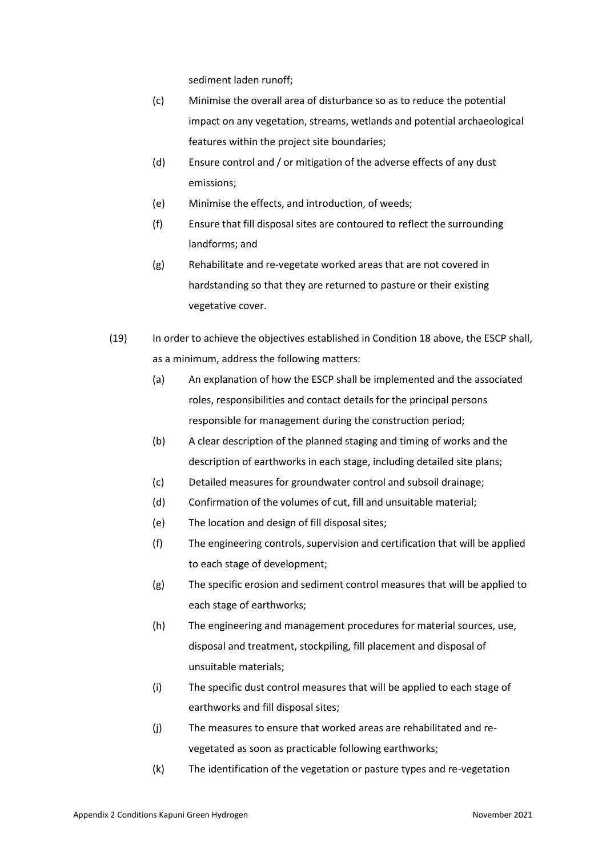sediment laden runoff;

- (c) Minimise the overall area of disturbance so as to reduce the potential impact on any vegetation, streams, wetlands and potential archaeological features within the project site boundaries;
- (d) Ensure control and / or mitigation of the adverse effects of any dust emissions;
- (e) Minimise the effects, and introduction, of weeds;
- (f) Ensure that fill disposal sites are contoured to reflect the surrounding landforms; and
- (g) Rehabilitate and re-vegetate worked areas that are not covered in hardstanding so that they are returned to pasture or their existing vegetative cover.
- (19) In order to achieve the objectives established in Condition 18 above, the ESCP shall, as a minimum, address the following matters:
	- (a) An explanation of how the ESCP shall be implemented and the associated roles, responsibilities and contact details for the principal persons responsible for management during the construction period;
	- (b) A clear description of the planned staging and timing of works and the description of earthworks in each stage, including detailed site plans;
	- (c) Detailed measures for groundwater control and subsoil drainage;
	- (d) Confirmation of the volumes of cut, fill and unsuitable material;
	- (e) The location and design of fill disposal sites;
	- (f) The engineering controls, supervision and certification that will be applied to each stage of development;
	- (g) The specific erosion and sediment control measures that will be applied to each stage of earthworks;
	- (h) The engineering and management procedures for material sources, use, disposal and treatment, stockpiling, fill placement and disposal of unsuitable materials;
	- (i) The specific dust control measures that will be applied to each stage of earthworks and fill disposal sites;
	- (j) The measures to ensure that worked areas are rehabilitated and revegetated as soon as practicable following earthworks;
	- (k) The identification of the vegetation or pasture types and re-vegetation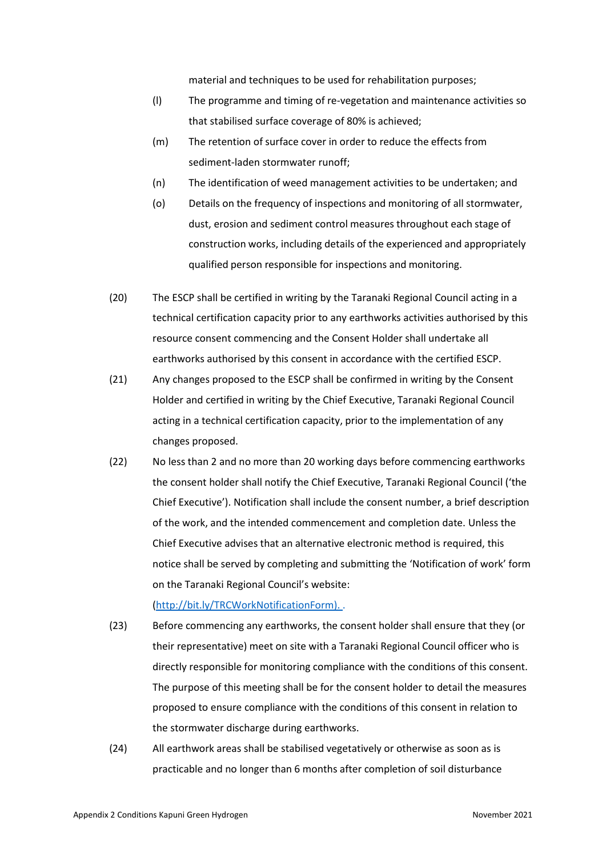material and techniques to be used for rehabilitation purposes;

- (l) The programme and timing of re-vegetation and maintenance activities so that stabilised surface coverage of 80% is achieved;
- (m) The retention of surface cover in order to reduce the effects from sediment-laden stormwater runoff;
- (n) The identification of weed management activities to be undertaken; and
- (o) Details on the frequency of inspections and monitoring of all stormwater, dust, erosion and sediment control measures throughout each stage of construction works, including details of the experienced and appropriately qualified person responsible for inspections and monitoring.
- (20) The ESCP shall be certified in writing by the Taranaki Regional Council acting in a technical certification capacity prior to any earthworks activities authorised by this resource consent commencing and the Consent Holder shall undertake all earthworks authorised by this consent in accordance with the certified ESCP.
- (21) Any changes proposed to the ESCP shall be confirmed in writing by the Consent Holder and certified in writing by the Chief Executive, Taranaki Regional Council acting in a technical certification capacity, prior to the implementation of any changes proposed.
- (22) No less than 2 and no more than 20 working days before commencing earthworks the consent holder shall notify the Chief Executive, Taranaki Regional Council ('the Chief Executive'). Notification shall include the consent number, a brief description of the work, and the intended commencement and completion date. Unless the Chief Executive advises that an alternative electronic method is required, this notice shall be served by completing and submitting the 'Notification of work' form on the Taranaki Regional Council's website:

#### (http:[//bit.ly/TRCWorkNotificationForm\).](http://bit.ly/TRCWorkNotificationForm)) .

- (23) Before commencing any earthworks, the consent holder shall ensure that they (or their representative) meet on site with a Taranaki Regional Council officer who is directly responsible for monitoring compliance with the conditions of this consent. The purpose of this meeting shall be for the consent holder to detail the measures proposed to ensure compliance with the conditions of this consent in relation to the stormwater discharge during earthworks.
- (24) All earthwork areas shall be stabilised vegetatively or otherwise as soon as is practicable and no longer than 6 months after completion of soil disturbance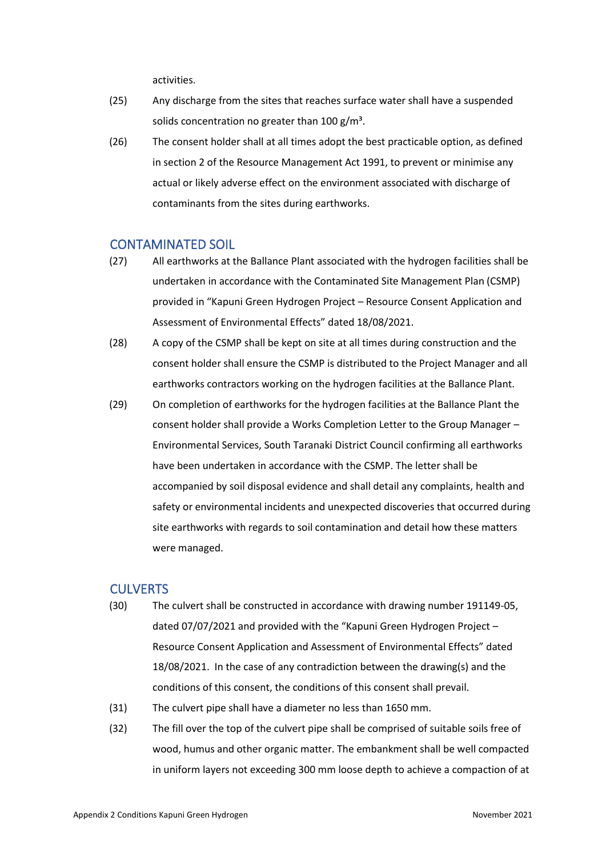activities.

- (25) Any discharge from the sites that reaches surface water shall have a suspended solids concentration no greater than  $100 \text{ g/m}^3$ .
- (26) The consent holder shall at all times adopt the best practicable option, as defined in section 2 of the Resource Management Act 1991, to prevent or minimise any actual or likely adverse effect on the environment associated with discharge of contaminants from the sites during earthworks.

## CONTAMINATED SOIL

- (27) All earthworks at the Ballance Plant associated with the hydrogen facilities shall be undertaken in accordance with the Contaminated Site Management Plan (CSMP) provided in "Kapuni Green Hydrogen Project – Resource Consent Application and Assessment of Environmental Effects" dated 18/08/2021.
- (28) A copy of the CSMP shall be kept on site at all times during construction and the consent holder shall ensure the CSMP is distributed to the Project Manager and all earthworks contractors working on the hydrogen facilities at the Ballance Plant.
- (29) On completion of earthworks for the hydrogen facilities at the Ballance Plant the consent holder shall provide a Works Completion Letter to the Group Manager – Environmental Services, South Taranaki District Council confirming all earthworks have been undertaken in accordance with the CSMP. The letter shall be accompanied by soil disposal evidence and shall detail any complaints, health and safety or environmental incidents and unexpected discoveries that occurred during site earthworks with regards to soil contamination and detail how these matters were managed.

## **CULVERTS**

- (30) The culvert shall be constructed in accordance with drawing number 191149-05, dated 07/07/2021 and provided with the "Kapuni Green Hydrogen Project – Resource Consent Application and Assessment of Environmental Effects" dated 18/08/2021.  In the case of any contradiction between the drawing(s) and the conditions of this consent, the conditions of this consent shall prevail.
- (31) The culvert pipe shall have a diameter no less than 1650 mm.
- (32) The fill over the top of the culvert pipe shall be comprised of suitable soils free of wood, humus and other organic matter. The embankment shall be well compacted in uniform layers not exceeding 300 mm loose depth to achieve a compaction of at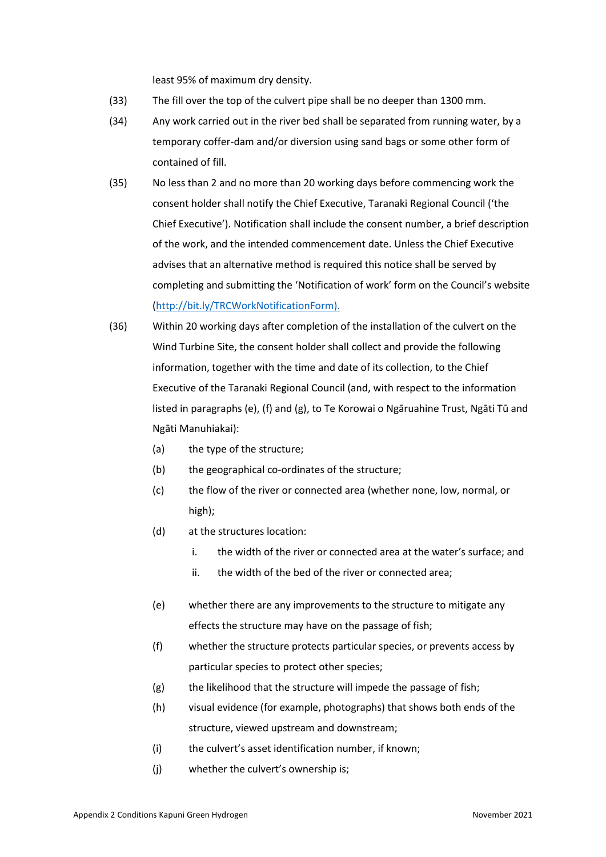least 95% of maximum dry density.

- (33) The fill over the top of the culvert pipe shall be no deeper than 1300 mm.
- (34) Any work carried out in the river bed shall be separated from running water, by a temporary coffer-dam and/or diversion using sand bags or some other form of contained of fill.
- (35) No less than 2 and no more than 20 working days before commencing work the consent holder shall notify the Chief Executive, Taranaki Regional Council ('the Chief Executive'). Notification shall include the consent number, a brief description of the work, and the intended commencement date. Unless the Chief Executive advises that an alternative method is required this notice shall be served by completing and submitting the 'Notification of work' form on the Council's website (http:[//bit.ly/TRCWorkNotificationForm\).](http://bit.ly/TRCWorkNotificationForm))
- (36) Within 20 working days after completion of the installation of the culvert on the Wind Turbine Site, the consent holder shall collect and provide the following information, together with the time and date of its collection, to the Chief Executive of the Taranaki Regional Council (and, with respect to the information listed in paragraphs (e), (f) and (g), to Te Korowai o Ngāruahine Trust, Ngāti Tū and Ngāti Manuhiakai):
	- (a) the type of the structure;
	- (b) the geographical co-ordinates of the structure;
	- (c) the flow of the river or connected area (whether none, low, normal, or high);
	- (d) at the structures location:
		- i. the width of the river or connected area at the water's surface; and
		- ii. the width of the bed of the river or connected area;
	- (e) whether there are any improvements to the structure to mitigate any effects the structure may have on the passage of fish;
	- (f) whether the structure protects particular species, or prevents access by particular species to protect other species;
	- (g) the likelihood that the structure will impede the passage of fish;
	- (h) visual evidence (for example, photographs) that shows both ends of the structure, viewed upstream and downstream;
	- (i) the culvert's asset identification number, if known;
	- (j) whether the culvert's ownership is;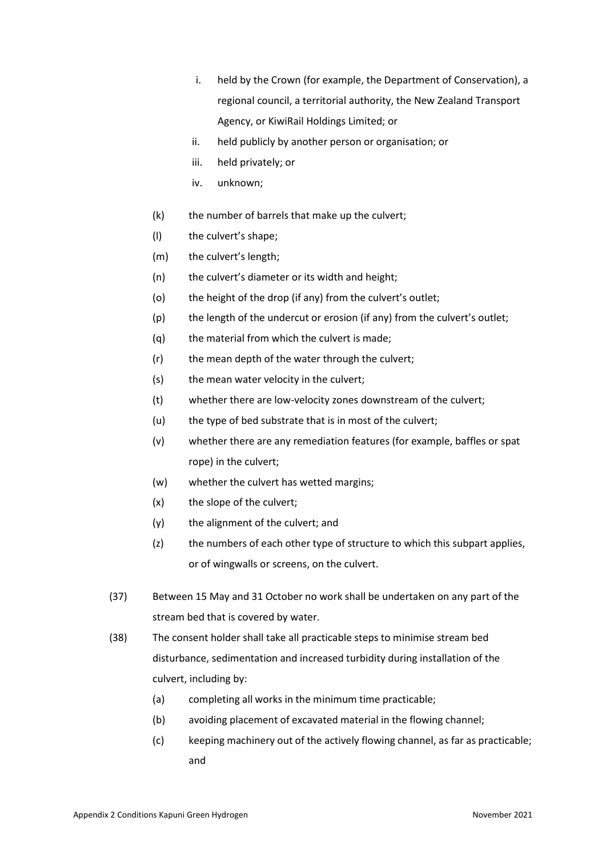- i. held by the Crown (for example, the Department of Conservation), a regional council, a territorial authority, the New Zealand Transport Agency, or KiwiRail Holdings Limited; or
- ii. held publicly by another person or organisation; or
- iii. held privately; or
- iv. unknown;
- (k) the number of barrels that make up the culvert;
- (l) the culvert's shape;
- (m) the culvert's length;
- (n) the culvert's diameter or its width and height;
- (o) the height of the drop (if any) from the culvert's outlet;
- (p) the length of the undercut or erosion (if any) from the culvert's outlet;
- (q) the material from which the culvert is made;
- (r) the mean depth of the water through the culvert;
- (s) the mean water velocity in the culvert;
- (t) whether there are low-velocity zones downstream of the culvert;
- (u) the type of bed substrate that is in most of the culvert;
- (v) whether there are any remediation features (for example, baffles or spat rope) in the culvert;
- (w) whether the culvert has wetted margins;
- (x) the slope of the culvert;
- (y) the alignment of the culvert; and
- (z) the numbers of each other type of structure to which this subpart applies, or of wingwalls or screens, on the culvert.
- (37) Between 15 May and 31 October no work shall be undertaken on any part of the stream bed that is covered by water.
- (38) The consent holder shall take all practicable steps to minimise stream bed disturbance, sedimentation and increased turbidity during installation of the culvert, including by:
	- (a) completing all works in the minimum time practicable;
	- (b) avoiding placement of excavated material in the flowing channel;
	- (c) keeping machinery out of the actively flowing channel, as far as practicable; and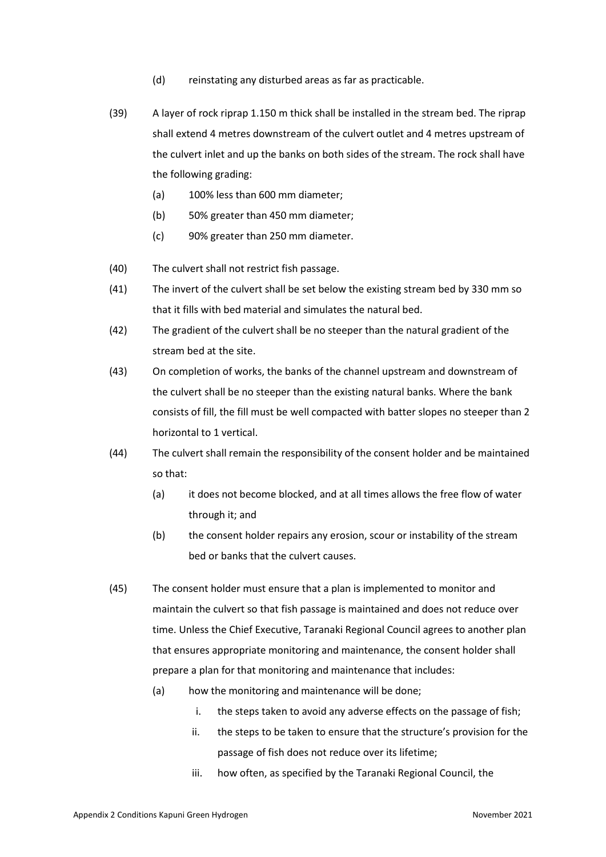- (d) reinstating any disturbed areas as far as practicable.
- (39) A layer of rock riprap 1.150 m thick shall be installed in the stream bed. The riprap shall extend 4 metres downstream of the culvert outlet and 4 metres upstream of the culvert inlet and up the banks on both sides of the stream. The rock shall have the following grading:
	- (a) 100% less than 600 mm diameter;
	- (b) 50% greater than 450 mm diameter;
	- (c) 90% greater than 250 mm diameter.
- (40) The culvert shall not restrict fish passage.
- (41) The invert of the culvert shall be set below the existing stream bed by 330 mm so that it fills with bed material and simulates the natural bed.
- (42) The gradient of the culvert shall be no steeper than the natural gradient of the stream bed at the site.
- (43) On completion of works, the banks of the channel upstream and downstream of the culvert shall be no steeper than the existing natural banks. Where the bank consists of fill, the fill must be well compacted with batter slopes no steeper than 2 horizontal to 1 vertical.
- (44) The culvert shall remain the responsibility of the consent holder and be maintained so that:
	- (a) it does not become blocked, and at all times allows the free flow of water through it; and
	- (b) the consent holder repairs any erosion, scour or instability of the stream bed or banks that the culvert causes.
- (45) The consent holder must ensure that a plan is implemented to monitor and maintain the culvert so that fish passage is maintained and does not reduce over time. Unless the Chief Executive, Taranaki Regional Council agrees to another plan that ensures appropriate monitoring and maintenance, the consent holder shall prepare a plan for that monitoring and maintenance that includes:
	- (a) how the monitoring and maintenance will be done;
		- i. the steps taken to avoid any adverse effects on the passage of fish;
		- ii. the steps to be taken to ensure that the structure's provision for the passage of fish does not reduce over its lifetime;
		- iii. how often, as specified by the Taranaki Regional Council, the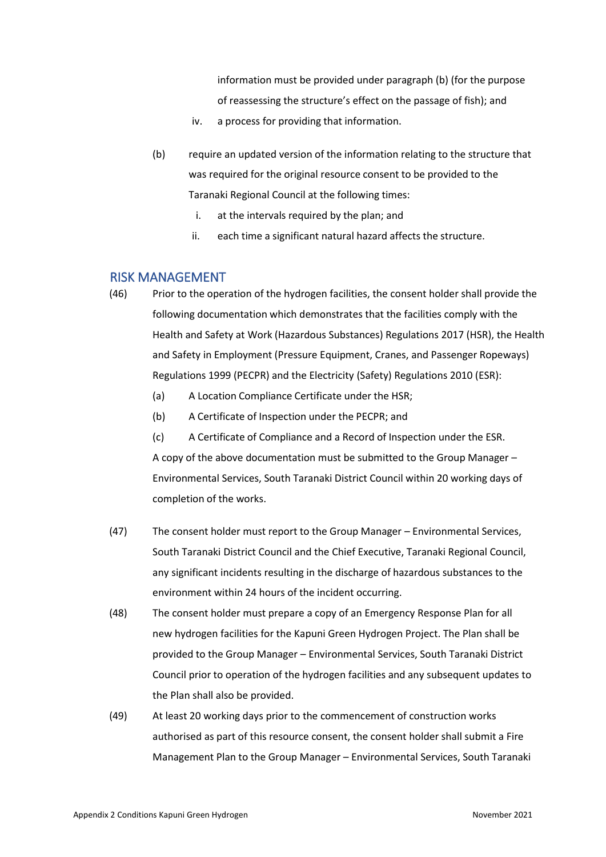information must be provided under paragraph (b) (for the purpose of reassessing the structure's effect on the passage of fish); and

- iv. a process for providing that information.
- (b) require an updated version of the information relating to the structure that was required for the original resource consent to be provided to the Taranaki Regional Council at the following times:
	- i. at the intervals required by the plan; and
	- ii. each time a significant natural hazard affects the structure.

## RISK MANAGEMENT

- (46) Prior to the operation of the hydrogen facilities, the consent holder shall provide the following documentation which demonstrates that the facilities comply with the Health and Safety at Work (Hazardous Substances) Regulations 2017 (HSR), the Health and Safety in Employment (Pressure Equipment, Cranes, and Passenger Ropeways) Regulations 1999 (PECPR) and the Electricity (Safety) Regulations 2010 (ESR):
	- (a) A Location Compliance Certificate under the HSR;
	- (b) A Certificate of Inspection under the PECPR; and

(c) A Certificate of Compliance and a Record of Inspection under the ESR. A copy of the above documentation must be submitted to the Group Manager – Environmental Services, South Taranaki District Council within 20 working days of completion of the works.

- (47) The consent holder must report to the Group Manager Environmental Services, South Taranaki District Council and the Chief Executive, Taranaki Regional Council, any significant incidents resulting in the discharge of hazardous substances to the environment within 24 hours of the incident occurring.
- (48) The consent holder must prepare a copy of an Emergency Response Plan for all new hydrogen facilities for the Kapuni Green Hydrogen Project. The Plan shall be provided to the Group Manager – Environmental Services, South Taranaki District Council prior to operation of the hydrogen facilities and any subsequent updates to the Plan shall also be provided.
- (49) At least 20 working days prior to the commencement of construction works authorised as part of this resource consent, the consent holder shall submit a Fire Management Plan to the Group Manager – Environmental Services, South Taranaki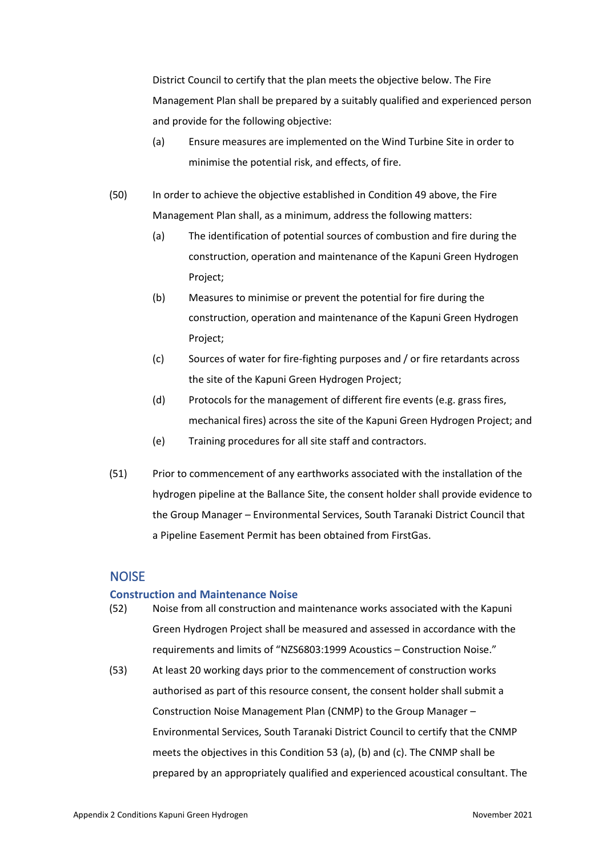District Council to certify that the plan meets the objective below. The Fire Management Plan shall be prepared by a suitably qualified and experienced person and provide for the following objective:

- (a) Ensure measures are implemented on the Wind Turbine Site in order to minimise the potential risk, and effects, of fire.
- (50) In order to achieve the objective established in Condition 49 above, the Fire Management Plan shall, as a minimum, address the following matters:
	- (a) The identification of potential sources of combustion and fire during the construction, operation and maintenance of the Kapuni Green Hydrogen Project;
	- (b) Measures to minimise or prevent the potential for fire during the construction, operation and maintenance of the Kapuni Green Hydrogen Project;
	- (c) Sources of water for fire-fighting purposes and / or fire retardants across the site of the Kapuni Green Hydrogen Project;
	- (d) Protocols for the management of different fire events (e.g. grass fires, mechanical fires) across the site of the Kapuni Green Hydrogen Project; and
	- (e) Training procedures for all site staff and contractors.
- (51) Prior to commencement of any earthworks associated with the installation of the hydrogen pipeline at the Ballance Site, the consent holder shall provide evidence to the Group Manager – Environmental Services, South Taranaki District Council that a Pipeline Easement Permit has been obtained from FirstGas.

## **NOISE**

### **Construction and Maintenance Noise**

- (52) Noise from all construction and maintenance works associated with the Kapuni Green Hydrogen Project shall be measured and assessed in accordance with the requirements and limits of "NZS6803:1999 Acoustics – Construction Noise."
- (53) At least 20 working days prior to the commencement of construction works authorised as part of this resource consent, the consent holder shall submit a Construction Noise Management Plan (CNMP) to the Group Manager – Environmental Services, South Taranaki District Council to certify that the CNMP meets the objectives in this Condition 53 (a), (b) and (c). The CNMP shall be prepared by an appropriately qualified and experienced acoustical consultant. The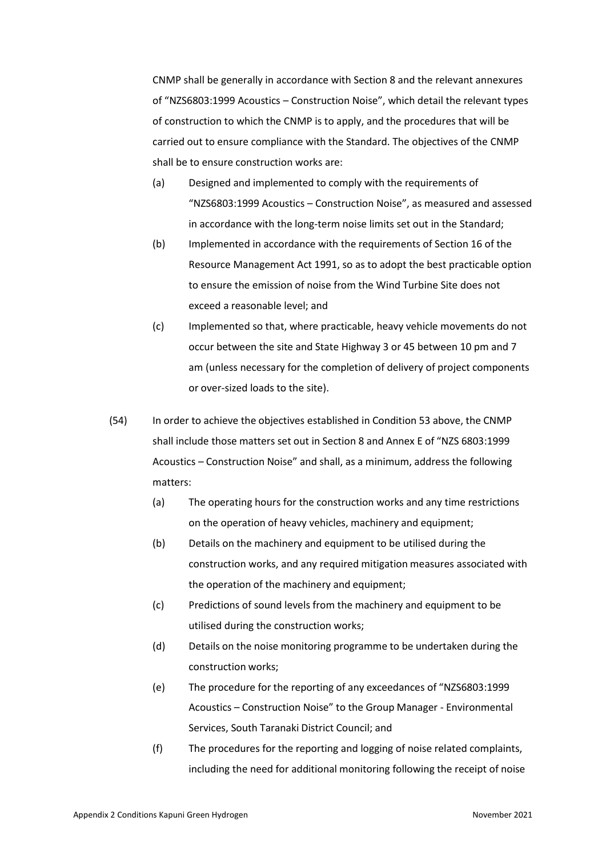CNMP shall be generally in accordance with Section 8 and the relevant annexures of "NZS6803:1999 Acoustics – Construction Noise", which detail the relevant types of construction to which the CNMP is to apply, and the procedures that will be carried out to ensure compliance with the Standard. The objectives of the CNMP shall be to ensure construction works are:

- (a) Designed and implemented to comply with the requirements of "NZS6803:1999 Acoustics – Construction Noise", as measured and assessed in accordance with the long-term noise limits set out in the Standard;
- (b) Implemented in accordance with the requirements of Section 16 of the Resource Management Act 1991, so as to adopt the best practicable option to ensure the emission of noise from the Wind Turbine Site does not exceed a reasonable level; and
- (c) Implemented so that, where practicable, heavy vehicle movements do not occur between the site and State Highway 3 or 45 between 10 pm and 7 am (unless necessary for the completion of delivery of project components or over-sized loads to the site).
- (54) In order to achieve the objectives established in Condition 53 above, the CNMP shall include those matters set out in Section 8 and Annex E of "NZS 6803:1999 Acoustics – Construction Noise" and shall, as a minimum, address the following matters:
	- (a) The operating hours for the construction works and any time restrictions on the operation of heavy vehicles, machinery and equipment;
	- (b) Details on the machinery and equipment to be utilised during the construction works, and any required mitigation measures associated with the operation of the machinery and equipment;
	- (c) Predictions of sound levels from the machinery and equipment to be utilised during the construction works;
	- (d) Details on the noise monitoring programme to be undertaken during the construction works;
	- (e) The procedure for the reporting of any exceedances of "NZS6803:1999 Acoustics – Construction Noise" to the Group Manager - Environmental Services, South Taranaki District Council; and
	- (f) The procedures for the reporting and logging of noise related complaints, including the need for additional monitoring following the receipt of noise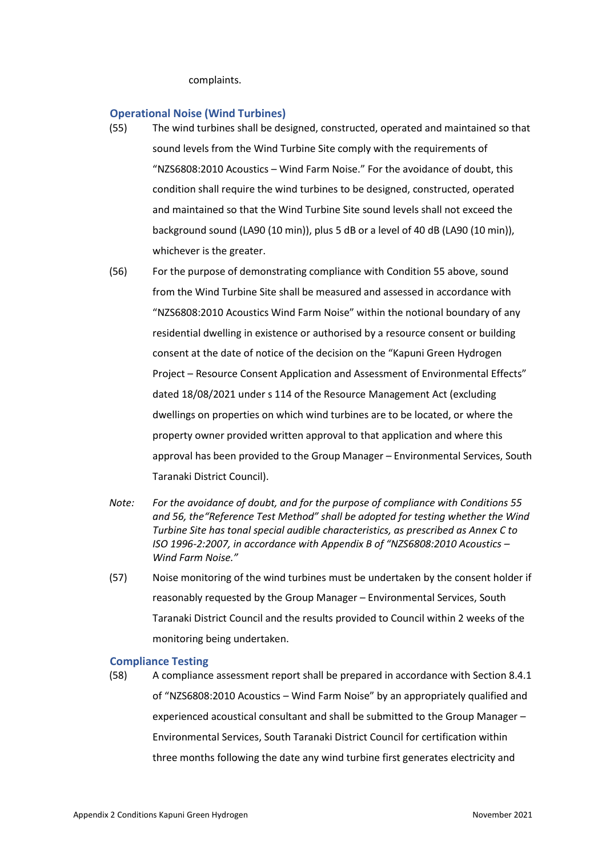complaints.

#### **Operational Noise (Wind Turbines)**

- (55) The wind turbines shall be designed, constructed, operated and maintained so that sound levels from the Wind Turbine Site comply with the requirements of "NZS6808:2010 Acoustics – Wind Farm Noise." For the avoidance of doubt, this condition shall require the wind turbines to be designed, constructed, operated and maintained so that the Wind Turbine Site sound levels shall not exceed the background sound (LA90 (10 min)), plus 5 dB or a level of 40 dB (LA90 (10 min)), whichever is the greater.
- (56) For the purpose of demonstrating compliance with Condition 55 above, sound from the Wind Turbine Site shall be measured and assessed in accordance with "NZS6808:2010 Acoustics Wind Farm Noise" within the notional boundary of any residential dwelling in existence or authorised by a resource consent or building consent at the date of notice of the decision on the "Kapuni Green Hydrogen Project – Resource Consent Application and Assessment of Environmental Effects" dated 18/08/2021 under s 114 of the Resource Management Act (excluding dwellings on properties on which wind turbines are to be located, or where the property owner provided written approval to that application and where this approval has been provided to the Group Manager – Environmental Services, South Taranaki District Council).
- *Note: For the avoidance of doubt, and for the purpose of compliance with Conditions 55 and 56, the"Reference Test Method" shall be adopted for testing whether the Wind Turbine Site has tonal special audible characteristics, as prescribed as Annex C to ISO 1996-2:2007, in accordance with Appendix B of "NZS6808:2010 Acoustics – Wind Farm Noise."*
- (57) Noise monitoring of the wind turbines must be undertaken by the consent holder if reasonably requested by the Group Manager – Environmental Services, South Taranaki District Council and the results provided to Council within 2 weeks of the monitoring being undertaken.

#### **Compliance Testing**

(58) A compliance assessment report shall be prepared in accordance with Section 8.4.1 of "NZS6808:2010 Acoustics – Wind Farm Noise" by an appropriately qualified and experienced acoustical consultant and shall be submitted to the Group Manager – Environmental Services, South Taranaki District Council for certification within three months following the date any wind turbine first generates electricity and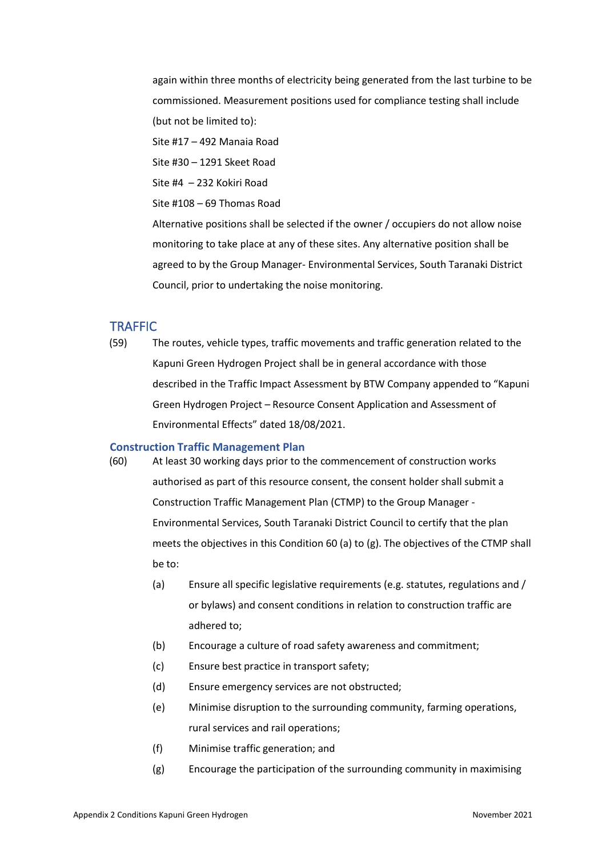again within three months of electricity being generated from the last turbine to be commissioned. Measurement positions used for compliance testing shall include (but not be limited to):

Site #17 – 492 Manaia Road

Site #30 – 1291 Skeet Road

Site #4 – 232 Kokiri Road

Site #108 – 69 Thomas Road

Alternative positions shall be selected if the owner / occupiers do not allow noise monitoring to take place at any of these sites. Any alternative position shall be agreed to by the Group Manager- Environmental Services, South Taranaki District Council, prior to undertaking the noise monitoring.

### **TRAFFIC**

(59) The routes, vehicle types, traffic movements and traffic generation related to the Kapuni Green Hydrogen Project shall be in general accordance with those described in the Traffic Impact Assessment by BTW Company appended to "Kapuni Green Hydrogen Project – Resource Consent Application and Assessment of Environmental Effects" dated 18/08/2021.

#### **Construction Traffic Management Plan**

- (60) At least 30 working days prior to the commencement of construction works authorised as part of this resource consent, the consent holder shall submit a Construction Traffic Management Plan (CTMP) to the Group Manager - Environmental Services, South Taranaki District Council to certify that the plan meets the objectives in this Condition 60 (a) to (g). The objectives of the CTMP shall be to:
	- (a) Ensure all specific legislative requirements (e.g. statutes, regulations and / or bylaws) and consent conditions in relation to construction traffic are adhered to;
	- (b) Encourage a culture of road safety awareness and commitment;
	- (c) Ensure best practice in transport safety;
	- (d) Ensure emergency services are not obstructed;
	- (e) Minimise disruption to the surrounding community, farming operations, rural services and rail operations;
	- (f) Minimise traffic generation; and
	- (g) Encourage the participation of the surrounding community in maximising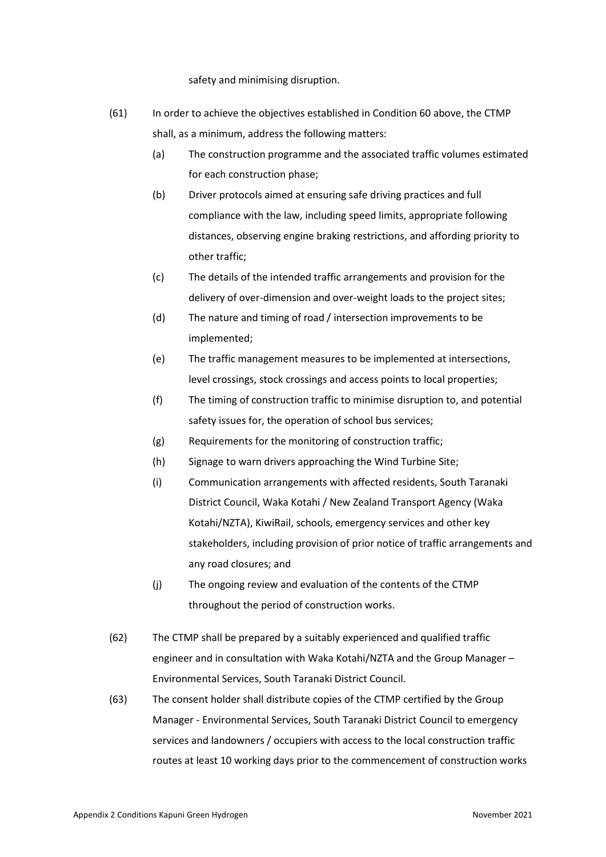safety and minimising disruption.

- (61) In order to achieve the objectives established in Condition 60 above, the CTMP shall, as a minimum, address the following matters:
	- (a) The construction programme and the associated traffic volumes estimated for each construction phase;
	- (b) Driver protocols aimed at ensuring safe driving practices and full compliance with the law, including speed limits, appropriate following distances, observing engine braking restrictions, and affording priority to other traffic;
	- (c) The details of the intended traffic arrangements and provision for the delivery of over-dimension and over-weight loads to the project sites;
	- (d) The nature and timing of road / intersection improvements to be implemented;
	- (e) The traffic management measures to be implemented at intersections, level crossings, stock crossings and access points to local properties;
	- (f) The timing of construction traffic to minimise disruption to, and potential safety issues for, the operation of school bus services;
	- (g) Requirements for the monitoring of construction traffic;
	- (h) Signage to warn drivers approaching the Wind Turbine Site;
	- (i) Communication arrangements with affected residents, South Taranaki District Council, Waka Kotahi / New Zealand Transport Agency (Waka Kotahi/NZTA), KiwiRail, schools, emergency services and other key stakeholders, including provision of prior notice of traffic arrangements and any road closures; and
	- (j) The ongoing review and evaluation of the contents of the CTMP throughout the period of construction works.
- (62) The CTMP shall be prepared by a suitably experienced and qualified traffic engineer and in consultation with Waka Kotahi/NZTA and the Group Manager – Environmental Services, South Taranaki District Council.
- (63) The consent holder shall distribute copies of the CTMP certified by the Group Manager - Environmental Services, South Taranaki District Council to emergency services and landowners / occupiers with access to the local construction traffic routes at least 10 working days prior to the commencement of construction works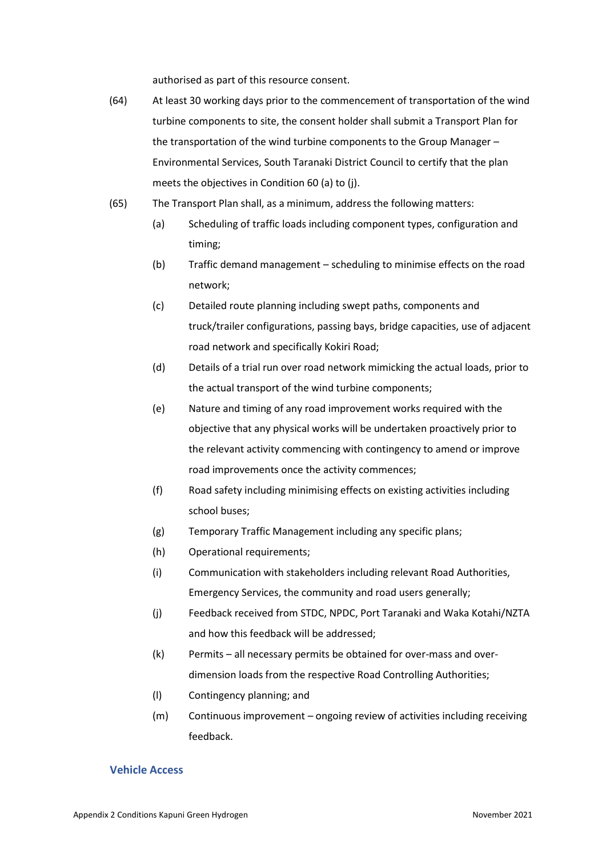authorised as part of this resource consent.

- (64) At least 30 working days prior to the commencement of transportation of the wind turbine components to site, the consent holder shall submit a Transport Plan for the transportation of the wind turbine components to the Group Manager – Environmental Services, South Taranaki District Council to certify that the plan meets the objectives in Condition 60 (a) to (j).
- (65) The Transport Plan shall, as a minimum, address the following matters:
	- (a) Scheduling of traffic loads including component types, configuration and timing;
	- (b) Traffic demand management scheduling to minimise effects on the road network;
	- (c) Detailed route planning including swept paths, components and truck/trailer configurations, passing bays, bridge capacities, use of adjacent road network and specifically Kokiri Road;
	- (d) Details of a trial run over road network mimicking the actual loads, prior to the actual transport of the wind turbine components;
	- (e) Nature and timing of any road improvement works required with the objective that any physical works will be undertaken proactively prior to the relevant activity commencing with contingency to amend or improve road improvements once the activity commences;
	- (f) Road safety including minimising effects on existing activities including school buses;
	- (g) Temporary Traffic Management including any specific plans;
	- (h) Operational requirements;
	- (i) Communication with stakeholders including relevant Road Authorities, Emergency Services, the community and road users generally;
	- (j) Feedback received from STDC, NPDC, Port Taranaki and Waka Kotahi/NZTA and how this feedback will be addressed;
	- (k) Permits all necessary permits be obtained for over-mass and overdimension loads from the respective Road Controlling Authorities;
	- (l) Contingency planning; and
	- (m) Continuous improvement ongoing review of activities including receiving feedback.

#### **Vehicle Access**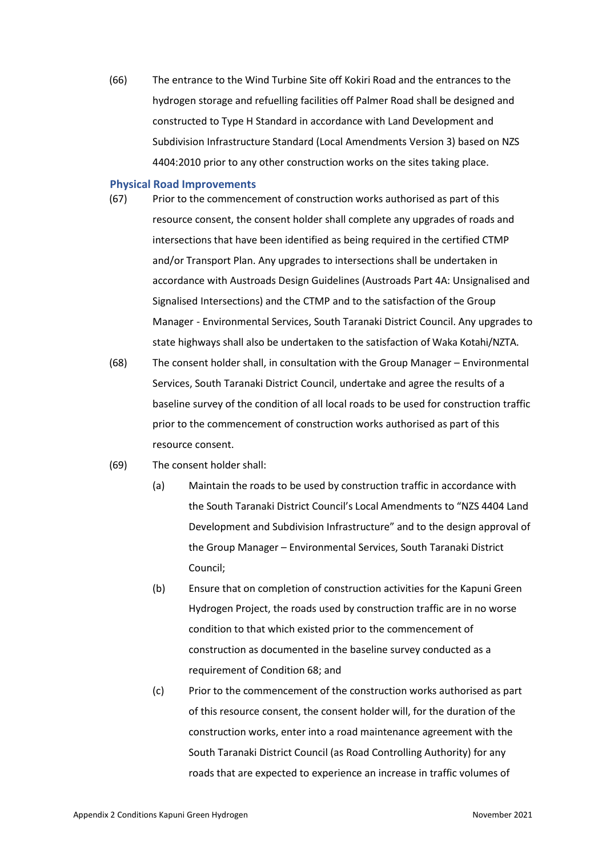(66) The entrance to the Wind Turbine Site off Kokiri Road and the entrances to the hydrogen storage and refuelling facilities off Palmer Road shall be designed and constructed to Type H Standard in accordance with Land Development and Subdivision Infrastructure Standard (Local Amendments Version 3) based on NZS 4404:2010 prior to any other construction works on the sites taking place.

#### **Physical Road Improvements**

- (67) Prior to the commencement of construction works authorised as part of this resource consent, the consent holder shall complete any upgrades of roads and intersections that have been identified as being required in the certified CTMP and/or Transport Plan. Any upgrades to intersections shall be undertaken in accordance with Austroads Design Guidelines (Austroads Part 4A: Unsignalised and Signalised Intersections) and the CTMP and to the satisfaction of the Group Manager - Environmental Services, South Taranaki District Council. Any upgrades to state highways shall also be undertaken to the satisfaction of Waka Kotahi/NZTA.
- (68) The consent holder shall, in consultation with the Group Manager Environmental Services, South Taranaki District Council, undertake and agree the results of a baseline survey of the condition of all local roads to be used for construction traffic prior to the commencement of construction works authorised as part of this resource consent.
- (69) The consent holder shall:
	- (a) Maintain the roads to be used by construction traffic in accordance with the South Taranaki District Council's Local Amendments to "NZS 4404 Land Development and Subdivision Infrastructure" and to the design approval of the Group Manager – Environmental Services, South Taranaki District Council;
	- (b) Ensure that on completion of construction activities for the Kapuni Green Hydrogen Project, the roads used by construction traffic are in no worse condition to that which existed prior to the commencement of construction as documented in the baseline survey conducted as a requirement of Condition 68; and
	- (c) Prior to the commencement of the construction works authorised as part of this resource consent, the consent holder will, for the duration of the construction works, enter into a road maintenance agreement with the South Taranaki District Council (as Road Controlling Authority) for any roads that are expected to experience an increase in traffic volumes of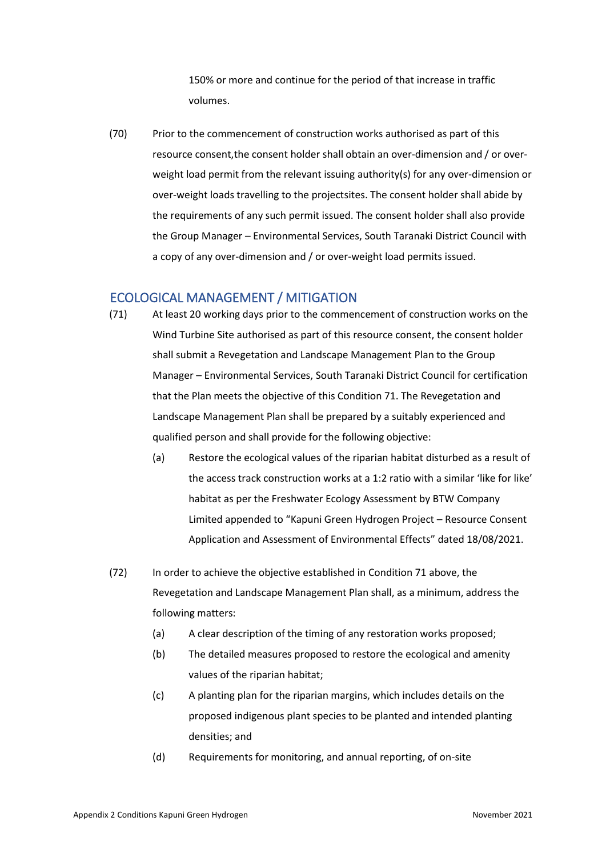150% or more and continue for the period of that increase in traffic volumes.

(70) Prior to the commencement of construction works authorised as part of this resource consent,the consent holder shall obtain an over-dimension and / or overweight load permit from the relevant issuing authority(s) for any over-dimension or over-weight loads travelling to the projectsites. The consent holder shall abide by the requirements of any such permit issued. The consent holder shall also provide the Group Manager – Environmental Services, South Taranaki District Council with a copy of any over-dimension and / or over-weight load permits issued.

# ECOLOGICAL MANAGEMENT / MITIGATION

- (71) At least 20 working days prior to the commencement of construction works on the Wind Turbine Site authorised as part of this resource consent, the consent holder shall submit a Revegetation and Landscape Management Plan to the Group Manager – Environmental Services, South Taranaki District Council for certification that the Plan meets the objective of this Condition 71. The Revegetation and Landscape Management Plan shall be prepared by a suitably experienced and qualified person and shall provide for the following objective:
	- (a) Restore the ecological values of the riparian habitat disturbed as a result of the access track construction works at a 1:2 ratio with a similar 'like for like' habitat as per the Freshwater Ecology Assessment by BTW Company Limited appended to "Kapuni Green Hydrogen Project – Resource Consent Application and Assessment of Environmental Effects" dated 18/08/2021.
- (72) In order to achieve the objective established in Condition 71 above, the Revegetation and Landscape Management Plan shall, as a minimum, address the following matters:
	- (a) A clear description of the timing of any restoration works proposed;
	- (b) The detailed measures proposed to restore the ecological and amenity values of the riparian habitat;
	- (c) A planting plan for the riparian margins, which includes details on the proposed indigenous plant species to be planted and intended planting densities; and
	- (d) Requirements for monitoring, and annual reporting, of on-site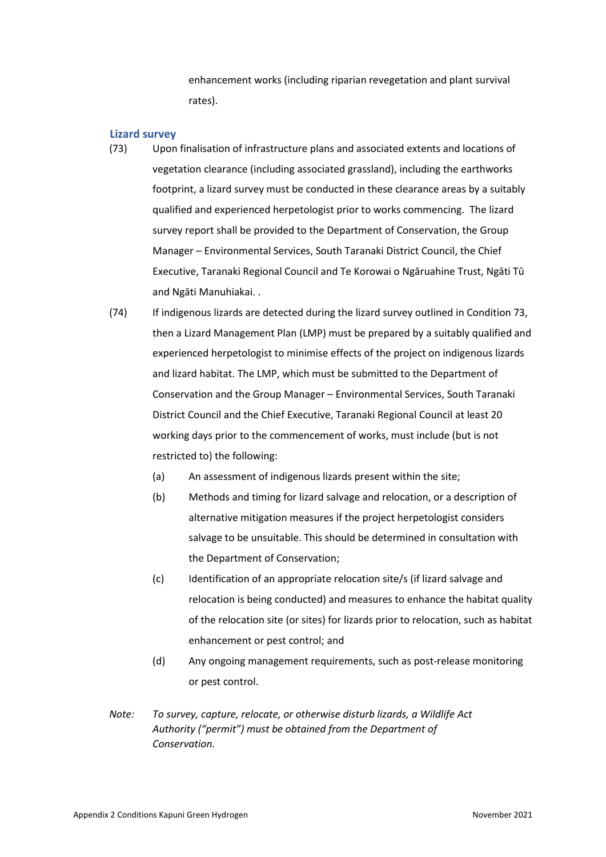enhancement works (including riparian revegetation and plant survival rates).

#### **Lizard survey**

- (73) Upon finalisation of infrastructure plans and associated extents and locations of vegetation clearance (including associated grassland), including the earthworks footprint, a lizard survey must be conducted in these clearance areas by a suitably qualified and experienced herpetologist prior to works commencing. The lizard survey report shall be provided to the Department of Conservation, the Group Manager – Environmental Services, South Taranaki District Council, the Chief Executive, Taranaki Regional Council and Te Korowai o Ngāruahine Trust, Ngāti Tū and Ngāti Manuhiakai. .
- (74) If indigenous lizards are detected during the lizard survey outlined in Condition 73, then a Lizard Management Plan (LMP) must be prepared by a suitably qualified and experienced herpetologist to minimise effects of the project on indigenous lizards and lizard habitat. The LMP, which must be submitted to the Department of Conservation and the Group Manager – Environmental Services, South Taranaki District Council and the Chief Executive, Taranaki Regional Council at least 20 working days prior to the commencement of works, must include (but is not restricted to) the following:
	- (a) An assessment of indigenous lizards present within the site;
	- (b) Methods and timing for lizard salvage and relocation, or a description of alternative mitigation measures if the project herpetologist considers salvage to be unsuitable. This should be determined in consultation with the Department of Conservation;
	- (c) Identification of an appropriate relocation site/s (if lizard salvage and relocation is being conducted) and measures to enhance the habitat quality of the relocation site (or sites) for lizards prior to relocation, such as habitat enhancement or pest control; and
	- (d) Any ongoing management requirements, such as post-release monitoring or pest control.
- *Note: To survey, capture, relocate, or otherwise disturb lizards, a Wildlife Act Authority ("permit") must be obtained from the Department of Conservation.*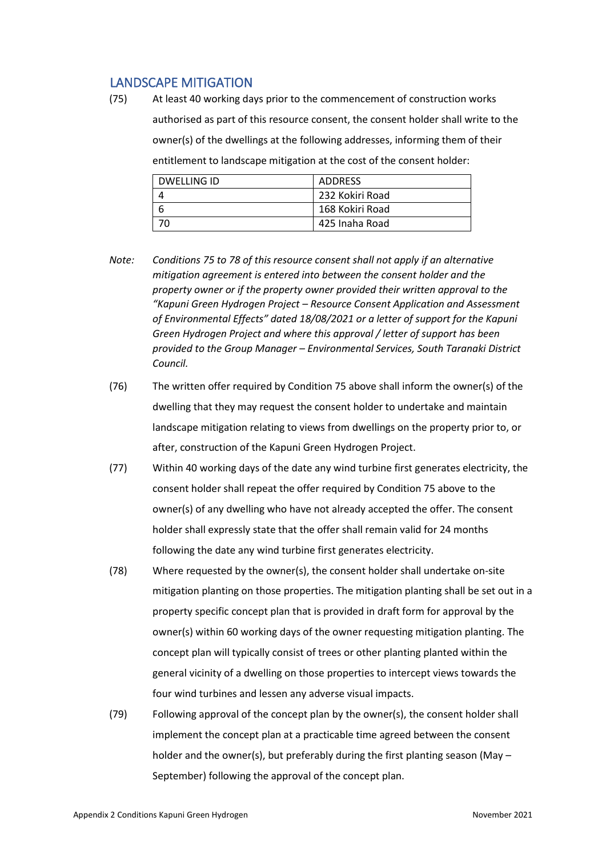# LANDSCAPE MITIGATION

(75) At least 40 working days prior to the commencement of construction works authorised as part of this resource consent, the consent holder shall write to the owner(s) of the dwellings at the following addresses, informing them of their entitlement to landscape mitigation at the cost of the consent holder:

| DWELLING ID | ADDRESS         |
|-------------|-----------------|
|             | 232 Kokiri Road |
|             | 168 Kokiri Road |
|             | 425 Inaha Road  |

- *Note: Conditions 75 to 78 of this resource consent shall not apply if an alternative mitigation agreement is entered into between the consent holder and the property owner or if the property owner provided their written approval to the "Kapuni Green Hydrogen Project – Resource Consent Application and Assessment of Environmental Effects" dated 18/08/2021 or a letter of support for the Kapuni Green Hydrogen Project and where this approval / letter of support has been provided to the Group Manager – Environmental Services, South Taranaki District Council.*
- (76) The written offer required by Condition 75 above shall inform the owner(s) of the dwelling that they may request the consent holder to undertake and maintain landscape mitigation relating to views from dwellings on the property prior to, or after, construction of the Kapuni Green Hydrogen Project.
- (77) Within 40 working days of the date any wind turbine first generates electricity, the consent holder shall repeat the offer required by Condition 75 above to the owner(s) of any dwelling who have not already accepted the offer. The consent holder shall expressly state that the offer shall remain valid for 24 months following the date any wind turbine first generates electricity.
- (78) Where requested by the owner(s), the consent holder shall undertake on-site mitigation planting on those properties. The mitigation planting shall be set out in a property specific concept plan that is provided in draft form for approval by the owner(s) within 60 working days of the owner requesting mitigation planting. The concept plan will typically consist of trees or other planting planted within the general vicinity of a dwelling on those properties to intercept views towards the four wind turbines and lessen any adverse visual impacts.
- (79) Following approval of the concept plan by the owner(s), the consent holder shall implement the concept plan at a practicable time agreed between the consent holder and the owner(s), but preferably during the first planting season (May – September) following the approval of the concept plan.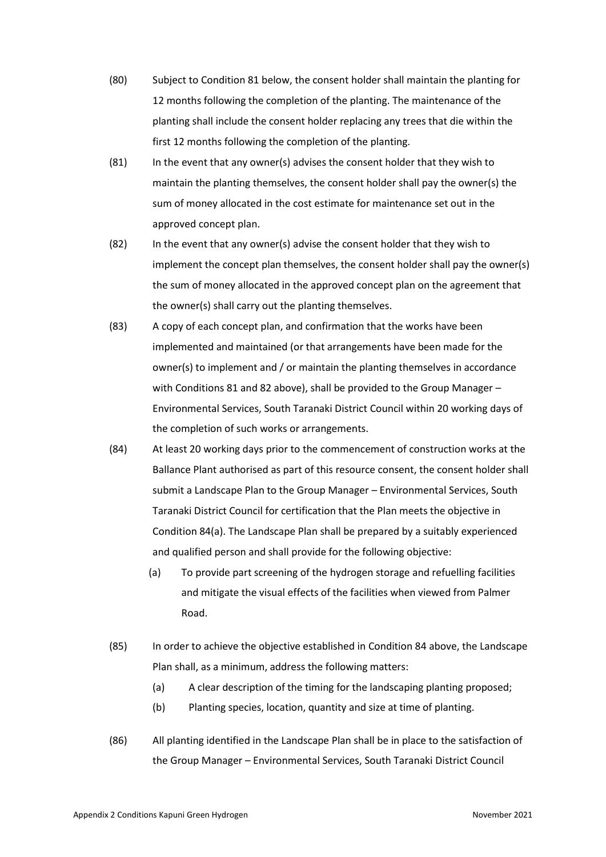- (80) Subject to Condition 81 below, the consent holder shall maintain the planting for 12 months following the completion of the planting. The maintenance of the planting shall include the consent holder replacing any trees that die within the first 12 months following the completion of the planting.
- (81) In the event that any owner(s) advises the consent holder that they wish to maintain the planting themselves, the consent holder shall pay the owner(s) the sum of money allocated in the cost estimate for maintenance set out in the approved concept plan.
- (82) In the event that any owner(s) advise the consent holder that they wish to implement the concept plan themselves, the consent holder shall pay the owner(s) the sum of money allocated in the approved concept plan on the agreement that the owner(s) shall carry out the planting themselves.
- (83) A copy of each concept plan, and confirmation that the works have been implemented and maintained (or that arrangements have been made for the owner(s) to implement and / or maintain the planting themselves in accordance with Conditions 81 and 82 above), shall be provided to the Group Manager – Environmental Services, South Taranaki District Council within 20 working days of the completion of such works or arrangements.
- (84) At least 20 working days prior to the commencement of construction works at the Ballance Plant authorised as part of this resource consent, the consent holder shall submit a Landscape Plan to the Group Manager – Environmental Services, South Taranaki District Council for certification that the Plan meets the objective in Condition 84(a). The Landscape Plan shall be prepared by a suitably experienced and qualified person and shall provide for the following objective:
	- (a) To provide part screening of the hydrogen storage and refuelling facilities and mitigate the visual effects of the facilities when viewed from Palmer Road.
- (85) In order to achieve the objective established in Condition 84 above, the Landscape Plan shall, as a minimum, address the following matters:
	- (a) A clear description of the timing for the landscaping planting proposed;
	- (b) Planting species, location, quantity and size at time of planting.
- (86) All planting identified in the Landscape Plan shall be in place to the satisfaction of the Group Manager – Environmental Services, South Taranaki District Council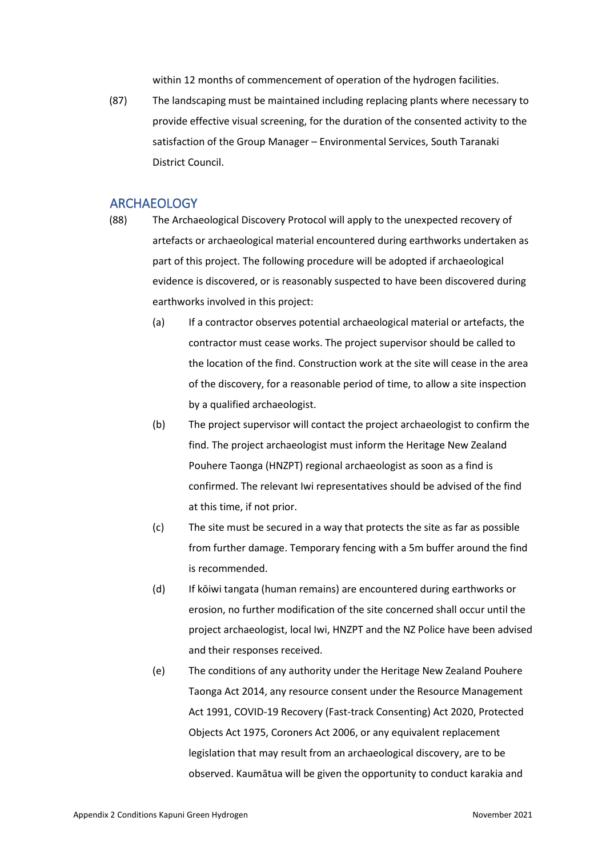within 12 months of commencement of operation of the hydrogen facilities.

(87) The landscaping must be maintained including replacing plants where necessary to provide effective visual screening, for the duration of the consented activity to the satisfaction of the Group Manager – Environmental Services, South Taranaki District Council.

### **ARCHAEOLOGY**

(88) The Archaeological Discovery Protocol will apply to the unexpected recovery of artefacts or archaeological material encountered during earthworks undertaken as part of this project. The following procedure will be adopted if archaeological evidence is discovered, or is reasonably suspected to have been discovered during earthworks involved in this project:

- (a) If a contractor observes potential archaeological material or artefacts, the contractor must cease works. The project supervisor should be called to the location of the find. Construction work at the site will cease in the area of the discovery, for a reasonable period of time, to allow a site inspection by a qualified archaeologist.
- (b) The project supervisor will contact the project archaeologist to confirm the find. The project archaeologist must inform the Heritage New Zealand Pouhere Taonga (HNZPT) regional archaeologist as soon as a find is confirmed. The relevant Iwi representatives should be advised of the find at this time, if not prior.
- (c) The site must be secured in a way that protects the site as far as possible from further damage. Temporary fencing with a 5m buffer around the find is recommended.
- (d) If kōiwi tangata (human remains) are encountered during earthworks or erosion, no further modification of the site concerned shall occur until the project archaeologist, local Iwi, HNZPT and the NZ Police have been advised and their responses received.
- (e) The conditions of any authority under the Heritage New Zealand Pouhere Taonga Act 2014, any resource consent under the Resource Management Act 1991, COVID-19 Recovery (Fast-track Consenting) Act 2020, Protected Objects Act 1975, Coroners Act 2006, or any equivalent replacement legislation that may result from an archaeological discovery, are to be observed. Kaumātua will be given the opportunity to conduct karakia and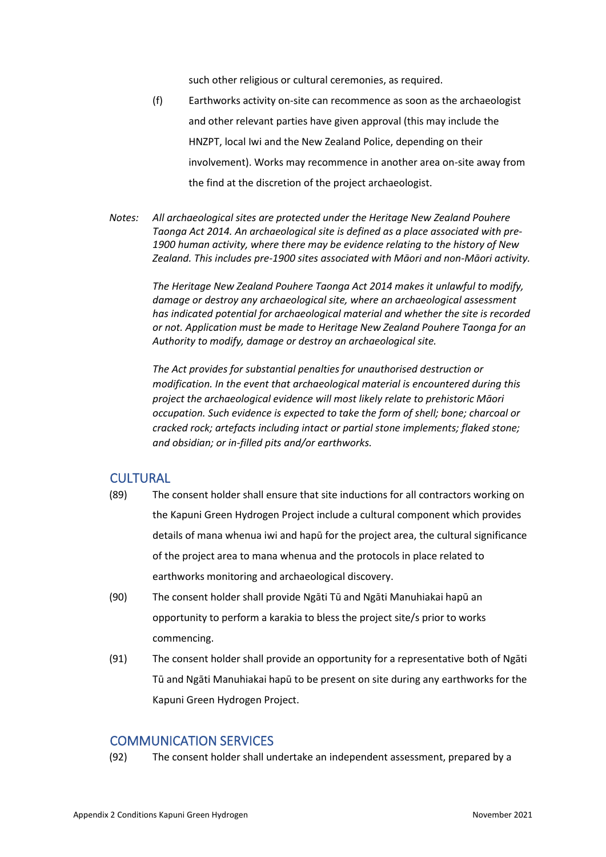such other religious or cultural ceremonies, as required.

- (f) Earthworks activity on-site can recommence as soon as the archaeologist and other relevant parties have given approval (this may include the HNZPT, local Iwi and the New Zealand Police, depending on their involvement). Works may recommence in another area on-site away from the find at the discretion of the project archaeologist.
- *Notes: All archaeological sites are protected under the Heritage New Zealand Pouhere Taonga Act 2014. An archaeological site is defined as a place associated with pre-1900 human activity, where there may be evidence relating to the history of New Zealand. This includes pre-1900 sites associated with Māori and non-Māori activity.*

*The Heritage New Zealand Pouhere Taonga Act 2014 makes it unlawful to modify, damage or destroy any archaeological site, where an archaeological assessment has indicated potential for archaeological material and whether the site is recorded or not. Application must be made to Heritage New Zealand Pouhere Taonga for an Authority to modify, damage or destroy an archaeological site.* 

*The Act provides for substantial penalties for unauthorised destruction or modification. In the event that archaeological material is encountered during this project the archaeological evidence will most likely relate to prehistoric Māori occupation. Such evidence is expected to take the form of shell; bone; charcoal or cracked rock; artefacts including intact or partial stone implements; flaked stone; and obsidian; or in-filled pits and/or earthworks.*

### **CULTURAL**

- (89) The consent holder shall ensure that site inductions for all contractors working on the Kapuni Green Hydrogen Project include a cultural component which provides details of mana whenua iwi and hapū for the project area, the cultural significance of the project area to mana whenua and the protocols in place related to earthworks monitoring and archaeological discovery.
- (90) The consent holder shall provide Ngāti Tū and Ngāti Manuhiakai hapū an opportunity to perform a karakia to bless the project site/s prior to works commencing.
- (91) The consent holder shall provide an opportunity for a representative both of Ngāti Tū and Ngāti Manuhiakai hapū to be present on site during any earthworks for the Kapuni Green Hydrogen Project.

### COMMUNICATION SERVICES

(92) The consent holder shall undertake an independent assessment, prepared by a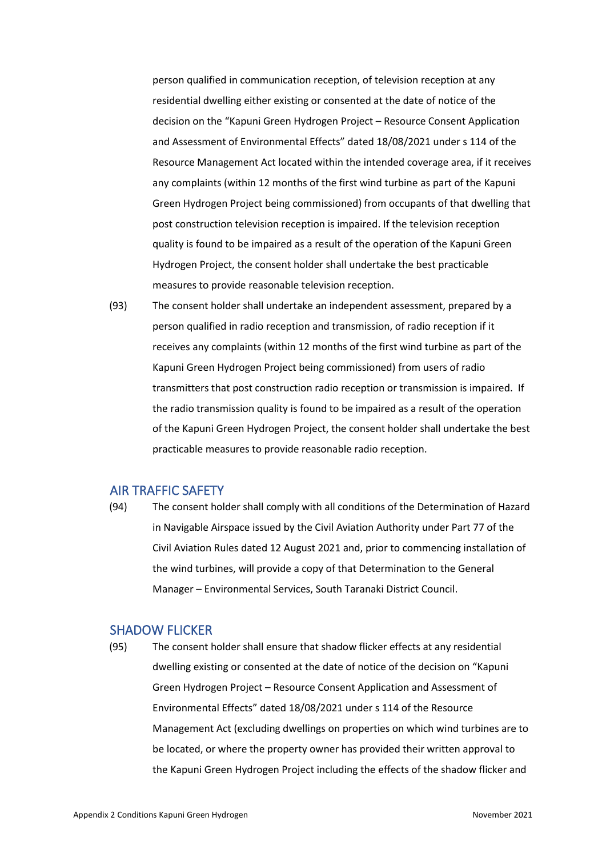person qualified in communication reception, of television reception at any residential dwelling either existing or consented at the date of notice of the decision on the "Kapuni Green Hydrogen Project – Resource Consent Application and Assessment of Environmental Effects" dated 18/08/2021 under s 114 of the Resource Management Act located within the intended coverage area, if it receives any complaints (within 12 months of the first wind turbine as part of the Kapuni Green Hydrogen Project being commissioned) from occupants of that dwelling that post construction television reception is impaired. If the television reception quality is found to be impaired as a result of the operation of the Kapuni Green Hydrogen Project, the consent holder shall undertake the best practicable measures to provide reasonable television reception.

(93) The consent holder shall undertake an independent assessment, prepared by a person qualified in radio reception and transmission, of radio reception if it receives any complaints (within 12 months of the first wind turbine as part of the Kapuni Green Hydrogen Project being commissioned) from users of radio transmitters that post construction radio reception or transmission is impaired. If the radio transmission quality is found to be impaired as a result of the operation of the Kapuni Green Hydrogen Project, the consent holder shall undertake the best practicable measures to provide reasonable radio reception.

### AIR TRAFFIC SAFETY

(94) The consent holder shall comply with all conditions of the Determination of Hazard in Navigable Airspace issued by the Civil Aviation Authority under Part 77 of the Civil Aviation Rules dated 12 August 2021 and, prior to commencing installation of the wind turbines, will provide a copy of that Determination to the General Manager – Environmental Services, South Taranaki District Council.

# SHADOW FLICKER

(95) The consent holder shall ensure that shadow flicker effects at any residential dwelling existing or consented at the date of notice of the decision on "Kapuni Green Hydrogen Project – Resource Consent Application and Assessment of Environmental Effects" dated 18/08/2021 under s 114 of the Resource Management Act (excluding dwellings on properties on which wind turbines are to be located, or where the property owner has provided their written approval to the Kapuni Green Hydrogen Project including the effects of the shadow flicker and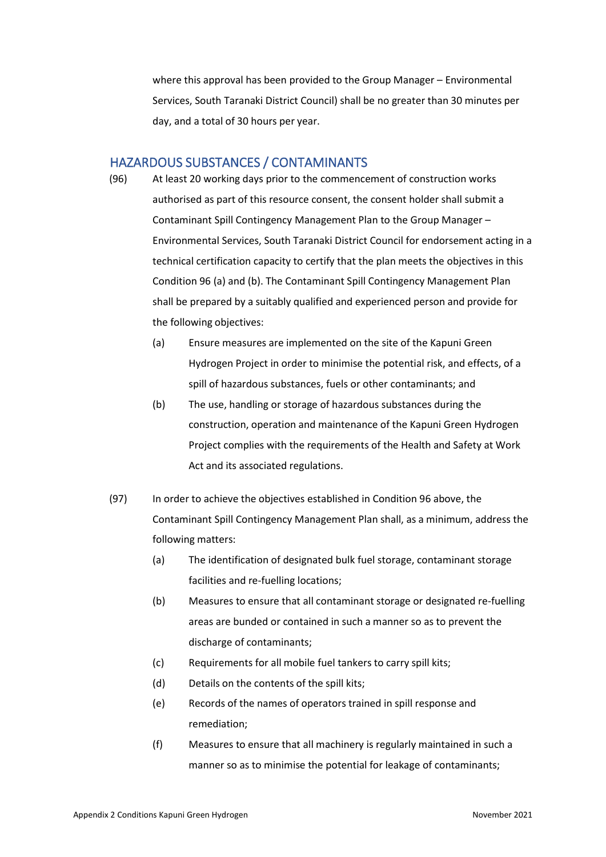where this approval has been provided to the Group Manager – Environmental Services, South Taranaki District Council) shall be no greater than 30 minutes per day, and a total of 30 hours per year.

### HAZARDOUS SUBSTANCES / CONTAMINANTS

- 
- (96) At least 20 working days prior to the commencement of construction works authorised as part of this resource consent, the consent holder shall submit a Contaminant Spill Contingency Management Plan to the Group Manager – Environmental Services, South Taranaki District Council for endorsement acting in a technical certification capacity to certify that the plan meets the objectives in this Condition 96 (a) and (b). The Contaminant Spill Contingency Management Plan shall be prepared by a suitably qualified and experienced person and provide for the following objectives:
	- (a) Ensure measures are implemented on the site of the Kapuni Green Hydrogen Project in order to minimise the potential risk, and effects, of a spill of hazardous substances, fuels or other contaminants; and
	- (b) The use, handling or storage of hazardous substances during the construction, operation and maintenance of the Kapuni Green Hydrogen Project complies with the requirements of the Health and Safety at Work Act and its associated regulations.
- (97) In order to achieve the objectives established in Condition 96 above, the Contaminant Spill Contingency Management Plan shall, as a minimum, address the following matters:
	- (a) The identification of designated bulk fuel storage, contaminant storage facilities and re-fuelling locations;
	- (b) Measures to ensure that all contaminant storage or designated re-fuelling areas are bunded or contained in such a manner so as to prevent the discharge of contaminants;
	- (c) Requirements for all mobile fuel tankers to carry spill kits;
	- (d) Details on the contents of the spill kits;
	- (e) Records of the names of operators trained in spill response and remediation;
	- (f) Measures to ensure that all machinery is regularly maintained in such a manner so as to minimise the potential for leakage of contaminants;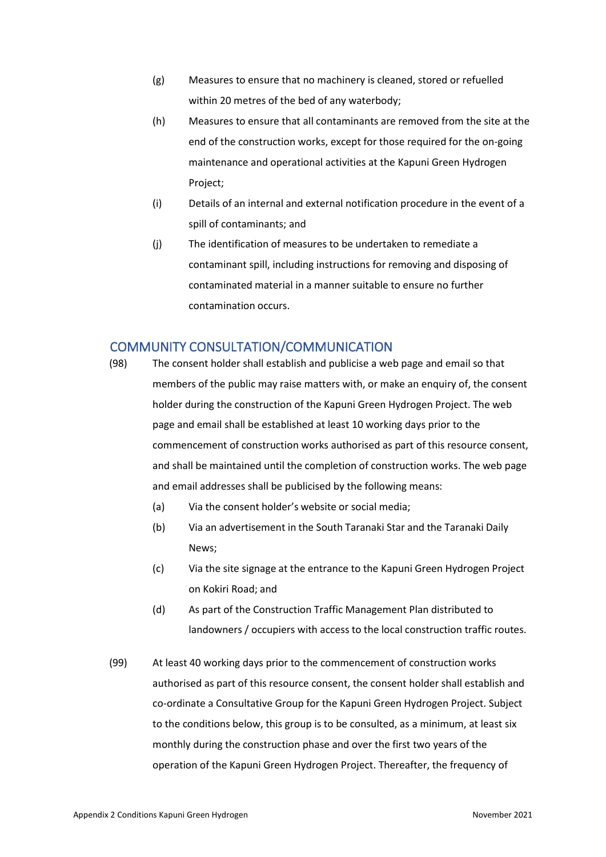- (g) Measures to ensure that no machinery is cleaned, stored or refuelled within 20 metres of the bed of any waterbody;
- (h) Measures to ensure that all contaminants are removed from the site at the end of the construction works, except for those required for the on-going maintenance and operational activities at the Kapuni Green Hydrogen Project;
- (i) Details of an internal and external notification procedure in the event of a spill of contaminants; and
- (j) The identification of measures to be undertaken to remediate a contaminant spill, including instructions for removing and disposing of contaminated material in a manner suitable to ensure no further contamination occurs.

# COMMUNITY CONSULTATION/COMMUNICATION

- (98) The consent holder shall establish and publicise a web page and email so that members of the public may raise matters with, or make an enquiry of, the consent holder during the construction of the Kapuni Green Hydrogen Project. The web page and email shall be established at least 10 working days prior to the commencement of construction works authorised as part of this resource consent, and shall be maintained until the completion of construction works. The web page and email addresses shall be publicised by the following means:
	- (a) Via the consent holder's website or social media;
	- (b) Via an advertisement in the South Taranaki Star and the Taranaki Daily News;
	- (c) Via the site signage at the entrance to the Kapuni Green Hydrogen Project on Kokiri Road; and
	- (d) As part of the Construction Traffic Management Plan distributed to landowners / occupiers with access to the local construction traffic routes.
- (99) At least 40 working days prior to the commencement of construction works authorised as part of this resource consent, the consent holder shall establish and co-ordinate a Consultative Group for the Kapuni Green Hydrogen Project. Subject to the conditions below, this group is to be consulted, as a minimum, at least six monthly during the construction phase and over the first two years of the operation of the Kapuni Green Hydrogen Project. Thereafter, the frequency of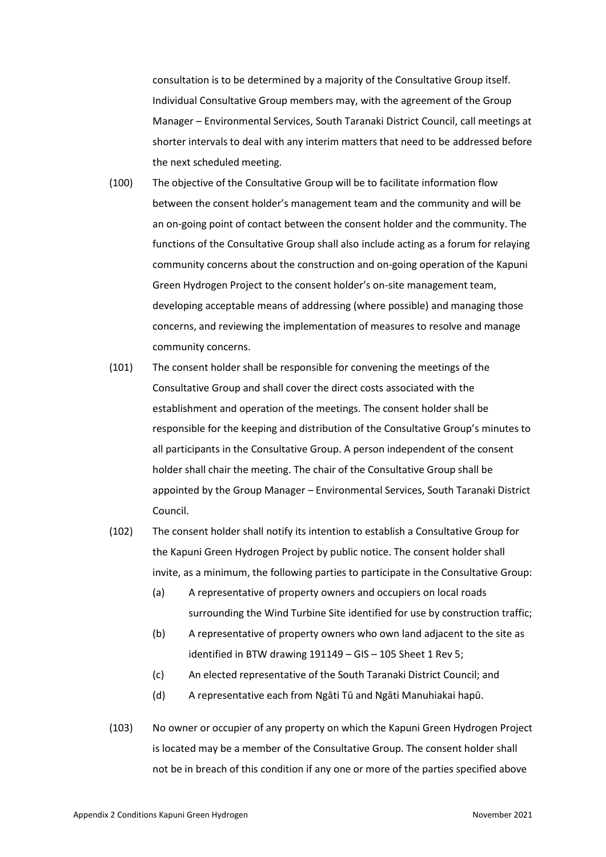consultation is to be determined by a majority of the Consultative Group itself. Individual Consultative Group members may, with the agreement of the Group Manager – Environmental Services, South Taranaki District Council, call meetings at shorter intervals to deal with any interim matters that need to be addressed before the next scheduled meeting.

- (100) The objective of the Consultative Group will be to facilitate information flow between the consent holder's management team and the community and will be an on-going point of contact between the consent holder and the community. The functions of the Consultative Group shall also include acting as a forum for relaying community concerns about the construction and on-going operation of the Kapuni Green Hydrogen Project to the consent holder's on-site management team, developing acceptable means of addressing (where possible) and managing those concerns, and reviewing the implementation of measures to resolve and manage community concerns.
- (101) The consent holder shall be responsible for convening the meetings of the Consultative Group and shall cover the direct costs associated with the establishment and operation of the meetings. The consent holder shall be responsible for the keeping and distribution of the Consultative Group's minutes to all participants in the Consultative Group. A person independent of the consent holder shall chair the meeting. The chair of the Consultative Group shall be appointed by the Group Manager – Environmental Services, South Taranaki District Council.
- (102) The consent holder shall notify its intention to establish a Consultative Group for the Kapuni Green Hydrogen Project by public notice. The consent holder shall invite, as a minimum, the following parties to participate in the Consultative Group:
	- (a) A representative of property owners and occupiers on local roads surrounding the Wind Turbine Site identified for use by construction traffic;
	- (b) A representative of property owners who own land adjacent to the site as identified in BTW drawing 191149 – GIS – 105 Sheet 1 Rev 5;
	- (c) An elected representative of the South Taranaki District Council; and
	- (d) A representative each from Ngāti Tū and Ngāti Manuhiakai hapū.
- (103) No owner or occupier of any property on which the Kapuni Green Hydrogen Project is located may be a member of the Consultative Group. The consent holder shall not be in breach of this condition if any one or more of the parties specified above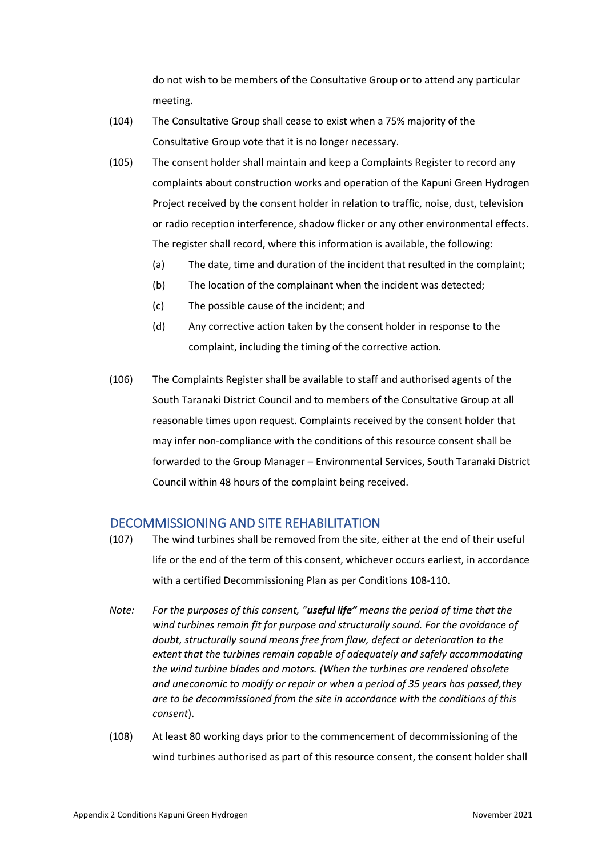do not wish to be members of the Consultative Group or to attend any particular meeting.

- (104) The Consultative Group shall cease to exist when a 75% majority of the Consultative Group vote that it is no longer necessary.
- (105) The consent holder shall maintain and keep a Complaints Register to record any complaints about construction works and operation of the Kapuni Green Hydrogen Project received by the consent holder in relation to traffic, noise, dust, television or radio reception interference, shadow flicker or any other environmental effects. The register shall record, where this information is available, the following:
	- (a) The date, time and duration of the incident that resulted in the complaint;
	- (b) The location of the complainant when the incident was detected;
	- (c) The possible cause of the incident; and
	- (d) Any corrective action taken by the consent holder in response to the complaint, including the timing of the corrective action.
- (106) The Complaints Register shall be available to staff and authorised agents of the South Taranaki District Council and to members of the Consultative Group at all reasonable times upon request. Complaints received by the consent holder that may infer non-compliance with the conditions of this resource consent shall be forwarded to the Group Manager – Environmental Services, South Taranaki District Council within 48 hours of the complaint being received.

# DECOMMISSIONING AND SITE REHABILITATION

- (107) The wind turbines shall be removed from the site, either at the end of their useful life or the end of the term of this consent, whichever occurs earliest, in accordance with a certified Decommissioning Plan as per Conditions 108-110.
- *Note: For the purposes of this consent, "useful life" means the period of time that the wind turbines remain fit for purpose and structurally sound. For the avoidance of doubt, structurally sound means free from flaw, defect or deterioration to the extent that the turbines remain capable of adequately and safely accommodating the wind turbine blades and motors. (When the turbines are rendered obsolete and uneconomic to modify or repair or when a period of 35 years has passed,they are to be decommissioned from the site in accordance with the conditions of this consent*).
- (108) At least 80 working days prior to the commencement of decommissioning of the wind turbines authorised as part of this resource consent, the consent holder shall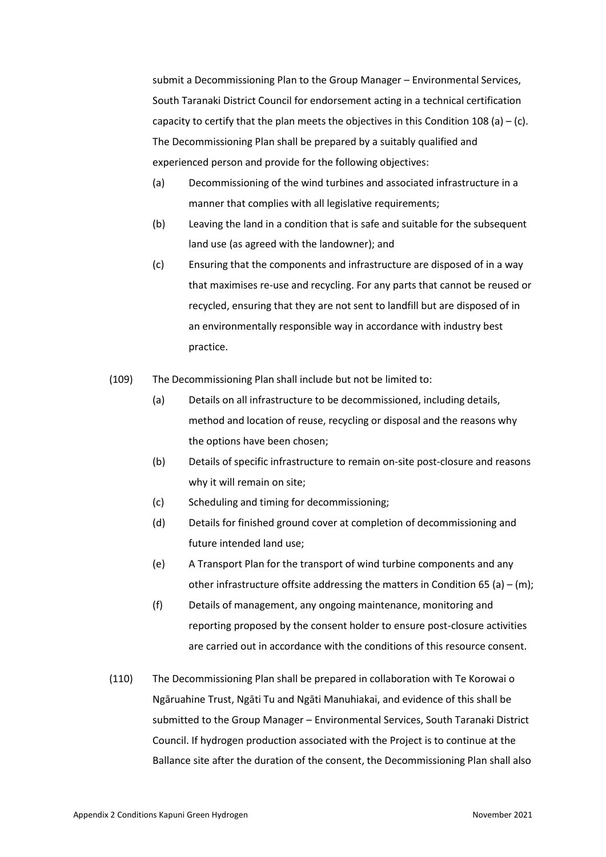submit a Decommissioning Plan to the Group Manager – Environmental Services, South Taranaki District Council for endorsement acting in a technical certification capacity to certify that the plan meets the objectives in this Condition 108 (a) – (c). The Decommissioning Plan shall be prepared by a suitably qualified and experienced person and provide for the following objectives:

- (a) Decommissioning of the wind turbines and associated infrastructure in a manner that complies with all legislative requirements;
- (b) Leaving the land in a condition that is safe and suitable for the subsequent land use (as agreed with the landowner); and
- (c) Ensuring that the components and infrastructure are disposed of in a way that maximises re-use and recycling. For any parts that cannot be reused or recycled, ensuring that they are not sent to landfill but are disposed of in an environmentally responsible way in accordance with industry best practice.
- (109) The Decommissioning Plan shall include but not be limited to:
	- (a) Details on all infrastructure to be decommissioned, including details, method and location of reuse, recycling or disposal and the reasons why the options have been chosen;
	- (b) Details of specific infrastructure to remain on-site post-closure and reasons why it will remain on site;
	- (c) Scheduling and timing for decommissioning;
	- (d) Details for finished ground cover at completion of decommissioning and future intended land use;
	- (e) A Transport Plan for the transport of wind turbine components and any other infrastructure offsite addressing the matters in Condition 65 (a) – (m);
	- (f) Details of management, any ongoing maintenance, monitoring and reporting proposed by the consent holder to ensure post-closure activities are carried out in accordance with the conditions of this resource consent.
- (110) The Decommissioning Plan shall be prepared in collaboration with Te Korowai o Ngāruahine Trust, Ngāti Tu and Ngāti Manuhiakai, and evidence of this shall be submitted to the Group Manager – Environmental Services, South Taranaki District Council. If hydrogen production associated with the Project is to continue at the Ballance site after the duration of the consent, the Decommissioning Plan shall also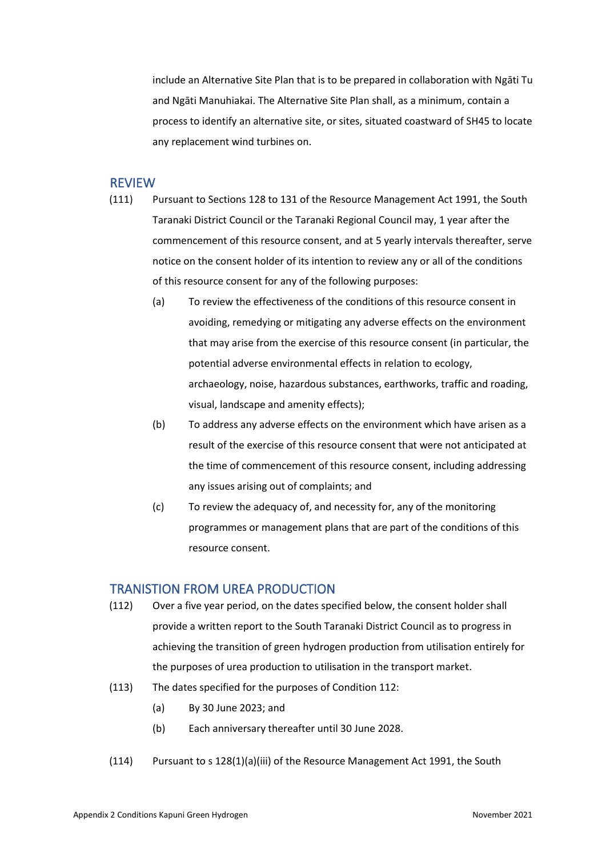include an Alternative Site Plan that is to be prepared in collaboration with Ngāti Tu and Ngāti Manuhiakai. The Alternative Site Plan shall, as a minimum, contain a process to identify an alternative site, or sites, situated coastward of SH45 to locate any replacement wind turbines on.

### REVIEW

- (111) Pursuant to Sections 128 to 131 of the Resource Management Act 1991, the South Taranaki District Council or the Taranaki Regional Council may, 1 year after the commencement of this resource consent, and at 5 yearly intervals thereafter, serve notice on the consent holder of its intention to review any or all of the conditions of this resource consent for any of the following purposes:
	- (a) To review the effectiveness of the conditions of this resource consent in avoiding, remedying or mitigating any adverse effects on the environment that may arise from the exercise of this resource consent (in particular, the potential adverse environmental effects in relation to ecology, archaeology, noise, hazardous substances, earthworks, traffic and roading, visual, landscape and amenity effects);
	- (b) To address any adverse effects on the environment which have arisen as a result of the exercise of this resource consent that were not anticipated at the time of commencement of this resource consent, including addressing any issues arising out of complaints; and
	- (c) To review the adequacy of, and necessity for, any of the monitoring programmes or management plans that are part of the conditions of this resource consent.

#### TRANISTION FROM UREA PRODUCTION

- (112) Over a five year period, on the dates specified below, the consent holder shall provide a written report to the South Taranaki District Council as to progress in achieving the transition of green hydrogen production from utilisation entirely for the purposes of urea production to utilisation in the transport market.
- (113) The dates specified for the purposes of Condition 112:
	- (a) By 30 June 2023; and
	- (b) Each anniversary thereafter until 30 June 2028.
- (114) Pursuant to s 128(1)(a)(iii) of the Resource Management Act 1991, the South